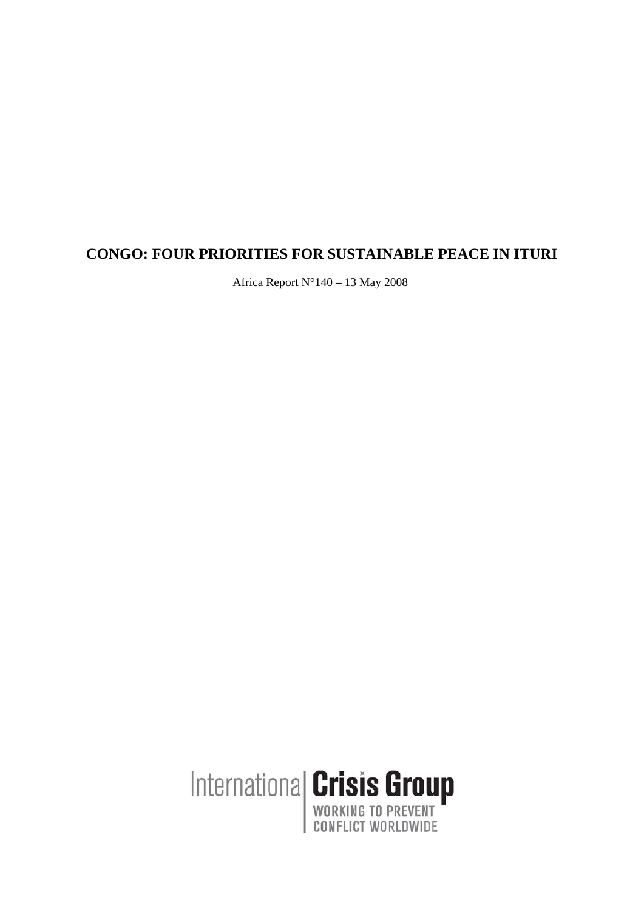# **CONGO: FOUR PRIORITIES FOR SUSTAINABLE PEACE IN ITURI**

Africa Report N°140 – 13 May 2008

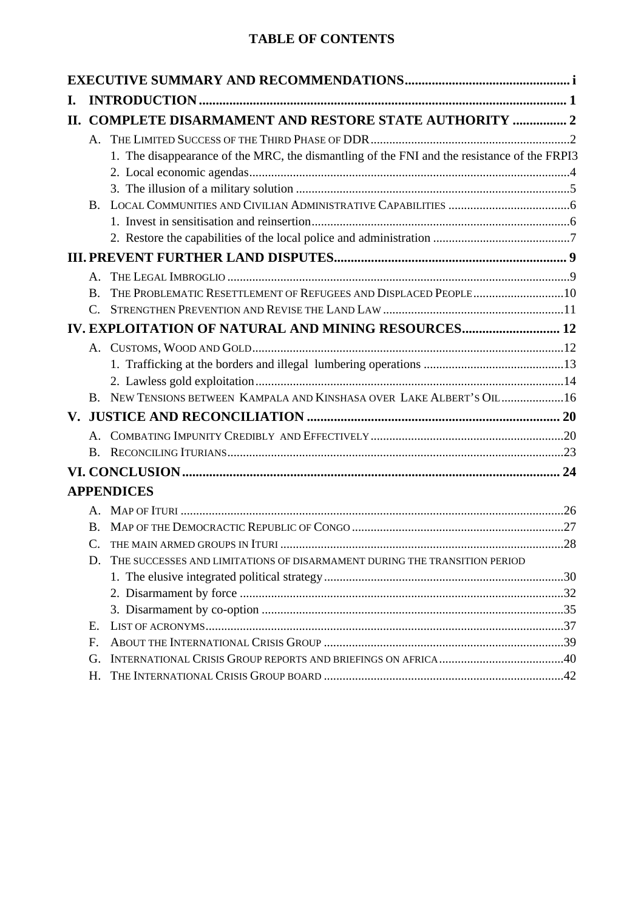# **TABLE OF CONTENTS**

| Ι.  |                      |                                                                                             |  |  |  |  |
|-----|----------------------|---------------------------------------------------------------------------------------------|--|--|--|--|
| II. |                      | <b>COMPLETE DISARMAMENT AND RESTORE STATE AUTHORITY  2</b>                                  |  |  |  |  |
|     | $\mathsf{A}_{\cdot}$ |                                                                                             |  |  |  |  |
|     |                      | 1. The disappearance of the MRC, the dismantling of the FNI and the resistance of the FRPI3 |  |  |  |  |
|     |                      |                                                                                             |  |  |  |  |
|     |                      |                                                                                             |  |  |  |  |
|     | <b>B.</b>            |                                                                                             |  |  |  |  |
|     |                      |                                                                                             |  |  |  |  |
|     |                      |                                                                                             |  |  |  |  |
|     |                      |                                                                                             |  |  |  |  |
|     | $\mathsf{A}$         |                                                                                             |  |  |  |  |
|     | B.                   |                                                                                             |  |  |  |  |
|     |                      |                                                                                             |  |  |  |  |
|     |                      | IV. EXPLOITATION OF NATURAL AND MINING RESOURCES 12                                         |  |  |  |  |
|     |                      |                                                                                             |  |  |  |  |
|     |                      |                                                                                             |  |  |  |  |
|     |                      |                                                                                             |  |  |  |  |
|     | $B_{-}$              | NEW TENSIONS BETWEEN KAMPALA AND KINSHASA OVER LAKE ALBERT'S OIL16                          |  |  |  |  |
|     |                      |                                                                                             |  |  |  |  |
|     |                      |                                                                                             |  |  |  |  |
|     | В.                   |                                                                                             |  |  |  |  |
|     |                      |                                                                                             |  |  |  |  |
|     |                      | <b>APPENDICES</b>                                                                           |  |  |  |  |
|     |                      |                                                                                             |  |  |  |  |
|     | B.                   |                                                                                             |  |  |  |  |
|     |                      |                                                                                             |  |  |  |  |
|     | D.                   | THE SUCCESSES AND LIMITATIONS OF DISARMAMENT DURING THE TRANSITION PERIOD                   |  |  |  |  |
|     |                      |                                                                                             |  |  |  |  |
|     |                      |                                                                                             |  |  |  |  |
|     |                      |                                                                                             |  |  |  |  |
|     | Ε.                   |                                                                                             |  |  |  |  |
|     | F.                   |                                                                                             |  |  |  |  |
|     | G.                   |                                                                                             |  |  |  |  |
|     | Η.                   |                                                                                             |  |  |  |  |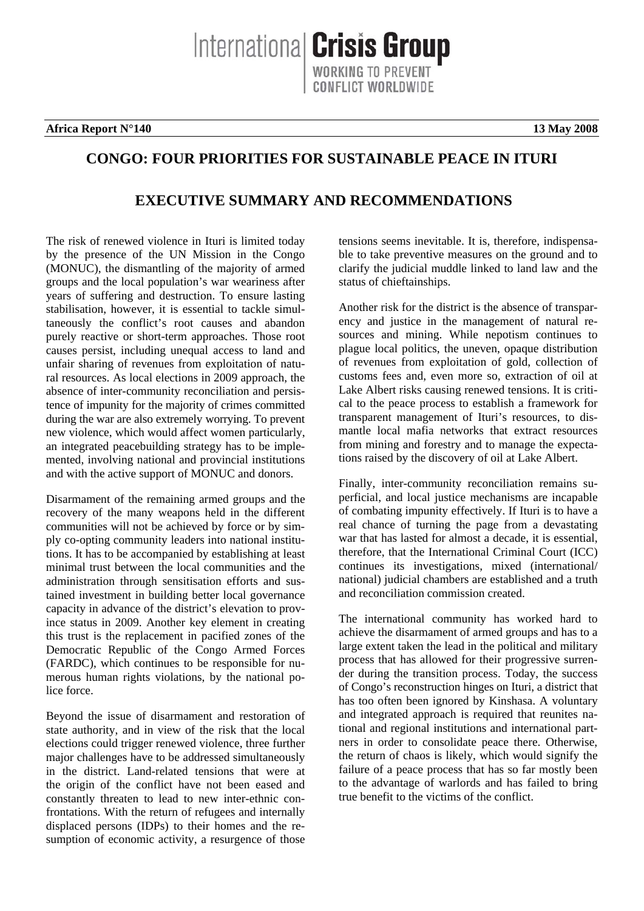**Africa Report N°140** 13 May 2008

# **CONGO: FOUR PRIORITIES FOR SUSTAINABLE PEACE IN ITURI**

# **EXECUTIVE SUMMARY AND RECOMMENDATIONS**

The risk of renewed violence in Ituri is limited today by the presence of the UN Mission in the Congo (MONUC), the dismantling of the majority of armed groups and the local population's war weariness after years of suffering and destruction. To ensure lasting stabilisation, however, it is essential to tackle simultaneously the conflict's root causes and abandon purely reactive or short-term approaches. Those root causes persist, including unequal access to land and unfair sharing of revenues from exploitation of natural resources. As local elections in 2009 approach, the absence of inter-community reconciliation and persistence of impunity for the majority of crimes committed during the war are also extremely worrying. To prevent new violence, which would affect women particularly, an integrated peacebuilding strategy has to be implemented, involving national and provincial institutions and with the active support of MONUC and donors.

Disarmament of the remaining armed groups and the recovery of the many weapons held in the different communities will not be achieved by force or by simply co-opting community leaders into national institutions. It has to be accompanied by establishing at least minimal trust between the local communities and the administration through sensitisation efforts and sustained investment in building better local governance capacity in advance of the district's elevation to province status in 2009. Another key element in creating this trust is the replacement in pacified zones of the Democratic Republic of the Congo Armed Forces (FARDC), which continues to be responsible for numerous human rights violations, by the national police force.

Beyond the issue of disarmament and restoration of state authority, and in view of the risk that the local elections could trigger renewed violence, three further major challenges have to be addressed simultaneously in the district. Land-related tensions that were at the origin of the conflict have not been eased and constantly threaten to lead to new inter-ethnic confrontations. With the return of refugees and internally displaced persons (IDPs) to their homes and the resumption of economic activity, a resurgence of those

tensions seems inevitable. It is, therefore, indispensable to take preventive measures on the ground and to clarify the judicial muddle linked to land law and the status of chieftainships.

Another risk for the district is the absence of transparency and justice in the management of natural resources and mining. While nepotism continues to plague local politics, the uneven, opaque distribution of revenues from exploitation of gold, collection of customs fees and, even more so, extraction of oil at Lake Albert risks causing renewed tensions. It is critical to the peace process to establish a framework for transparent management of Ituri's resources, to dismantle local mafia networks that extract resources from mining and forestry and to manage the expectations raised by the discovery of oil at Lake Albert.

Finally, inter-community reconciliation remains superficial, and local justice mechanisms are incapable of combating impunity effectively. If Ituri is to have a real chance of turning the page from a devastating war that has lasted for almost a decade, it is essential, therefore, that the International Criminal Court (ICC) continues its investigations, mixed (international/ national) judicial chambers are established and a truth and reconciliation commission created.

The international community has worked hard to achieve the disarmament of armed groups and has to a large extent taken the lead in the political and military process that has allowed for their progressive surrender during the transition process. Today, the success of Congo's reconstruction hinges on Ituri, a district that has too often been ignored by Kinshasa. A voluntary and integrated approach is required that reunites national and regional institutions and international partners in order to consolidate peace there. Otherwise, the return of chaos is likely, which would signify the failure of a peace process that has so far mostly been to the advantage of warlords and has failed to bring true benefit to the victims of the conflict.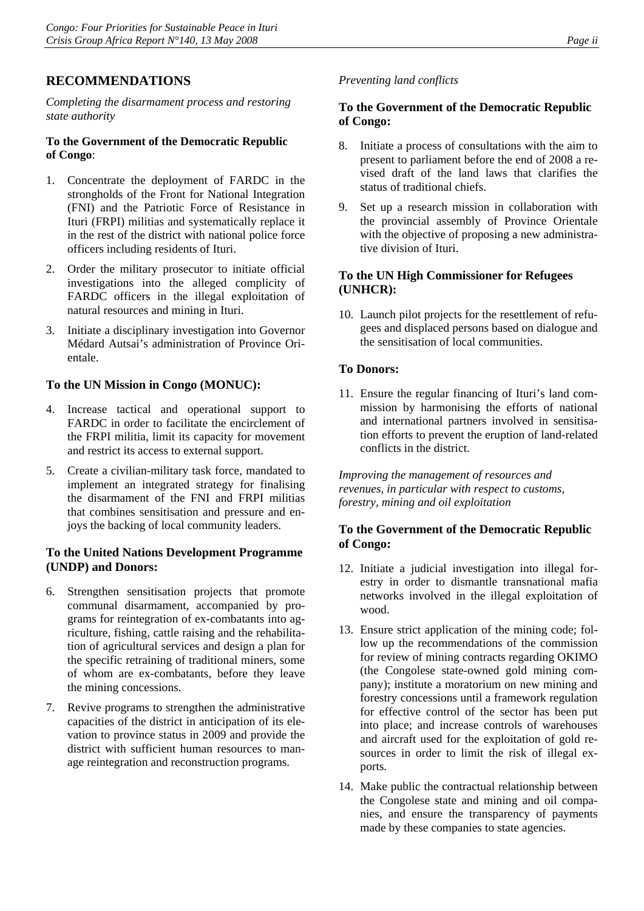## **RECOMMENDATIONS**

*Completing the disarmament process and restoring state authority* 

#### **To the Government of the Democratic Republic of Congo**:

- 1. Concentrate the deployment of FARDC in the strongholds of the Front for National Integration (FNI) and the Patriotic Force of Resistance in Ituri (FRPI) militias and systematically replace it in the rest of the district with national police force officers including residents of Ituri.
- 2. Order the military prosecutor to initiate official investigations into the alleged complicity of FARDC officers in the illegal exploitation of natural resources and mining in Ituri.
- 3. Initiate a disciplinary investigation into Governor Médard Autsai's administration of Province Orientale.

#### **To the UN Mission in Congo (MONUC):**

- 4. Increase tactical and operational support to FARDC in order to facilitate the encirclement of the FRPI militia, limit its capacity for movement and restrict its access to external support.
- 5. Create a civilian-military task force, mandated to implement an integrated strategy for finalising the disarmament of the FNI and FRPI militias that combines sensitisation and pressure and enjoys the backing of local community leaders.

#### **To the United Nations Development Programme (UNDP) and Donors:**

- 6. Strengthen sensitisation projects that promote communal disarmament, accompanied by programs for reintegration of ex-combatants into agriculture, fishing, cattle raising and the rehabilitation of agricultural services and design a plan for the specific retraining of traditional miners, some of whom are ex-combatants, before they leave the mining concessions.
- 7. Revive programs to strengthen the administrative capacities of the district in anticipation of its elevation to province status in 2009 and provide the district with sufficient human resources to manage reintegration and reconstruction programs.

## *Preventing land conflicts*

## **To the Government of the Democratic Republic of Congo:**

- 8. Initiate a process of consultations with the aim to present to parliament before the end of 2008 a revised draft of the land laws that clarifies the status of traditional chiefs.
- 9. Set up a research mission in collaboration with the provincial assembly of Province Orientale with the objective of proposing a new administrative division of Ituri.

#### **To the UN High Commissioner for Refugees (UNHCR):**

10. Launch pilot projects for the resettlement of refugees and displaced persons based on dialogue and the sensitisation of local communities.

#### **To Donors:**

11. Ensure the regular financing of Ituri's land commission by harmonising the efforts of national and international partners involved in sensitisation efforts to prevent the eruption of land-related conflicts in the district.

*Improving the management of resources and revenues, in particular with respect to customs, forestry, mining and oil exploitation* 

#### **To the Government of the Democratic Republic of Congo:**

- 12. Initiate a judicial investigation into illegal forestry in order to dismantle transnational mafia networks involved in the illegal exploitation of wood.
- 13. Ensure strict application of the mining code; follow up the recommendations of the commission for review of mining contracts regarding OKIMO (the Congolese state-owned gold mining company); institute a moratorium on new mining and forestry concessions until a framework regulation for effective control of the sector has been put into place; and increase controls of warehouses and aircraft used for the exploitation of gold resources in order to limit the risk of illegal exports.
- 14. Make public the contractual relationship between the Congolese state and mining and oil companies, and ensure the transparency of payments made by these companies to state agencies.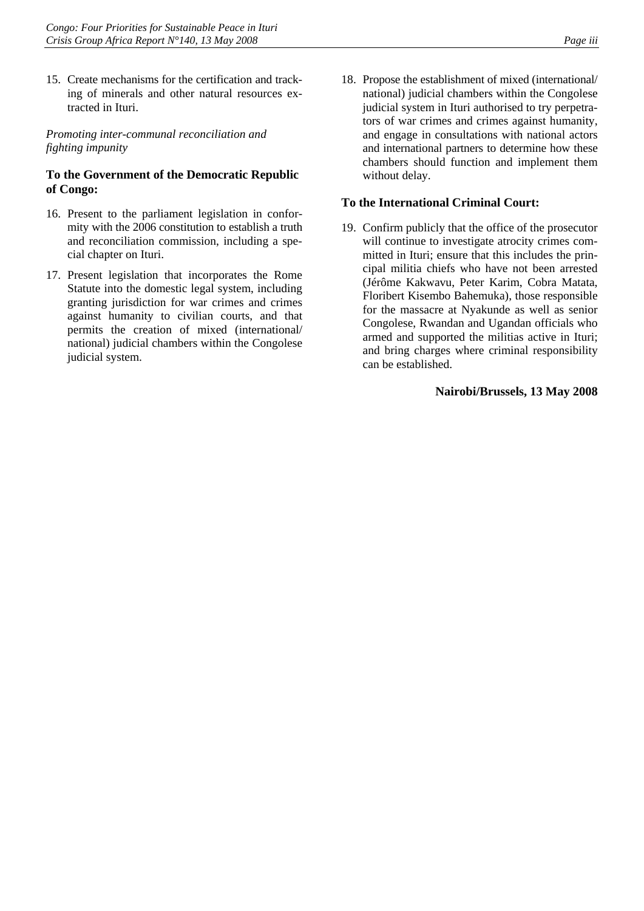15. Create mechanisms for the certification and tracking of minerals and other natural resources extracted in Ituri.

*Promoting inter-communal reconciliation and fighting impunity* 

#### **To the Government of the Democratic Republic of Congo:**

- 16. Present to the parliament legislation in conformity with the 2006 constitution to establish a truth and reconciliation commission, including a special chapter on Ituri.
- 17. Present legislation that incorporates the Rome Statute into the domestic legal system, including granting jurisdiction for war crimes and crimes against humanity to civilian courts, and that permits the creation of mixed (international/ national) judicial chambers within the Congolese judicial system.

18. Propose the establishment of mixed (international/ national) judicial chambers within the Congolese judicial system in Ituri authorised to try perpetrators of war crimes and crimes against humanity, and engage in consultations with national actors and international partners to determine how these chambers should function and implement them without delay.

#### **To the International Criminal Court:**

19. Confirm publicly that the office of the prosecutor will continue to investigate atrocity crimes committed in Ituri; ensure that this includes the principal militia chiefs who have not been arrested (Jérôme Kakwavu, Peter Karim, Cobra Matata, Floribert Kisembo Bahemuka), those responsible for the massacre at Nyakunde as well as senior Congolese, Rwandan and Ugandan officials who armed and supported the militias active in Ituri; and bring charges where criminal responsibility can be established.

#### **Nairobi/Brussels, 13 May 2008**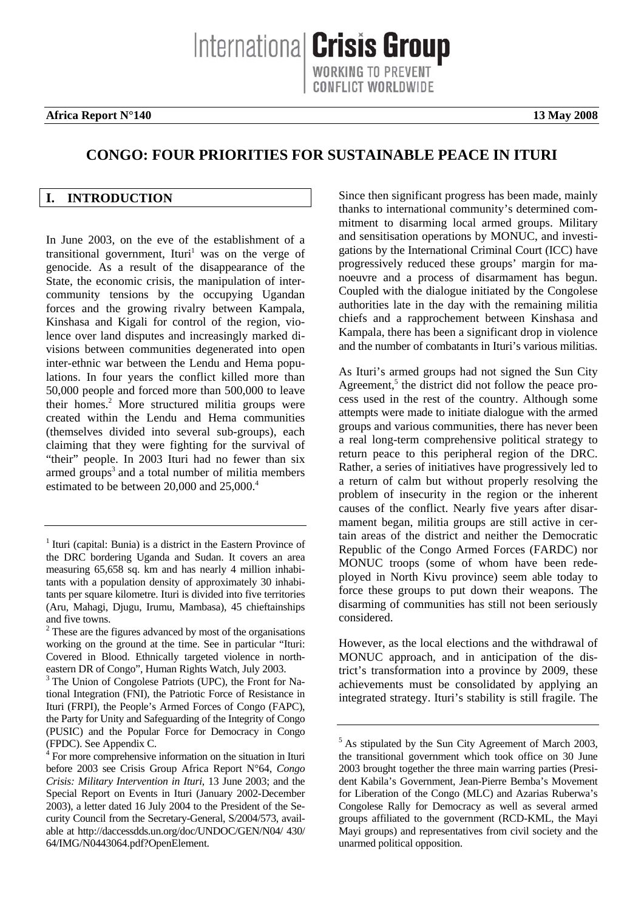International **Crisis Group** WORKING TO PREVENT CONFLICT WORLDWIDE

**Africa Report N°140 13 May 2008** 

# **CONGO: FOUR PRIORITIES FOR SUSTAINABLE PEACE IN ITURI**

#### **I. INTRODUCTION**

In June 2003, on the eve of the establishment of a transitional government, Ituri<sup>1</sup> was on the verge of genocide. As a result of the disappearance of the State, the economic crisis, the manipulation of intercommunity tensions by the occupying Ugandan forces and the growing rivalry between Kampala, Kinshasa and Kigali for control of the region, violence over land disputes and increasingly marked divisions between communities degenerated into open inter-ethnic war between the Lendu and Hema populations. In four years the conflict killed more than 50,000 people and forced more than 500,000 to leave their homes.<sup>2</sup> More structured militia groups were created within the Lendu and Hema communities (themselves divided into several sub-groups), each claiming that they were fighting for the survival of "their" people. In 2003 Ituri had no fewer than six armed groups<sup>3</sup> and a total number of militia members estimated to be between 20,000 and 25,000.<sup>4</sup>

Since then significant progress has been made, mainly thanks to international community's determined commitment to disarming local armed groups. Military and sensitisation operations by MONUC, and investigations by the International Criminal Court (ICC) have progressively reduced these groups' margin for manoeuvre and a process of disarmament has begun. Coupled with the dialogue initiated by the Congolese authorities late in the day with the remaining militia chiefs and a rapprochement between Kinshasa and Kampala, there has been a significant drop in violence and the number of combatants in Ituri's various militias.

As Ituri's armed groups had not signed the Sun City Agreement,<sup>5</sup> the district did not follow the peace process used in the rest of the country. Although some attempts were made to initiate dialogue with the armed groups and various communities, there has never been a real long-term comprehensive political strategy to return peace to this peripheral region of the DRC. Rather, a series of initiatives have progressively led to a return of calm but without properly resolving the problem of insecurity in the region or the inherent causes of the conflict. Nearly five years after disarmament began, militia groups are still active in certain areas of the district and neither the Democratic Republic of the Congo Armed Forces (FARDC) nor MONUC troops (some of whom have been redeployed in North Kivu province) seem able today to force these groups to put down their weapons. The disarming of communities has still not been seriously considered.

However, as the local elections and the withdrawal of MONUC approach, and in anticipation of the district's transformation into a province by 2009, these achievements must be consolidated by applying an integrated strategy. Ituri's stability is still fragile. The

<sup>&</sup>lt;sup>1</sup> Ituri (capital: Bunia) is a district in the Eastern Province of the DRC bordering Uganda and Sudan. It covers an area measuring 65,658 sq. km and has nearly 4 million inhabitants with a population density of approximately 30 inhabitants per square kilometre. Ituri is divided into five territories (Aru, Mahagi, Djugu, Irumu, Mambasa), 45 chieftainships and five towns.

 $2^2$  These are the figures advanced by most of the organisations working on the ground at the time. See in particular "Ituri: Covered in Blood. Ethnically targeted violence in northeastern DR of Congo", Human Rights Watch, July 2003.

<sup>&</sup>lt;sup>3</sup> The Union of Congolese Patriots (UPC), the Front for National Integration (FNI), the Patriotic Force of Resistance in Ituri (FRPI), the People's Armed Forces of Congo (FAPC), the Party for Unity and Safeguarding of the Integrity of Congo (PUSIC) and the Popular Force for Democracy in Congo (FPDC). See Appendix C.

<sup>&</sup>lt;sup>4</sup> For more comprehensive information on the situation in Ituri before 2003 see Crisis Group Africa Report N°64, *Congo Crisis: Military Intervention in Ituri*, 13 June 2003; and the Special Report on Events in Ituri (January 2002-December 2003), a letter dated 16 July 2004 to the President of the Security Council from the Secretary-General, S/2004/573, available at http://daccessdds.un.org/doc/UNDOC/GEN/N04/ 430/ 64/IMG/N0443064.pdf?OpenElement.

<sup>&</sup>lt;sup>5</sup> As stipulated by the Sun City Agreement of March 2003, the transitional government which took office on 30 June 2003 brought together the three main warring parties (President Kabila's Government, Jean-Pierre Bemba's Movement for Liberation of the Congo (MLC) and Azarias Ruberwa's Congolese Rally for Democracy as well as several armed groups affiliated to the government (RCD-KML, the Mayi Mayi groups) and representatives from civil society and the unarmed political opposition.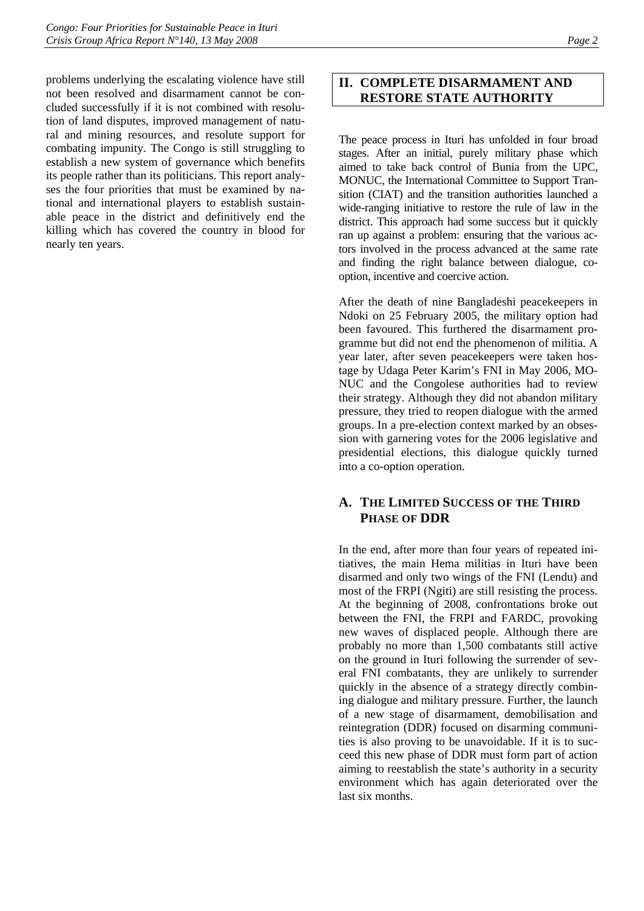problems underlying the escalating violence have still not been resolved and disarmament cannot be concluded successfully if it is not combined with resolution of land disputes, improved management of natural and mining resources, and resolute support for combating impunity. The Congo is still struggling to establish a new system of governance which benefits its people rather than its politicians. This report analyses the four priorities that must be examined by national and international players to establish sustainable peace in the district and definitively end the killing which has covered the country in blood for nearly ten years.

## **II. COMPLETE DISARMAMENT AND RESTORE STATE AUTHORITY**

The peace process in Ituri has unfolded in four broad stages. After an initial, purely military phase which aimed to take back control of Bunia from the UPC, MONUC, the International Committee to Support Transition (CIAT) and the transition authorities launched a wide-ranging initiative to restore the rule of law in the district. This approach had some success but it quickly ran up against a problem: ensuring that the various actors involved in the process advanced at the same rate and finding the right balance between dialogue, cooption, incentive and coercive action.

After the death of nine Bangladeshi peacekeepers in Ndoki on 25 February 2005, the military option had been favoured. This furthered the disarmament programme but did not end the phenomenon of militia. A year later, after seven peacekeepers were taken hostage by Udaga Peter Karim's FNI in May 2006, MO-NUC and the Congolese authorities had to review their strategy. Although they did not abandon military pressure, they tried to reopen dialogue with the armed groups. In a pre-election context marked by an obsession with garnering votes for the 2006 legislative and presidential elections, this dialogue quickly turned into a co-option operation.

## **A. THE LIMITED SUCCESS OF THE THIRD PHASE OF DDR**

In the end, after more than four years of repeated initiatives, the main Hema militias in Ituri have been disarmed and only two wings of the FNI (Lendu) and most of the FRPI (Ngiti) are still resisting the process. At the beginning of 2008, confrontations broke out between the FNI, the FRPI and FARDC, provoking new waves of displaced people. Although there are probably no more than 1,500 combatants still active on the ground in Ituri following the surrender of several FNI combatants, they are unlikely to surrender quickly in the absence of a strategy directly combining dialogue and military pressure. Further, the launch of a new stage of disarmament, demobilisation and reintegration (DDR) focused on disarming communities is also proving to be unavoidable. If it is to succeed this new phase of DDR must form part of action aiming to reestablish the state's authority in a security environment which has again deteriorated over the last six months.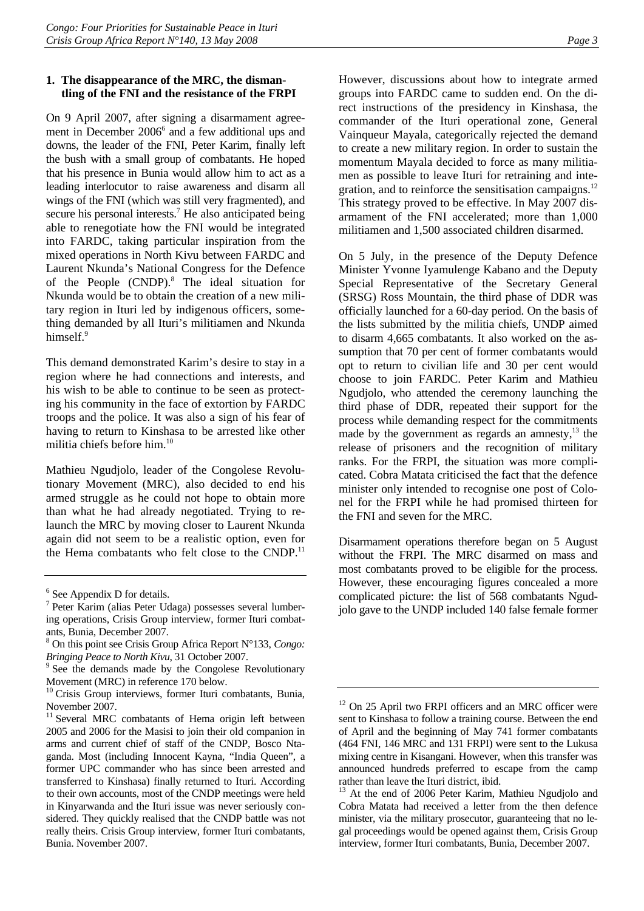#### **1. The disappearance of the MRC, the dismantling of the FNI and the resistance of the FRPI**

On 9 April 2007, after signing a disarmament agreement in December 2006<sup>6</sup> and a few additional ups and downs, the leader of the FNI, Peter Karim, finally left the bush with a small group of combatants. He hoped that his presence in Bunia would allow him to act as a leading interlocutor to raise awareness and disarm all wings of the FNI (which was still very fragmented), and secure his personal interests.<sup>7</sup> He also anticipated being able to renegotiate how the FNI would be integrated into FARDC, taking particular inspiration from the mixed operations in North Kivu between FARDC and Laurent Nkunda's National Congress for the Defence of the People (CNDP).<sup>8</sup> The ideal situation for Nkunda would be to obtain the creation of a new military region in Ituri led by indigenous officers, something demanded by all Ituri's militiamen and Nkunda himself.<sup>9</sup>

This demand demonstrated Karim's desire to stay in a region where he had connections and interests, and his wish to be able to continue to be seen as protecting his community in the face of extortion by FARDC troops and the police. It was also a sign of his fear of having to return to Kinshasa to be arrested like other militia chiefs before him.10

Mathieu Ngudjolo, leader of the Congolese Revolutionary Movement (MRC), also decided to end his armed struggle as he could not hope to obtain more than what he had already negotiated. Trying to relaunch the MRC by moving closer to Laurent Nkunda again did not seem to be a realistic option, even for the Hema combatants who felt close to the CNDP.<sup>11</sup>

However, discussions about how to integrate armed groups into FARDC came to sudden end. On the direct instructions of the presidency in Kinshasa, the commander of the Ituri operational zone, General Vainqueur Mayala, categorically rejected the demand to create a new military region. In order to sustain the momentum Mayala decided to force as many militiamen as possible to leave Ituri for retraining and integration, and to reinforce the sensitisation campaigns.<sup>12</sup> This strategy proved to be effective. In May 2007 disarmament of the FNI accelerated; more than 1,000 militiamen and 1,500 associated children disarmed.

On 5 July, in the presence of the Deputy Defence Minister Yvonne Iyamulenge Kabano and the Deputy Special Representative of the Secretary General (SRSG) Ross Mountain, the third phase of DDR was officially launched for a 60-day period. On the basis of the lists submitted by the militia chiefs, UNDP aimed to disarm 4,665 combatants. It also worked on the assumption that 70 per cent of former combatants would opt to return to civilian life and 30 per cent would choose to join FARDC. Peter Karim and Mathieu Ngudjolo, who attended the ceremony launching the third phase of DDR, repeated their support for the process while demanding respect for the commitments made by the government as regards an amnesty, $^{13}$  the release of prisoners and the recognition of military ranks. For the FRPI, the situation was more complicated. Cobra Matata criticised the fact that the defence minister only intended to recognise one post of Colonel for the FRPI while he had promised thirteen for the FNI and seven for the MRC.

Disarmament operations therefore began on 5 August without the FRPI. The MRC disarmed on mass and most combatants proved to be eligible for the process. However, these encouraging figures concealed a more complicated picture: the list of 568 combatants Ngudjolo gave to the UNDP included 140 false female former

<sup>&</sup>lt;sup>6</sup> See Appendix D for details.

<sup>7</sup> Peter Karim (alias Peter Udaga) possesses several lumbering operations, Crisis Group interview, former Ituri combatants, Bunia, December 2007.

<sup>8</sup> On this point see Crisis Group Africa Report N°133, *Congo: Bringing Peace to North Kivu, 31 October 2007.* 

 $\degree$  See the demands made by the Congolese Revolutionary Movement (MRC) in reference 170 below.

<sup>&</sup>lt;sup>10</sup> Crisis Group interviews, former Ituri combatants, Bunia, November 2007.

<sup>&</sup>lt;sup>11</sup> Several MRC combatants of Hema origin left between 2005 and 2006 for the Masisi to join their old companion in arms and current chief of staff of the CNDP, Bosco Ntaganda. Most (including Innocent Kayna, "India Queen", a former UPC commander who has since been arrested and transferred to Kinshasa) finally returned to Ituri. According to their own accounts, most of the CNDP meetings were held in Kinyarwanda and the Ituri issue was never seriously considered. They quickly realised that the CNDP battle was not really theirs. Crisis Group interview, former Ituri combatants, Bunia. November 2007.

<sup>&</sup>lt;sup>12</sup> On 25 April two FRPI officers and an MRC officer were sent to Kinshasa to follow a training course. Between the end of April and the beginning of May 741 former combatants (464 FNI, 146 MRC and 131 FRPI) were sent to the Lukusa mixing centre in Kisangani. However, when this transfer was announced hundreds preferred to escape from the camp rather than leave the Ituri district, ibid.<br><sup>13</sup> At the end of 2006 Peter Karim, Mathieu Ngudjolo and

Cobra Matata had received a letter from the then defence minister, via the military prosecutor, guaranteeing that no legal proceedings would be opened against them, Crisis Group interview, former Ituri combatants, Bunia, December 2007.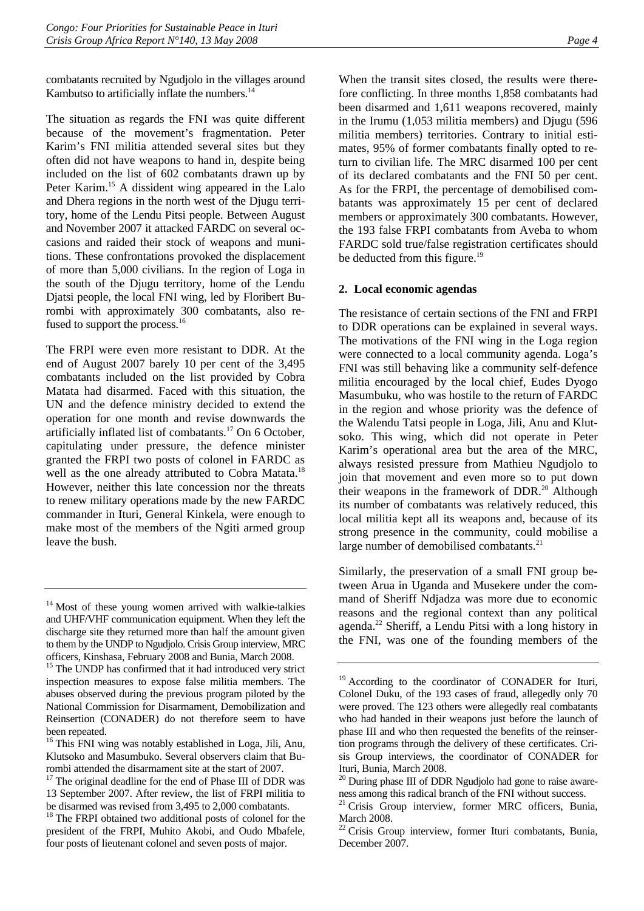combatants recruited by Ngudjolo in the villages around Kambutso to artificially inflate the numbers.<sup>14</sup>

The situation as regards the FNI was quite different because of the movement's fragmentation. Peter Karim's FNI militia attended several sites but they often did not have weapons to hand in, despite being included on the list of 602 combatants drawn up by Peter Karim.<sup>15</sup> A dissident wing appeared in the Lalo and Dhera regions in the north west of the Djugu territory, home of the Lendu Pitsi people. Between August and November 2007 it attacked FARDC on several occasions and raided their stock of weapons and munitions. These confrontations provoked the displacement of more than 5,000 civilians. In the region of Loga in the south of the Djugu territory, home of the Lendu Djatsi people, the local FNI wing, led by Floribert Burombi with approximately 300 combatants, also refused to support the process.<sup>16</sup>

The FRPI were even more resistant to DDR. At the end of August 2007 barely 10 per cent of the 3,495 combatants included on the list provided by Cobra Matata had disarmed. Faced with this situation, the UN and the defence ministry decided to extend the operation for one month and revise downwards the artificially inflated list of combatants.<sup>17</sup> On 6 October, capitulating under pressure, the defence minister granted the FRPI two posts of colonel in FARDC as well as the one already attributed to Cobra Matata.<sup>18</sup> However, neither this late concession nor the threats to renew military operations made by the new FARDC commander in Ituri, General Kinkela, were enough to make most of the members of the Ngiti armed group leave the bush.

When the transit sites closed, the results were therefore conflicting. In three months 1,858 combatants had been disarmed and 1,611 weapons recovered, mainly in the Irumu (1,053 militia members) and Djugu (596 militia members) territories. Contrary to initial estimates, 95% of former combatants finally opted to return to civilian life. The MRC disarmed 100 per cent of its declared combatants and the FNI 50 per cent. As for the FRPI, the percentage of demobilised combatants was approximately 15 per cent of declared members or approximately 300 combatants. However, the 193 false FRPI combatants from Aveba to whom FARDC sold true/false registration certificates should be deducted from this figure.<sup>19</sup>

#### **2. Local economic agendas**

The resistance of certain sections of the FNI and FRPI to DDR operations can be explained in several ways. The motivations of the FNI wing in the Loga region were connected to a local community agenda. Loga's FNI was still behaving like a community self-defence militia encouraged by the local chief, Eudes Dyogo Masumbuku, who was hostile to the return of FARDC in the region and whose priority was the defence of the Walendu Tatsi people in Loga, Jili, Anu and Klutsoko. This wing, which did not operate in Peter Karim's operational area but the area of the MRC, always resisted pressure from Mathieu Ngudjolo to join that movement and even more so to put down their weapons in the framework of  $DDR<sup>20</sup>$  Although its number of combatants was relatively reduced, this local militia kept all its weapons and, because of its strong presence in the community, could mobilise a large number of demobilised combatants.<sup>21</sup>

Similarly, the preservation of a small FNI group between Arua in Uganda and Musekere under the command of Sheriff Ndjadza was more due to economic reasons and the regional context than any political agenda.<sup>22</sup> Sheriff, a Lendu Pitsi with a long history in the FNI, was one of the founding members of the

<sup>&</sup>lt;sup>14</sup> Most of these young women arrived with walkie-talkies and UHF/VHF communication equipment. When they left the discharge site they returned more than half the amount given to them by the UNDP to Ngudjolo. Crisis Group interview, MRC officers, Kinshasa, February 2008 and Bunia, March 2008.

<sup>&</sup>lt;sup>15</sup> The UNDP has confirmed that it had introduced very strict inspection measures to expose false militia members. The abuses observed during the previous program piloted by the National Commission for Disarmament, Demobilization and Reinsertion (CONADER) do not therefore seem to have been repeated.

<sup>&</sup>lt;sup>16</sup> This FNI wing was notably established in Loga, Jili, Anu, Klutsoko and Masumbuko. Several observers claim that Burombi attended the disarmament site at the start of 2007.

<sup>&</sup>lt;sup>17</sup> The original deadline for the end of Phase III of DDR was 13 September 2007. After review, the list of FRPI militia to be disarmed was revised from 3,495 to 2,000 combatants.

<sup>&</sup>lt;sup>18</sup> The FRPI obtained two additional posts of colonel for the president of the FRPI, Muhito Akobi, and Oudo Mbafele, four posts of lieutenant colonel and seven posts of major.

<sup>&</sup>lt;sup>19</sup> According to the coordinator of CONADER for Ituri, Colonel Duku, of the 193 cases of fraud, allegedly only 70 were proved. The 123 others were allegedly real combatants who had handed in their weapons just before the launch of phase III and who then requested the benefits of the reinsertion programs through the delivery of these certificates. Crisis Group interviews, the coordinator of CONADER for Ituri, Bunia, March 2008.

<sup>&</sup>lt;sup>20</sup> During phase III of DDR Ngudjolo had gone to raise awareness among this radical branch of the FNI without success.

<sup>&</sup>lt;sup>21</sup> Crisis Group interview, former MRC officers, Bunia, March 2008.

<sup>&</sup>lt;sup>22</sup> Crisis Group interview, former Ituri combatants, Bunia, December 2007.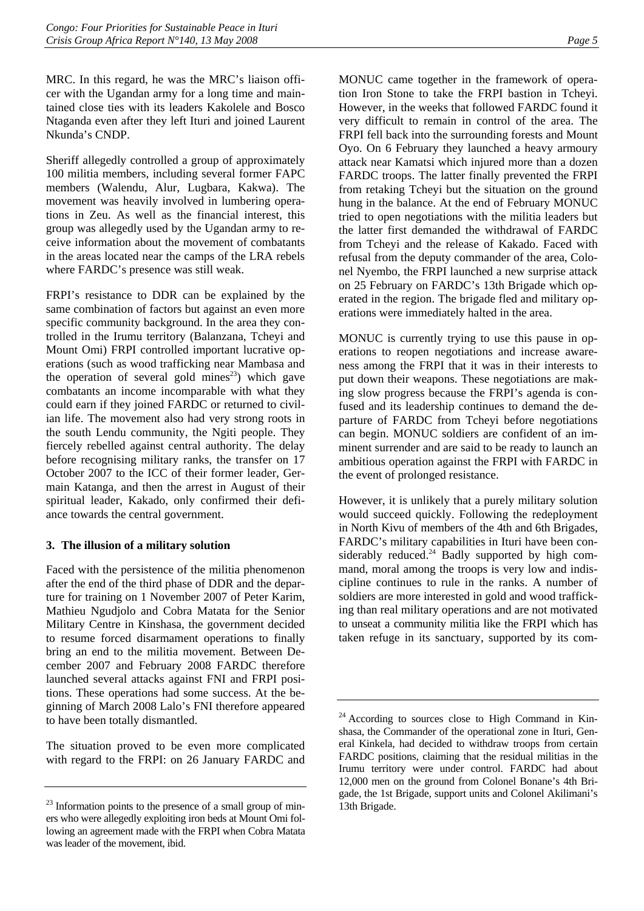MRC. In this regard, he was the MRC's liaison officer with the Ugandan army for a long time and maintained close ties with its leaders Kakolele and Bosco Ntaganda even after they left Ituri and joined Laurent Nkunda's CNDP.

Sheriff allegedly controlled a group of approximately 100 militia members, including several former FAPC members (Walendu, Alur, Lugbara, Kakwa). The movement was heavily involved in lumbering operations in Zeu. As well as the financial interest, this group was allegedly used by the Ugandan army to receive information about the movement of combatants in the areas located near the camps of the LRA rebels where FARDC's presence was still weak.

FRPI's resistance to DDR can be explained by the same combination of factors but against an even more specific community background. In the area they controlled in the Irumu territory (Balanzana, Tcheyi and Mount Omi) FRPI controlled important lucrative operations (such as wood trafficking near Mambasa and the operation of several gold mines<sup>23</sup>) which gave combatants an income incomparable with what they could earn if they joined FARDC or returned to civilian life. The movement also had very strong roots in the south Lendu community, the Ngiti people. They fiercely rebelled against central authority. The delay before recognising military ranks, the transfer on 17 October 2007 to the ICC of their former leader, Germain Katanga, and then the arrest in August of their spiritual leader, Kakado, only confirmed their defiance towards the central government.

#### **3. The illusion of a military solution**

Faced with the persistence of the militia phenomenon after the end of the third phase of DDR and the departure for training on 1 November 2007 of Peter Karim, Mathieu Ngudjolo and Cobra Matata for the Senior Military Centre in Kinshasa, the government decided to resume forced disarmament operations to finally bring an end to the militia movement. Between December 2007 and February 2008 FARDC therefore launched several attacks against FNI and FRPI positions. These operations had some success. At the beginning of March 2008 Lalo's FNI therefore appeared to have been totally dismantled.

The situation proved to be even more complicated with regard to the FRPI: on 26 January FARDC and MONUC came together in the framework of operation Iron Stone to take the FRPI bastion in Tcheyi. However, in the weeks that followed FARDC found it very difficult to remain in control of the area. The FRPI fell back into the surrounding forests and Mount Oyo. On 6 February they launched a heavy armoury attack near Kamatsi which injured more than a dozen FARDC troops. The latter finally prevented the FRPI from retaking Tcheyi but the situation on the ground hung in the balance. At the end of February MONUC tried to open negotiations with the militia leaders but the latter first demanded the withdrawal of FARDC from Tcheyi and the release of Kakado. Faced with refusal from the deputy commander of the area, Colonel Nyembo, the FRPI launched a new surprise attack on 25 February on FARDC's 13th Brigade which operated in the region. The brigade fled and military operations were immediately halted in the area.

MONUC is currently trying to use this pause in operations to reopen negotiations and increase awareness among the FRPI that it was in their interests to put down their weapons. These negotiations are making slow progress because the FRPI's agenda is confused and its leadership continues to demand the departure of FARDC from Tcheyi before negotiations can begin. MONUC soldiers are confident of an imminent surrender and are said to be ready to launch an ambitious operation against the FRPI with FARDC in the event of prolonged resistance.

However, it is unlikely that a purely military solution would succeed quickly. Following the redeployment in North Kivu of members of the 4th and 6th Brigades, FARDC's military capabilities in Ituri have been considerably reduced. $24$  Badly supported by high command, moral among the troops is very low and indiscipline continues to rule in the ranks. A number of soldiers are more interested in gold and wood trafficking than real military operations and are not motivated to unseat a community militia like the FRPI which has taken refuge in its sanctuary, supported by its com-

 $23$  Information points to the presence of a small group of miners who were allegedly exploiting iron beds at Mount Omi following an agreement made with the FRPI when Cobra Matata was leader of the movement, ibid.

 $24$  According to sources close to High Command in Kinshasa, the Commander of the operational zone in Ituri, General Kinkela, had decided to withdraw troops from certain FARDC positions, claiming that the residual militias in the Irumu territory were under control. FARDC had about 12,000 men on the ground from Colonel Bonane's 4th Brigade, the 1st Brigade, support units and Colonel Akilimani's 13th Brigade.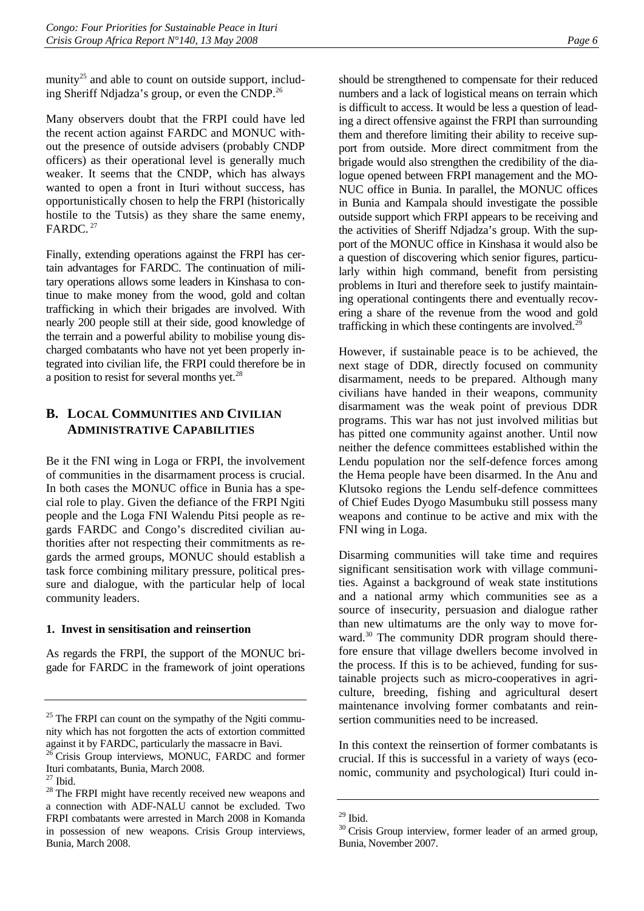munity<sup>25</sup> and able to count on outside support, including Sheriff Ndjadza's group, or even the CNDP.26

Many observers doubt that the FRPI could have led the recent action against FARDC and MONUC without the presence of outside advisers (probably CNDP officers) as their operational level is generally much weaker. It seems that the CNDP, which has always wanted to open a front in Ituri without success, has opportunistically chosen to help the FRPI (historically hostile to the Tutsis) as they share the same enemy, FARDC. 27

Finally, extending operations against the FRPI has certain advantages for FARDC. The continuation of military operations allows some leaders in Kinshasa to continue to make money from the wood, gold and coltan trafficking in which their brigades are involved. With nearly 200 people still at their side, good knowledge of the terrain and a powerful ability to mobilise young discharged combatants who have not yet been properly integrated into civilian life, the FRPI could therefore be in a position to resist for several months yet.28

## **B. LOCAL COMMUNITIES AND CIVILIAN ADMINISTRATIVE CAPABILITIES**

Be it the FNI wing in Loga or FRPI, the involvement of communities in the disarmament process is crucial. In both cases the MONUC office in Bunia has a special role to play. Given the defiance of the FRPI Ngiti people and the Loga FNI Walendu Pitsi people as regards FARDC and Congo's discredited civilian authorities after not respecting their commitments as regards the armed groups, MONUC should establish a task force combining military pressure, political pressure and dialogue, with the particular help of local community leaders.

#### **1. Invest in sensitisation and reinsertion**

As regards the FRPI, the support of the MONUC brigade for FARDC in the framework of joint operations

should be strengthened to compensate for their reduced numbers and a lack of logistical means on terrain which is difficult to access. It would be less a question of leading a direct offensive against the FRPI than surrounding them and therefore limiting their ability to receive support from outside. More direct commitment from the brigade would also strengthen the credibility of the dialogue opened between FRPI management and the MO-NUC office in Bunia. In parallel, the MONUC offices in Bunia and Kampala should investigate the possible outside support which FRPI appears to be receiving and the activities of Sheriff Ndjadza's group. With the support of the MONUC office in Kinshasa it would also be a question of discovering which senior figures, particularly within high command, benefit from persisting problems in Ituri and therefore seek to justify maintaining operational contingents there and eventually recovering a share of the revenue from the wood and gold trafficking in which these contingents are involved.<sup>29</sup>

However, if sustainable peace is to be achieved, the next stage of DDR, directly focused on community disarmament, needs to be prepared. Although many civilians have handed in their weapons, community disarmament was the weak point of previous DDR programs. This war has not just involved militias but has pitted one community against another. Until now neither the defence committees established within the Lendu population nor the self-defence forces among the Hema people have been disarmed. In the Anu and Klutsoko regions the Lendu self-defence committees of Chief Eudes Dyogo Masumbuku still possess many weapons and continue to be active and mix with the FNI wing in Loga.

Disarming communities will take time and requires significant sensitisation work with village communities. Against a background of weak state institutions and a national army which communities see as a source of insecurity, persuasion and dialogue rather than new ultimatums are the only way to move forward.<sup>30</sup> The community DDR program should therefore ensure that village dwellers become involved in the process. If this is to be achieved, funding for sustainable projects such as micro-cooperatives in agriculture, breeding, fishing and agricultural desert maintenance involving former combatants and reinsertion communities need to be increased.

In this context the reinsertion of former combatants is crucial. If this is successful in a variety of ways (economic, community and psychological) Ituri could in-

 $25$  The FRPI can count on the sympathy of the Ngiti community which has not forgotten the acts of extortion committed against it by FARDC, particularly the massacre in Bavi.

<sup>&</sup>lt;sup>26</sup> Crisis Group interviews, MONUC, FARDC and former Ituri combatants, Bunia, March 2008.

<sup>&</sup>lt;sup>28</sup> The FRPI might have recently received new weapons and a connection with ADF-NALU cannot be excluded. Two FRPI combatants were arrested in March 2008 in Komanda in possession of new weapons. Crisis Group interviews, Bunia, March 2008.

 $29$  Ibid.

<sup>&</sup>lt;sup>30</sup> Crisis Group interview, former leader of an armed group, Bunia, November 2007.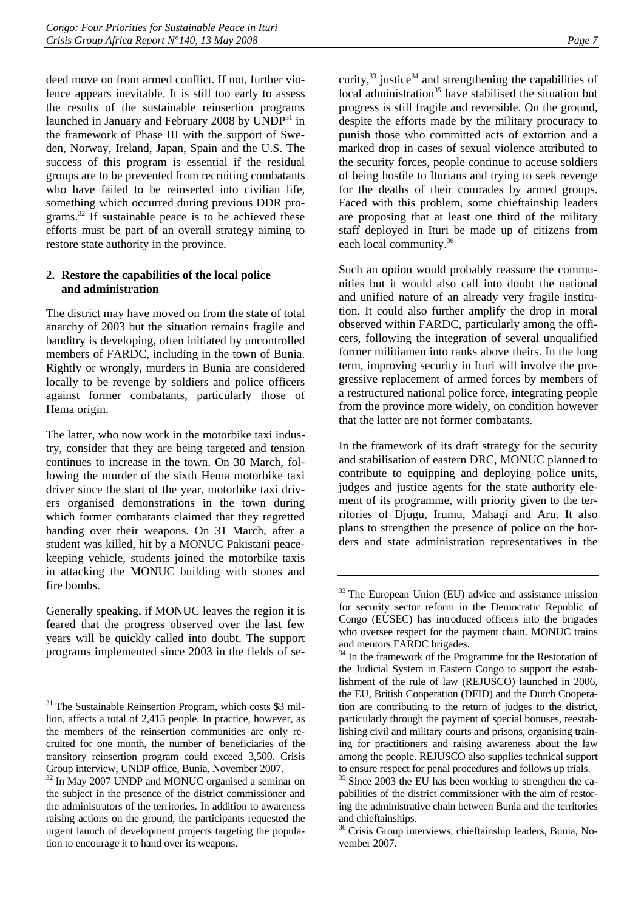deed move on from armed conflict. If not, further violence appears inevitable. It is still too early to assess the results of the sustainable reinsertion programs launched in January and February 2008 by  $\text{UNDP}^{31}$  in the framework of Phase III with the support of Sweden, Norway, Ireland, Japan, Spain and the U.S. The success of this program is essential if the residual groups are to be prevented from recruiting combatants who have failed to be reinserted into civilian life, something which occurred during previous DDR programs.32 If sustainable peace is to be achieved these efforts must be part of an overall strategy aiming to restore state authority in the province.

#### **2. Restore the capabilities of the local police and administration**

The district may have moved on from the state of total anarchy of 2003 but the situation remains fragile and banditry is developing, often initiated by uncontrolled members of FARDC, including in the town of Bunia. Rightly or wrongly, murders in Bunia are considered locally to be revenge by soldiers and police officers against former combatants, particularly those of Hema origin.

The latter, who now work in the motorbike taxi industry, consider that they are being targeted and tension continues to increase in the town. On 30 March, following the murder of the sixth Hema motorbike taxi driver since the start of the year, motorbike taxi drivers organised demonstrations in the town during which former combatants claimed that they regretted handing over their weapons. On 31 March, after a student was killed, hit by a MONUC Pakistani peacekeeping vehicle, students joined the motorbike taxis in attacking the MONUC building with stones and fire bombs.

Generally speaking, if MONUC leaves the region it is feared that the progress observed over the last few years will be quickly called into doubt. The support programs implemented since 2003 in the fields of security, $33$  justice $34$  and strengthening the capabilities of  $local$  administration<sup>35</sup> have stabilised the situation but progress is still fragile and reversible. On the ground, despite the efforts made by the military procuracy to punish those who committed acts of extortion and a marked drop in cases of sexual violence attributed to the security forces, people continue to accuse soldiers of being hostile to Iturians and trying to seek revenge for the deaths of their comrades by armed groups. Faced with this problem, some chieftainship leaders are proposing that at least one third of the military staff deployed in Ituri be made up of citizens from each local community.<sup>36</sup>

Such an option would probably reassure the communities but it would also call into doubt the national and unified nature of an already very fragile institution. It could also further amplify the drop in moral observed within FARDC, particularly among the officers, following the integration of several unqualified former militiamen into ranks above theirs. In the long term, improving security in Ituri will involve the progressive replacement of armed forces by members of a restructured national police force, integrating people from the province more widely, on condition however that the latter are not former combatants.

In the framework of its draft strategy for the security and stabilisation of eastern DRC, MONUC planned to contribute to equipping and deploying police units, judges and justice agents for the state authority element of its programme, with priority given to the territories of Djugu, Irumu, Mahagi and Aru. It also plans to strengthen the presence of police on the borders and state administration representatives in the

<sup>&</sup>lt;sup>31</sup> The Sustainable Reinsertion Program, which costs \$3 million, affects a total of 2,415 people. In practice, however, as the members of the reinsertion communities are only recruited for one month, the number of beneficiaries of the transitory reinsertion program could exceed 3,500. Crisis Group interview, UNDP office, Bunia, November 2007.

<sup>&</sup>lt;sup>32</sup> In May 2007 UNDP and MONUC organised a seminar on the subject in the presence of the district commissioner and the administrators of the territories. In addition to awareness raising actions on the ground, the participants requested the urgent launch of development projects targeting the population to encourage it to hand over its weapons.

<sup>&</sup>lt;sup>33</sup> The European Union (EU) advice and assistance mission for security sector reform in the Democratic Republic of Congo (EUSEC) has introduced officers into the brigades who oversee respect for the payment chain. MONUC trains and mentors FARDC brigades.

<sup>&</sup>lt;sup>34</sup> In the framework of the Programme for the Restoration of the Judicial System in Eastern Congo to support the establishment of the rule of law (REJUSCO) launched in 2006, the EU, British Cooperation (DFID) and the Dutch Cooperation are contributing to the return of judges to the district, particularly through the payment of special bonuses, reestablishing civil and military courts and prisons, organising training for practitioners and raising awareness about the law among the people. REJUSCO also supplies technical support to ensure respect for penal procedures and follows up trials.

<sup>&</sup>lt;sup>35</sup> Since 2003 the EU has been working to strengthen the capabilities of the district commissioner with the aim of restoring the administrative chain between Bunia and the territories and chieftainships.

<sup>&</sup>lt;sup>36</sup> Crisis Group interviews, chieftainship leaders, Bunia, November 2007.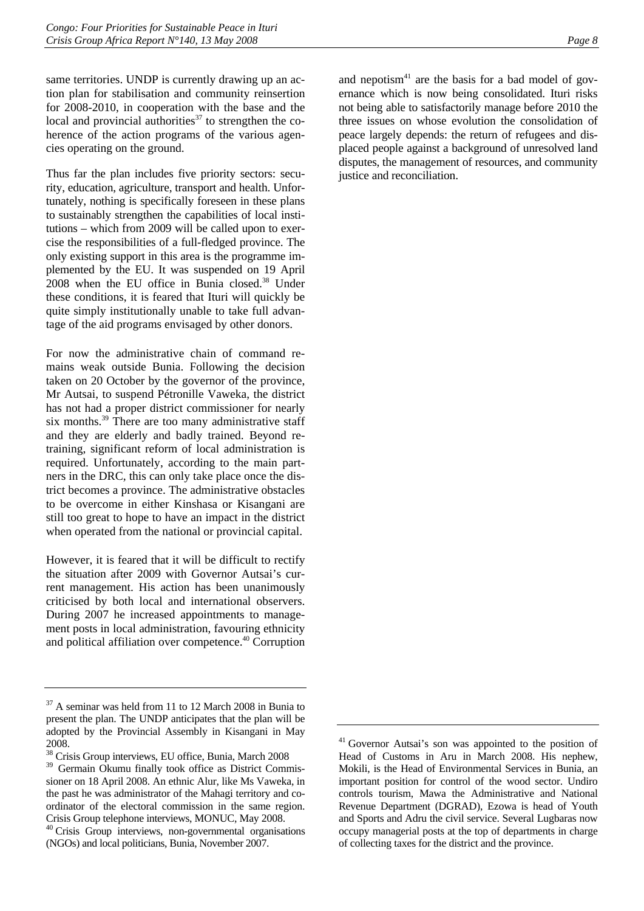same territories. UNDP is currently drawing up an action plan for stabilisation and community reinsertion for 2008-2010, in cooperation with the base and the local and provincial authorities<sup>37</sup> to strengthen the coherence of the action programs of the various agencies operating on the ground.

Thus far the plan includes five priority sectors: security, education, agriculture, transport and health. Unfortunately, nothing is specifically foreseen in these plans to sustainably strengthen the capabilities of local institutions – which from 2009 will be called upon to exercise the responsibilities of a full-fledged province. The only existing support in this area is the programme implemented by the EU. It was suspended on 19 April 2008 when the EU office in Bunia closed.<sup>38</sup> Under these conditions, it is feared that Ituri will quickly be quite simply institutionally unable to take full advantage of the aid programs envisaged by other donors.

For now the administrative chain of command remains weak outside Bunia. Following the decision taken on 20 October by the governor of the province, Mr Autsai, to suspend Pétronille Vaweka, the district has not had a proper district commissioner for nearly six months.<sup>39</sup> There are too many administrative staff and they are elderly and badly trained. Beyond retraining, significant reform of local administration is required. Unfortunately, according to the main partners in the DRC, this can only take place once the district becomes a province. The administrative obstacles to be overcome in either Kinshasa or Kisangani are still too great to hope to have an impact in the district when operated from the national or provincial capital.

However, it is feared that it will be difficult to rectify the situation after 2009 with Governor Autsai's current management. His action has been unanimously criticised by both local and international observers. During 2007 he increased appointments to management posts in local administration, favouring ethnicity and political affiliation over competence.<sup>40</sup> Corruption

and nepotism $41$  are the basis for a bad model of governance which is now being consolidated. Ituri risks not being able to satisfactorily manage before 2010 the three issues on whose evolution the consolidation of peace largely depends: the return of refugees and displaced people against a background of unresolved land disputes, the management of resources, and community justice and reconciliation.

 $37$  A seminar was held from 11 to 12 March 2008 in Bunia to present the plan. The UNDP anticipates that the plan will be adopted by the Provincial Assembly in Kisangani in May 2008.

<sup>38</sup> Crisis Group interviews, EU office, Bunia, March 2008 <sup>39</sup> Germain Okumu finally took office as District Commissioner on 18 April 2008. An ethnic Alur, like Ms Vaweka, in the past he was administrator of the Mahagi territory and coordinator of the electoral commission in the same region. Crisis Group telephone interviews, MONUC, May 2008. 40 Crisis Group interviews, non-governmental organisations (NGOs) and local politicians, Bunia, November 2007.

<sup>41</sup> Governor Autsai's son was appointed to the position of Head of Customs in Aru in March 2008. His nephew, Mokili, is the Head of Environmental Services in Bunia, an important position for control of the wood sector. Undiro controls tourism, Mawa the Administrative and National Revenue Department (DGRAD), Ezowa is head of Youth and Sports and Adru the civil service. Several Lugbaras now occupy managerial posts at the top of departments in charge of collecting taxes for the district and the province.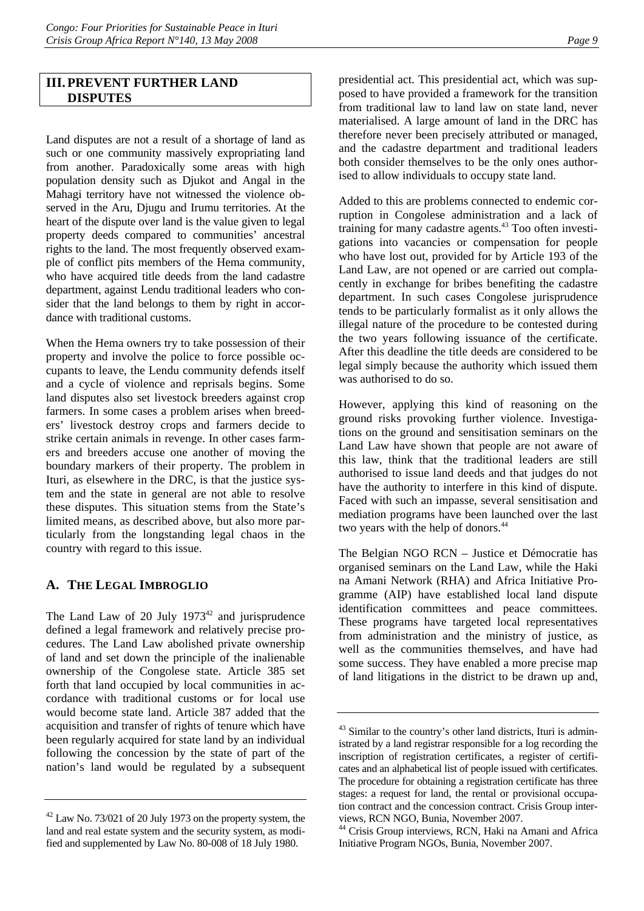## **III.PREVENT FURTHER LAND DISPUTES**

Land disputes are not a result of a shortage of land as such or one community massively expropriating land from another. Paradoxically some areas with high population density such as Djukot and Angal in the Mahagi territory have not witnessed the violence observed in the Aru, Djugu and Irumu territories. At the heart of the dispute over land is the value given to legal property deeds compared to communities' ancestral rights to the land. The most frequently observed example of conflict pits members of the Hema community, who have acquired title deeds from the land cadastre department, against Lendu traditional leaders who consider that the land belongs to them by right in accordance with traditional customs.

When the Hema owners try to take possession of their property and involve the police to force possible occupants to leave, the Lendu community defends itself and a cycle of violence and reprisals begins. Some land disputes also set livestock breeders against crop farmers. In some cases a problem arises when breeders' livestock destroy crops and farmers decide to strike certain animals in revenge. In other cases farmers and breeders accuse one another of moving the boundary markers of their property. The problem in Ituri, as elsewhere in the DRC, is that the justice system and the state in general are not able to resolve these disputes. This situation stems from the State's limited means, as described above, but also more particularly from the longstanding legal chaos in the country with regard to this issue.

## **A. THE LEGAL IMBROGLIO**

The Land Law of 20 July  $1973^{42}$  and jurisprudence defined a legal framework and relatively precise procedures. The Land Law abolished private ownership of land and set down the principle of the inalienable ownership of the Congolese state. Article 385 set forth that land occupied by local communities in accordance with traditional customs or for local use would become state land. Article 387 added that the acquisition and transfer of rights of tenure which have been regularly acquired for state land by an individual following the concession by the state of part of the nation's land would be regulated by a subsequent presidential act. This presidential act, which was supposed to have provided a framework for the transition from traditional law to land law on state land, never materialised. A large amount of land in the DRC has therefore never been precisely attributed or managed, and the cadastre department and traditional leaders both consider themselves to be the only ones authorised to allow individuals to occupy state land.

Added to this are problems connected to endemic corruption in Congolese administration and a lack of training for many cadastre agents.<sup>43</sup> Too often investigations into vacancies or compensation for people who have lost out, provided for by Article 193 of the Land Law, are not opened or are carried out complacently in exchange for bribes benefiting the cadastre department. In such cases Congolese jurisprudence tends to be particularly formalist as it only allows the illegal nature of the procedure to be contested during the two years following issuance of the certificate. After this deadline the title deeds are considered to be legal simply because the authority which issued them was authorised to do so.

However, applying this kind of reasoning on the ground risks provoking further violence. Investigations on the ground and sensitisation seminars on the Land Law have shown that people are not aware of this law, think that the traditional leaders are still authorised to issue land deeds and that judges do not have the authority to interfere in this kind of dispute. Faced with such an impasse, several sensitisation and mediation programs have been launched over the last two years with the help of donors.<sup>44</sup>

The Belgian NGO RCN – Justice et Démocratie has organised seminars on the Land Law, while the Haki na Amani Network (RHA) and Africa Initiative Programme (AIP) have established local land dispute identification committees and peace committees. These programs have targeted local representatives from administration and the ministry of justice, as well as the communities themselves, and have had some success. They have enabled a more precise map of land litigations in the district to be drawn up and,

<sup>42</sup> Law No. 73/021 of 20 July 1973 on the property system, the land and real estate system and the security system, as modified and supplemented by Law No. 80-008 of 18 July 1980.

 $43$  Similar to the country's other land districts, Ituri is administrated by a land registrar responsible for a log recording the inscription of registration certificates, a register of certificates and an alphabetical list of people issued with certificates. The procedure for obtaining a registration certificate has three stages: a request for land, the rental or provisional occupation contract and the concession contract. Crisis Group interviews, RCN NGO, Bunia, November 2007.

<sup>44</sup> Crisis Group interviews, RCN, Haki na Amani and Africa Initiative Program NGOs, Bunia, November 2007.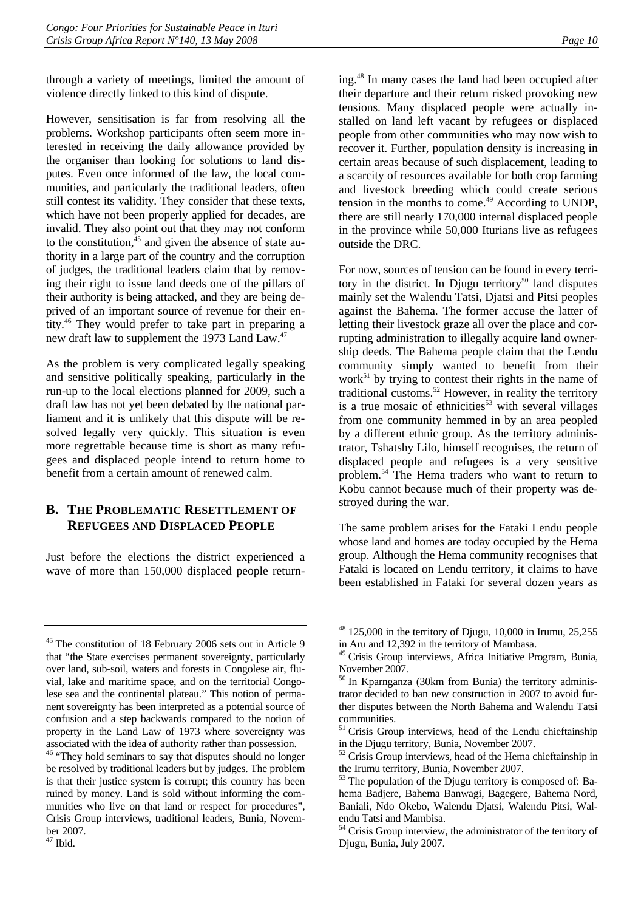through a variety of meetings, limited the amount of violence directly linked to this kind of dispute.

However, sensitisation is far from resolving all the problems. Workshop participants often seem more interested in receiving the daily allowance provided by the organiser than looking for solutions to land disputes. Even once informed of the law, the local communities, and particularly the traditional leaders, often still contest its validity. They consider that these texts, which have not been properly applied for decades, are invalid. They also point out that they may not conform to the constitution, $45$  and given the absence of state authority in a large part of the country and the corruption of judges, the traditional leaders claim that by removing their right to issue land deeds one of the pillars of their authority is being attacked, and they are being deprived of an important source of revenue for their entity.46 They would prefer to take part in preparing a new draft law to supplement the 1973 Land Law.<sup>47</sup>

As the problem is very complicated legally speaking and sensitive politically speaking, particularly in the run-up to the local elections planned for 2009, such a draft law has not yet been debated by the national parliament and it is unlikely that this dispute will be resolved legally very quickly. This situation is even more regrettable because time is short as many refugees and displaced people intend to return home to benefit from a certain amount of renewed calm.

## **B. THE PROBLEMATIC RESETTLEMENT OF REFUGEES AND DISPLACED PEOPLE**

Just before the elections the district experienced a wave of more than 150,000 displaced people returning.48 In many cases the land had been occupied after their departure and their return risked provoking new tensions. Many displaced people were actually installed on land left vacant by refugees or displaced people from other communities who may now wish to recover it. Further, population density is increasing in certain areas because of such displacement, leading to a scarcity of resources available for both crop farming and livestock breeding which could create serious tension in the months to come.<sup>49</sup> According to UNDP, there are still nearly 170,000 internal displaced people in the province while 50,000 Iturians live as refugees outside the DRC.

For now, sources of tension can be found in every territory in the district. In Djugu territory<sup>50</sup> land disputes mainly set the Walendu Tatsi, Djatsi and Pitsi peoples against the Bahema. The former accuse the latter of letting their livestock graze all over the place and corrupting administration to illegally acquire land ownership deeds. The Bahema people claim that the Lendu community simply wanted to benefit from their work $51$  by trying to contest their rights in the name of traditional customs.52 However, in reality the territory is a true mosaic of ethnicities $53$  with several villages from one community hemmed in by an area peopled by a different ethnic group. As the territory administrator, Tshatshy Lilo, himself recognises, the return of displaced people and refugees is a very sensitive problem.54 The Hema traders who want to return to Kobu cannot because much of their property was destroyed during the war.

The same problem arises for the Fataki Lendu people whose land and homes are today occupied by the Hema group. Although the Hema community recognises that Fataki is located on Lendu territory, it claims to have been established in Fataki for several dozen years as

<sup>45</sup> The constitution of 18 February 2006 sets out in Article 9 that "the State exercises permanent sovereignty, particularly over land, sub-soil, waters and forests in Congolese air, fluvial, lake and maritime space, and on the territorial Congolese sea and the continental plateau." This notion of permanent sovereignty has been interpreted as a potential source of confusion and a step backwards compared to the notion of property in the Land Law of 1973 where sovereignty was associated with the idea of authority rather than possession. 46 "They hold seminars to say that disputes should no longer

be resolved by traditional leaders but by judges. The problem is that their justice system is corrupt; this country has been ruined by money. Land is sold without informing the communities who live on that land or respect for procedures", Crisis Group interviews, traditional leaders, Bunia, November 2007.

 $47$  Ibid.

 $48$  125,000 in the territory of Djugu, 10,000 in Irumu, 25,255 in Aru and 12,392 in the territory of Mambasa.

<sup>49</sup> Crisis Group interviews, Africa Initiative Program, Bunia, November 2007.

<sup>50</sup> In Kparnganza (30km from Bunia) the territory administrator decided to ban new construction in 2007 to avoid further disputes between the North Bahema and Walendu Tatsi communities.

<sup>&</sup>lt;sup>51</sup> Crisis Group interviews, head of the Lendu chieftainship in the Djugu territory, Bunia, November 2007.

 $52$  Crisis Group interviews, head of the Hema chieftainship in the Irumu territory, Bunia, November 2007.

The population of the Djugu territory is composed of: Bahema Badjere, Bahema Banwagi, Bagegere, Bahema Nord, Baniali, Ndo Okebo, Walendu Djatsi, Walendu Pitsi, Walendu Tatsi and Mambisa.

<sup>54</sup> Crisis Group interview, the administrator of the territory of Djugu, Bunia, July 2007.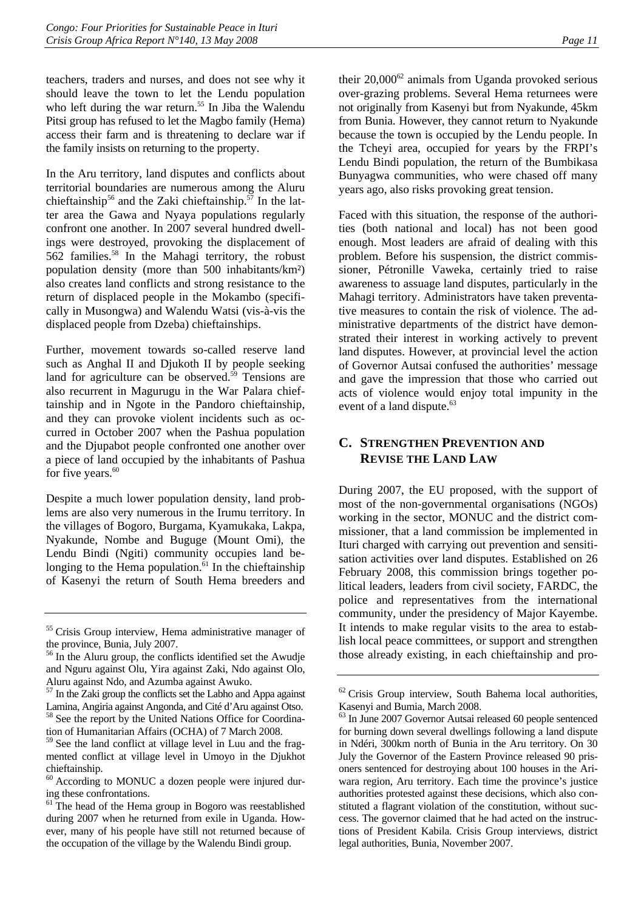teachers, traders and nurses, and does not see why it should leave the town to let the Lendu population who left during the war return.<sup>55</sup> In Jiba the Walendu Pitsi group has refused to let the Magbo family (Hema) access their farm and is threatening to declare war if the family insists on returning to the property.

In the Aru territory, land disputes and conflicts about territorial boundaries are numerous among the Aluru chieftainship<sup>56</sup> and the Zaki chieftainship.<sup>57</sup> In the latter area the Gawa and Nyaya populations regularly confront one another. In 2007 several hundred dwellings were destroyed, provoking the displacement of 562 families.58 In the Mahagi territory, the robust population density (more than 500 inhabitants/km²) also creates land conflicts and strong resistance to the return of displaced people in the Mokambo (specifically in Musongwa) and Walendu Watsi (vis-à-vis the displaced people from Dzeba) chieftainships.

Further, movement towards so-called reserve land such as Anghal II and Djukoth II by people seeking land for agriculture can be observed. $59$  Tensions are also recurrent in Magurugu in the War Palara chieftainship and in Ngote in the Pandoro chieftainship, and they can provoke violent incidents such as occurred in October 2007 when the Pashua population and the Djupabot people confronted one another over a piece of land occupied by the inhabitants of Pashua for five years.<sup>60</sup>

Despite a much lower population density, land problems are also very numerous in the Irumu territory. In the villages of Bogoro, Burgama, Kyamukaka, Lakpa, Nyakunde, Nombe and Buguge (Mount Omi), the Lendu Bindi (Ngiti) community occupies land belonging to the Hema population. $61$  In the chieftainship of Kasenyi the return of South Hema breeders and

<sup>57</sup> In the Zaki group the conflicts set the Labho and Appa against Lamina, Angiria against Angonda, and Cité d'Aru against Otso. 58 See the report by the United Nations Office for Coordinatheir  $20,000^{62}$  animals from Uganda provoked serious over-grazing problems. Several Hema returnees were not originally from Kasenyi but from Nyakunde, 45km from Bunia. However, they cannot return to Nyakunde because the town is occupied by the Lendu people. In the Tcheyi area, occupied for years by the FRPI's Lendu Bindi population, the return of the Bumbikasa Bunyagwa communities, who were chased off many years ago, also risks provoking great tension.

Faced with this situation, the response of the authorities (both national and local) has not been good enough. Most leaders are afraid of dealing with this problem. Before his suspension, the district commissioner, Pétronille Vaweka, certainly tried to raise awareness to assuage land disputes, particularly in the Mahagi territory. Administrators have taken preventative measures to contain the risk of violence. The administrative departments of the district have demonstrated their interest in working actively to prevent land disputes. However, at provincial level the action of Governor Autsai confused the authorities' message and gave the impression that those who carried out acts of violence would enjoy total impunity in the event of a land dispute.<sup>63</sup>

## **C. STRENGTHEN PREVENTION AND REVISE THE LAND LAW**

During 2007, the EU proposed, with the support of most of the non-governmental organisations (NGOs) working in the sector, MONUC and the district commissioner, that a land commission be implemented in Ituri charged with carrying out prevention and sensitisation activities over land disputes. Established on 26 February 2008, this commission brings together political leaders, leaders from civil society, FARDC, the police and representatives from the international community, under the presidency of Major Kayembe. It intends to make regular visits to the area to establish local peace committees, or support and strengthen those already existing, in each chieftainship and pro-

<sup>55</sup> Crisis Group interview, Hema administrative manager of the province, Bunia, July 2007.

<sup>&</sup>lt;sup>56</sup> In the Aluru group, the conflicts identified set the Awudje and Nguru against Olu, Yira against Zaki, Ndo against Olo, Aluru against Ndo, and Azumba against Awuko.

tion of Humanitarian Affairs (OCHA) of 7 March 2008. 59 See the land conflict at village level in Luu and the fragmented conflict at village level in Umoyo in the Djukhot chieftainship.

<sup>60</sup> According to MONUC a dozen people were injured during these confrontations.

 $61$  The head of the Hema group in Bogoro was reestablished during 2007 when he returned from exile in Uganda. However, many of his people have still not returned because of the occupation of the village by the Walendu Bindi group.

 $62$  Crisis Group interview, South Bahema local authorities, Kasenyi and Bumia, March 2008.

<sup>&</sup>lt;sup>63</sup> In June 2007 Governor Autsai released 60 people sentenced for burning down several dwellings following a land dispute in Ndéri, 300km north of Bunia in the Aru territory. On 30 July the Governor of the Eastern Province released 90 prisoners sentenced for destroying about 100 houses in the Ariwara region, Aru territory. Each time the province's justice authorities protested against these decisions, which also constituted a flagrant violation of the constitution, without success. The governor claimed that he had acted on the instructions of President Kabila. Crisis Group interviews, district legal authorities, Bunia, November 2007.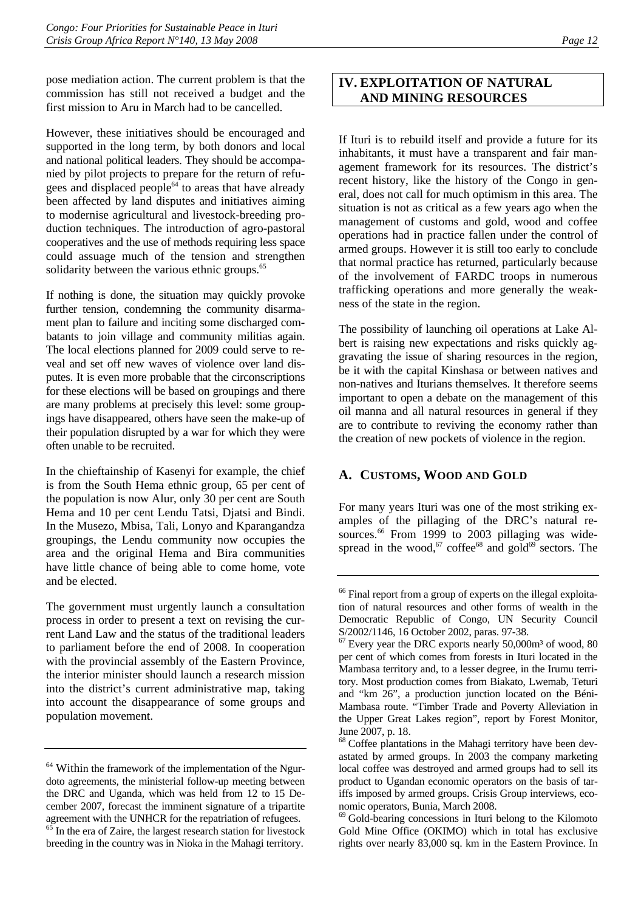pose mediation action. The current problem is that the commission has still not received a budget and the first mission to Aru in March had to be cancelled.

However, these initiatives should be encouraged and supported in the long term, by both donors and local and national political leaders. They should be accompanied by pilot projects to prepare for the return of refugees and displaced people $^{64}$  to areas that have already been affected by land disputes and initiatives aiming to modernise agricultural and livestock-breeding production techniques. The introduction of agro-pastoral cooperatives and the use of methods requiring less space could assuage much of the tension and strengthen solidarity between the various ethnic groups.<sup>65</sup>

If nothing is done, the situation may quickly provoke further tension, condemning the community disarmament plan to failure and inciting some discharged combatants to join village and community militias again. The local elections planned for 2009 could serve to reveal and set off new waves of violence over land disputes. It is even more probable that the circonscriptions for these elections will be based on groupings and there are many problems at precisely this level: some groupings have disappeared, others have seen the make-up of their population disrupted by a war for which they were often unable to be recruited.

In the chieftainship of Kasenyi for example, the chief is from the South Hema ethnic group, 65 per cent of the population is now Alur, only 30 per cent are South Hema and 10 per cent Lendu Tatsi, Djatsi and Bindi. In the Musezo, Mbisa, Tali, Lonyo and Kparangandza groupings, the Lendu community now occupies the area and the original Hema and Bira communities have little chance of being able to come home, vote and be elected.

The government must urgently launch a consultation process in order to present a text on revising the current Land Law and the status of the traditional leaders to parliament before the end of 2008. In cooperation with the provincial assembly of the Eastern Province, the interior minister should launch a research mission into the district's current administrative map, taking into account the disappearance of some groups and population movement.

## **IV. EXPLOITATION OF NATURAL AND MINING RESOURCES**

If Ituri is to rebuild itself and provide a future for its inhabitants, it must have a transparent and fair management framework for its resources. The district's recent history, like the history of the Congo in general, does not call for much optimism in this area. The situation is not as critical as a few years ago when the management of customs and gold, wood and coffee operations had in practice fallen under the control of armed groups. However it is still too early to conclude that normal practice has returned, particularly because of the involvement of FARDC troops in numerous trafficking operations and more generally the weakness of the state in the region.

The possibility of launching oil operations at Lake Albert is raising new expectations and risks quickly aggravating the issue of sharing resources in the region, be it with the capital Kinshasa or between natives and non-natives and Iturians themselves. It therefore seems important to open a debate on the management of this oil manna and all natural resources in general if they are to contribute to reviving the economy rather than the creation of new pockets of violence in the region.

## **A. CUSTOMS, WOOD AND GOLD**

For many years Ituri was one of the most striking examples of the pillaging of the DRC's natural resources.<sup>66</sup> From 1999 to 2003 pillaging was widespread in the wood,<sup>67</sup> coffee<sup>68</sup> and gold<sup>69</sup> sectors. The

 $64$  Within the framework of the implementation of the Ngurdoto agreements, the ministerial follow-up meeting between the DRC and Uganda, which was held from 12 to 15 December 2007, forecast the imminent signature of a tripartite agreement with the UNHCR for the repatriation of refugees.<br><sup>65</sup> In the era of Zaire, the largest research station for livestock breeding in the country was in Nioka in the Mahagi territory.

<sup>&</sup>lt;sup>66</sup> Final report from a group of experts on the illegal exploitation of natural resources and other forms of wealth in the Democratic Republic of Congo, UN Security Council S/2002/1146, 16 October 2002, paras. 97-38.

 $67$  Every year the DRC exports nearly 50,000 $m<sup>3</sup>$  of wood, 80 per cent of which comes from forests in Ituri located in the Mambasa territory and, to a lesser degree, in the Irumu territory. Most production comes from Biakato, Lwemab, Teturi and "km 26", a production junction located on the Béni-Mambasa route. "Timber Trade and Poverty Alleviation in the Upper Great Lakes region", report by Forest Monitor, June 2007, p. 18.

<sup>&</sup>lt;sup>68</sup> Coffee plantations in the Mahagi territory have been devastated by armed groups. In 2003 the company marketing local coffee was destroyed and armed groups had to sell its product to Ugandan economic operators on the basis of tariffs imposed by armed groups. Crisis Group interviews, economic operators, Bunia, March 2008.

<sup>69</sup> Gold-bearing concessions in Ituri belong to the Kilomoto Gold Mine Office (OKIMO) which in total has exclusive rights over nearly 83,000 sq. km in the Eastern Province. In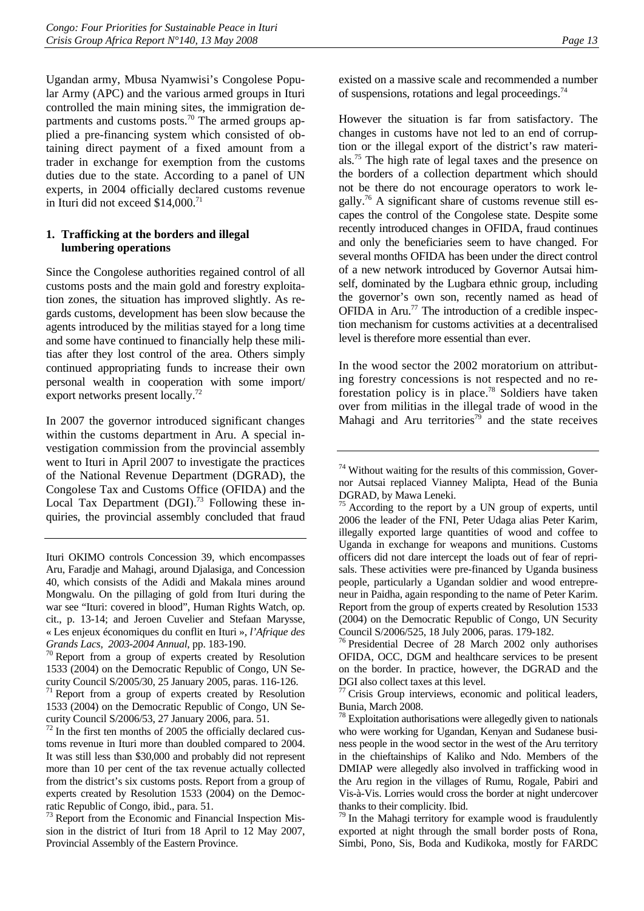Ugandan army, Mbusa Nyamwisi's Congolese Popular Army (APC) and the various armed groups in Ituri controlled the main mining sites, the immigration departments and customs posts.<sup>70</sup> The armed groups applied a pre-financing system which consisted of obtaining direct payment of a fixed amount from a trader in exchange for exemption from the customs duties due to the state. According to a panel of UN experts, in 2004 officially declared customs revenue in Ituri did not exceed  $$14,000$ .<sup>71</sup>

#### **1. Trafficking at the borders and illegal lumbering operations**

Since the Congolese authorities regained control of all customs posts and the main gold and forestry exploitation zones, the situation has improved slightly. As regards customs, development has been slow because the agents introduced by the militias stayed for a long time and some have continued to financially help these militias after they lost control of the area. Others simply continued appropriating funds to increase their own personal wealth in cooperation with some import/ export networks present locally.<sup>72</sup>

In 2007 the governor introduced significant changes within the customs department in Aru. A special investigation commission from the provincial assembly went to Ituri in April 2007 to investigate the practices of the National Revenue Department (DGRAD), the Congolese Tax and Customs Office (OFIDA) and the Local Tax Department  $(DGI)$ .<sup>73</sup> Following these inquiries, the provincial assembly concluded that fraud

1533 (2004) on the Democratic Republic of Congo, UN Security Council S/2005/30, 25 January 2005, paras. 116-126.

 $71$  Report from a group of experts created by Resolution 1533 (2004) on the Democratic Republic of Congo, UN Security Council S/2006/53, 27 January 2006, para. 51.

 $72$  In the first ten months of 2005 the officially declared customs revenue in Ituri more than doubled compared to 2004. It was still less than \$30,000 and probably did not represent more than 10 per cent of the tax revenue actually collected from the district's six customs posts. Report from a group of experts created by Resolution 1533 (2004) on the Democratic Republic of Congo, ibid., para. 51.

<sup>73</sup> Report from the Economic and Financial Inspection Mission in the district of Ituri from 18 April to 12 May 2007, Provincial Assembly of the Eastern Province.

However the situation is far from satisfactory. The changes in customs have not led to an end of corruption or the illegal export of the district's raw materials.75 The high rate of legal taxes and the presence on the borders of a collection department which should not be there do not encourage operators to work legally.76 A significant share of customs revenue still escapes the control of the Congolese state. Despite some recently introduced changes in OFIDA, fraud continues and only the beneficiaries seem to have changed. For several months OFIDA has been under the direct control of a new network introduced by Governor Autsai himself, dominated by the Lugbara ethnic group, including the governor's own son, recently named as head of OFIDA in Aru.<sup>77</sup> The introduction of a credible inspection mechanism for customs activities at a decentralised level is therefore more essential than ever.

In the wood sector the 2002 moratorium on attributing forestry concessions is not respected and no reforestation policy is in place.78 Soldiers have taken over from militias in the illegal trade of wood in the Mahagi and Aru territories<sup>79</sup> and the state receives

76 Presidential Decree of 28 March 2002 only authorises OFIDA, OCC, DGM and healthcare services to be present on the border. In practice, however, the DGRAD and the DGI also collect taxes at this level.

Crisis Group interviews, economic and political leaders, Bunia, March 2008.

 $78$  Exploitation authorisations were allegedly given to nationals who were working for Ugandan, Kenyan and Sudanese business people in the wood sector in the west of the Aru territory in the chieftainships of Kaliko and Ndo. Members of the DMIAP were allegedly also involved in trafficking wood in the Aru region in the villages of Rumu, Rogale, Pabiri and Vis-à-Vis. Lorries would cross the border at night undercover thanks to their complicity. Ibid.

 $79$  In the Mahagi territory for example wood is fraudulently exported at night through the small border posts of Rona, Simbi, Pono, Sis, Boda and Kudikoka, mostly for FARDC

Ituri OKIMO controls Concession 39, which encompasses Aru, Faradje and Mahagi, around Djalasiga, and Concession 40, which consists of the Adidi and Makala mines around Mongwalu. On the pillaging of gold from Ituri during the war see "Ituri: covered in blood", Human Rights Watch, op. cit., p. 13-14; and Jeroen Cuvelier and Stefaan Marysse, « Les enjeux économiques du conflit en Ituri », *l'Afrique des Grands Lacs, 2003-2004 Annual*, pp. 183-190. 70 Report from a group of experts created by Resolution

<sup>74</sup> Without waiting for the results of this commission, Governor Autsai replaced Vianney Malipta, Head of the Bunia DGRAD, by Mawa Leneki.

According to the report by a UN group of experts, until 2006 the leader of the FNI, Peter Udaga alias Peter Karim, illegally exported large quantities of wood and coffee to Uganda in exchange for weapons and munitions. Customs officers did not dare intercept the loads out of fear of reprisals. These activities were pre-financed by Uganda business people, particularly a Ugandan soldier and wood entrepreneur in Paidha, again responding to the name of Peter Karim. Report from the group of experts created by Resolution 1533 (2004) on the Democratic Republic of Congo, UN Security Council S/2006/525, 18 July 2006, paras. 179-182.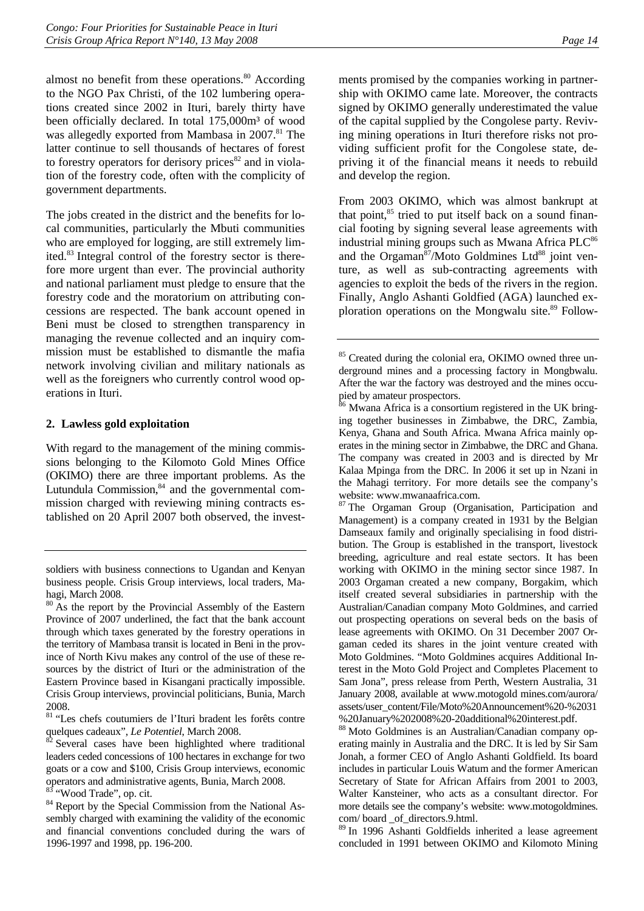almost no benefit from these operations. $80$  According to the NGO Pax Christi, of the 102 lumbering operations created since 2002 in Ituri, barely thirty have been officially declared. In total 175,000m<sup>3</sup> of wood was allegedly exported from Mambasa in 2007.<sup>81</sup> The latter continue to sell thousands of hectares of forest to forestry operators for derisory prices $82$  and in violation of the forestry code, often with the complicity of government departments.

The jobs created in the district and the benefits for local communities, particularly the Mbuti communities who are employed for logging, are still extremely limited.83 Integral control of the forestry sector is therefore more urgent than ever. The provincial authority and national parliament must pledge to ensure that the forestry code and the moratorium on attributing concessions are respected. The bank account opened in Beni must be closed to strengthen transparency in managing the revenue collected and an inquiry commission must be established to dismantle the mafia network involving civilian and military nationals as well as the foreigners who currently control wood operations in Ituri.

#### **2. Lawless gold exploitation**

With regard to the management of the mining commissions belonging to the Kilomoto Gold Mines Office (OKIMO) there are three important problems. As the Lutundula Commission, $84$  and the governmental commission charged with reviewing mining contracts established on 20 April 2007 both observed, the invest-

ments promised by the companies working in partnership with OKIMO came late. Moreover, the contracts signed by OKIMO generally underestimated the value of the capital supplied by the Congolese party. Reviving mining operations in Ituri therefore risks not providing sufficient profit for the Congolese state, depriving it of the financial means it needs to rebuild and develop the region.

From 2003 OKIMO, which was almost bankrupt at that point, $^{85}$  tried to put itself back on a sound financial footing by signing several lease agreements with industrial mining groups such as Mwana Africa  $PLC<sup>86</sup>$ and the Orgaman $87/M$ oto Goldmines Ltd $88$  joint venture, as well as sub-contracting agreements with agencies to exploit the beds of the rivers in the region. Finally, Anglo Ashanti Goldfied (AGA) launched exploration operations on the Mongwalu site.<sup>89</sup> Follow-

<sup>87</sup> The Orgaman Group (Organisation, Participation and Management) is a company created in 1931 by the Belgian Damseaux family and originally specialising in food distribution. The Group is established in the transport, livestock breeding, agriculture and real estate sectors. It has been working with OKIMO in the mining sector since 1987. In 2003 Orgaman created a new company, Borgakim, which itself created several subsidiaries in partnership with the Australian/Canadian company Moto Goldmines, and carried out prospecting operations on several beds on the basis of lease agreements with OKIMO. On 31 December 2007 Orgaman ceded its shares in the joint venture created with Moto Goldmines. "Moto Goldmines acquires Additional Interest in the Moto Gold Project and Completes Placement to Sam Jona", press release from Perth, Western Australia, 31 January 2008, available at www.motogold mines.com/aurora/ assets/user\_content/File/Moto%20Announcement%20-%2031 %20January%202008%20-20additional%20interest.pdf.

88 Moto Goldmines is an Australian/Canadian company operating mainly in Australia and the DRC. It is led by Sir Sam Jonah, a former CEO of Anglo Ashanti Goldfield. Its board includes in particular Louis Watum and the former American Secretary of State for African Affairs from 2001 to 2003, Walter Kansteiner, who acts as a consultant director. For more details see the company's website: www.motogoldmines. com/ board \_of\_directors.9.html.

89 In 1996 Ashanti Goldfields inherited a lease agreement concluded in 1991 between OKIMO and Kilomoto Mining

soldiers with business connections to Ugandan and Kenyan business people. Crisis Group interviews, local traders, Mahagi, March 2008.

<sup>&</sup>lt;sup>80</sup> As the report by the Provincial Assembly of the Eastern Province of 2007 underlined, the fact that the bank account through which taxes generated by the forestry operations in the territory of Mambasa transit is located in Beni in the province of North Kivu makes any control of the use of these resources by the district of Ituri or the administration of the Eastern Province based in Kisangani practically impossible. Crisis Group interviews, provincial politicians, Bunia, March 2008.

<sup>81 &</sup>quot;Les chefs coutumiers de l'Ituri bradent les forêts contre quelques cadeaux", *Le Potentiel*, March 2008.<br><sup>82</sup> Several cases have been highlighted where traditional

leaders ceded concessions of 100 hectares in exchange for two goats or a cow and \$100, Crisis Group interviews, economic operators and administrative agents, Bunia, March 2008. 83 "Wood Trade", op. cit.

<sup>&</sup>lt;sup>84</sup> Report by the Special Commission from the National Assembly charged with examining the validity of the economic and financial conventions concluded during the wars of 1996-1997 and 1998, pp. 196-200.

<sup>&</sup>lt;sup>85</sup> Created during the colonial era, OKIMO owned three underground mines and a processing factory in Mongbwalu. After the war the factory was destroyed and the mines occupied by amateur prospectors.<br><sup>86</sup> Mwana Africa is a consortium registered in the UK bring-

ing together businesses in Zimbabwe, the DRC, Zambia, Kenya, Ghana and South Africa. Mwana Africa mainly operates in the mining sector in Zimbabwe, the DRC and Ghana. The company was created in 2003 and is directed by Mr Kalaa Mpinga from the DRC. In 2006 it set up in Nzani in the Mahagi territory. For more details see the company's website: www.mwanaafrica.com.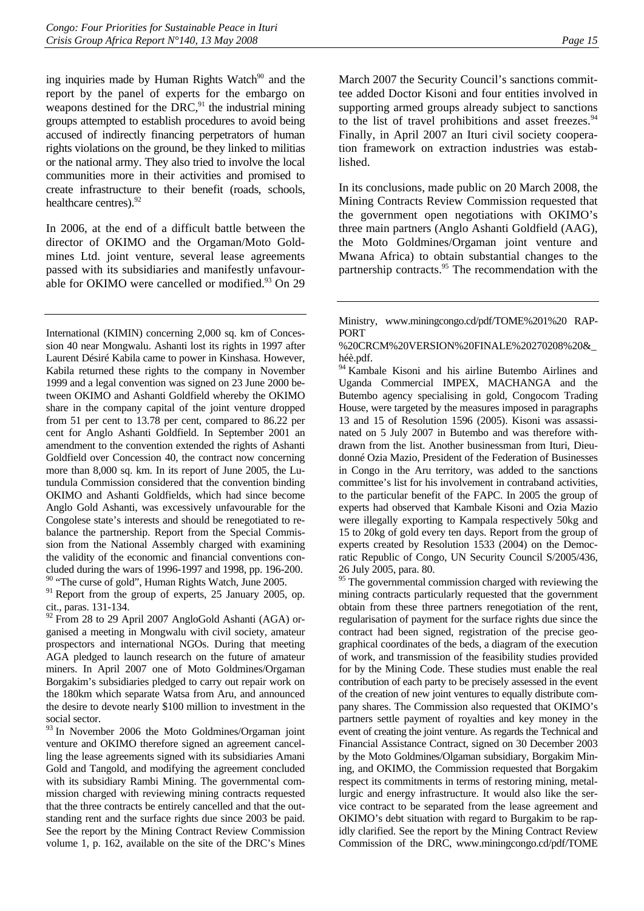ing inquiries made by Human Rights Watch $90$  and the report by the panel of experts for the embargo on weapons destined for the DRC, $91$  the industrial mining groups attempted to establish procedures to avoid being accused of indirectly financing perpetrators of human rights violations on the ground, be they linked to militias or the national army. They also tried to involve the local communities more in their activities and promised to create infrastructure to their benefit (roads, schools, healthcare centres). $92$ 

In 2006, at the end of a difficult battle between the director of OKIMO and the Orgaman/Moto Goldmines Ltd. joint venture, several lease agreements passed with its subsidiaries and manifestly unfavourable for OKIMO were cancelled or modified.<sup>93</sup> On 29

International (KIMIN) concerning 2,000 sq. km of Concession 40 near Mongwalu. Ashanti lost its rights in 1997 after Laurent Désiré Kabila came to power in Kinshasa. However, Kabila returned these rights to the company in November 1999 and a legal convention was signed on 23 June 2000 between OKIMO and Ashanti Goldfield whereby the OKIMO share in the company capital of the joint venture dropped from 51 per cent to 13.78 per cent, compared to 86.22 per cent for Anglo Ashanti Goldfield. In September 2001 an amendment to the convention extended the rights of Ashanti Goldfield over Concession 40, the contract now concerning more than 8,000 sq. km. In its report of June 2005, the Lutundula Commission considered that the convention binding OKIMO and Ashanti Goldfields, which had since become Anglo Gold Ashanti, was excessively unfavourable for the Congolese state's interests and should be renegotiated to rebalance the partnership. Report from the Special Commission from the National Assembly charged with examining the validity of the economic and financial conventions concluded during the wars of 1996-1997 and 1998, pp. 196-200. <sup>90</sup> "The curse of gold", Human Rights Watch, June 2005.

<sup>91</sup> Report from the group of experts, 25 January 2005, op. cit., paras. 131-134.

<sup>92</sup> From 28 to 29 April 2007 AngloGold Ashanti (AGA) organised a meeting in Mongwalu with civil society, amateur prospectors and international NGOs. During that meeting AGA pledged to launch research on the future of amateur miners. In April 2007 one of Moto Goldmines/Orgaman Borgakim's subsidiaries pledged to carry out repair work on the 180km which separate Watsa from Aru, and announced the desire to devote nearly \$100 million to investment in the social sector.

<sup>93</sup> In November 2006 the Moto Goldmines/Orgaman joint venture and OKIMO therefore signed an agreement cancelling the lease agreements signed with its subsidiaries Amani Gold and Tangold, and modifying the agreement concluded with its subsidiary Rambi Mining. The governmental commission charged with reviewing mining contracts requested that the three contracts be entirely cancelled and that the outstanding rent and the surface rights due since 2003 be paid. See the report by the Mining Contract Review Commission volume 1, p. 162, available on the site of the DRC's Mines

March 2007 the Security Council's sanctions committee added Doctor Kisoni and four entities involved in supporting armed groups already subject to sanctions to the list of travel prohibitions and asset freezes. $94$ Finally, in April 2007 an Ituri civil society cooperation framework on extraction industries was established.

In its conclusions, made public on 20 March 2008, the Mining Contracts Review Commission requested that the government open negotiations with OKIMO's three main partners (Anglo Ashanti Goldfield (AAG), the Moto Goldmines/Orgaman joint venture and Mwana Africa) to obtain substantial changes to the partnership contracts.<sup>95</sup> The recommendation with the

<sup>94</sup> Kambale Kisoni and his airline Butembo Airlines and Uganda Commercial IMPEX, MACHANGA and the Butembo agency specialising in gold, Congocom Trading House, were targeted by the measures imposed in paragraphs 13 and 15 of Resolution 1596 (2005). Kisoni was assassinated on 5 July 2007 in Butembo and was therefore withdrawn from the list. Another businessman from Ituri, Dieudonné Ozia Mazio, President of the Federation of Businesses in Congo in the Aru territory, was added to the sanctions committee's list for his involvement in contraband activities, to the particular benefit of the FAPC. In 2005 the group of experts had observed that Kambale Kisoni and Ozia Mazio were illegally exporting to Kampala respectively 50kg and 15 to 20kg of gold every ten days. Report from the group of experts created by Resolution 1533 (2004) on the Democratic Republic of Congo, UN Security Council S/2005/436, 26 July 2005, para. 80.

<sup>95</sup> The governmental commission charged with reviewing the mining contracts particularly requested that the government obtain from these three partners renegotiation of the rent, regularisation of payment for the surface rights due since the contract had been signed, registration of the precise geographical coordinates of the beds, a diagram of the execution of work, and transmission of the feasibility studies provided for by the Mining Code. These studies must enable the real contribution of each party to be precisely assessed in the event of the creation of new joint ventures to equally distribute company shares. The Commission also requested that OKIMO's partners settle payment of royalties and key money in the event of creating the joint venture. As regards the Technical and Financial Assistance Contract, signed on 30 December 2003 by the Moto Goldmines/Olgaman subsidiary, Borgakim Mining, and OKIMO, the Commission requested that Borgakim respect its commitments in terms of restoring mining, metallurgic and energy infrastructure. It would also like the service contract to be separated from the lease agreement and OKIMO's debt situation with regard to Burgakim to be rapidly clarified. See the report by the Mining Contract Review Commission of the DRC, www.miningcongo.cd/pdf/TOME

Ministry, www.miningcongo.cd/pdf/TOME%201%20 RAP-PORT

<sup>%20</sup>CRCM%20VERSION%20FINALE%20270208%20&\_ héè.pdf.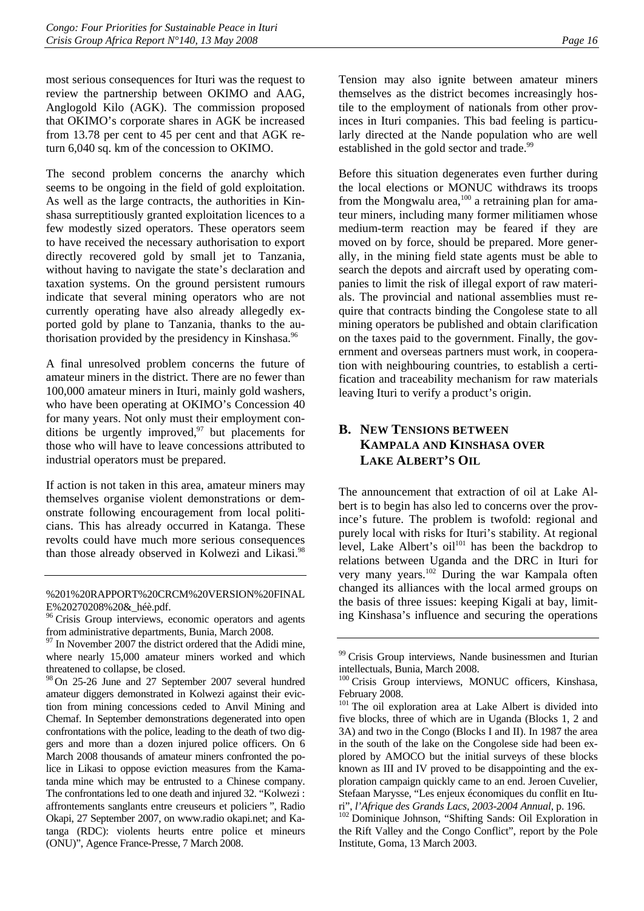most serious consequences for Ituri was the request to review the partnership between OKIMO and AAG, Anglogold Kilo (AGK). The commission proposed that OKIMO's corporate shares in AGK be increased from 13.78 per cent to 45 per cent and that AGK return 6,040 sq. km of the concession to OKIMO.

The second problem concerns the anarchy which seems to be ongoing in the field of gold exploitation. As well as the large contracts, the authorities in Kinshasa surreptitiously granted exploitation licences to a few modestly sized operators. These operators seem to have received the necessary authorisation to export directly recovered gold by small jet to Tanzania, without having to navigate the state's declaration and taxation systems. On the ground persistent rumours indicate that several mining operators who are not currently operating have also already allegedly exported gold by plane to Tanzania, thanks to the authorisation provided by the presidency in Kinshasa.<sup>96</sup>

A final unresolved problem concerns the future of amateur miners in the district. There are no fewer than 100,000 amateur miners in Ituri, mainly gold washers, who have been operating at OKIMO's Concession 40 for many years. Not only must their employment conditions be urgently improved, $97$  but placements for those who will have to leave concessions attributed to industrial operators must be prepared.

If action is not taken in this area, amateur miners may themselves organise violent demonstrations or demonstrate following encouragement from local politicians. This has already occurred in Katanga. These revolts could have much more serious consequences than those already observed in Kolwezi and Likasi.<sup>98</sup>

98 On 25-26 June and 27 September 2007 several hundred amateur diggers demonstrated in Kolwezi against their eviction from mining concessions ceded to Anvil Mining and Chemaf. In September demonstrations degenerated into open confrontations with the police, leading to the death of two diggers and more than a dozen injured police officers. On 6 March 2008 thousands of amateur miners confronted the police in Likasi to oppose eviction measures from the Kamatanda mine which may be entrusted to a Chinese company. The confrontations led to one death and injured 32. "Kolwezi : affrontements sanglants entre creuseurs et policiers ", Radio Okapi, 27 September 2007, on www.radio okapi.net; and Katanga (RDC): violents heurts entre police et mineurs (ONU)", Agence France-Presse, 7 March 2008.

Tension may also ignite between amateur miners themselves as the district becomes increasingly hostile to the employment of nationals from other provinces in Ituri companies. This bad feeling is particularly directed at the Nande population who are well established in the gold sector and trade.<sup>99</sup>

Before this situation degenerates even further during the local elections or MONUC withdraws its troops from the Mongwalu area, $100$  a retraining plan for amateur miners, including many former militiamen whose medium-term reaction may be feared if they are moved on by force, should be prepared. More generally, in the mining field state agents must be able to search the depots and aircraft used by operating companies to limit the risk of illegal export of raw materials. The provincial and national assemblies must require that contracts binding the Congolese state to all mining operators be published and obtain clarification on the taxes paid to the government. Finally, the government and overseas partners must work, in cooperation with neighbouring countries, to establish a certification and traceability mechanism for raw materials leaving Ituri to verify a product's origin.

## **B. NEW TENSIONS BETWEEN KAMPALA AND KINSHASA OVER LAKE ALBERT'S OIL**

The announcement that extraction of oil at Lake Albert is to begin has also led to concerns over the province's future. The problem is twofold: regional and purely local with risks for Ituri's stability. At regional level, Lake Albert's  $\delta$ <sub>1</sub><sup>101</sup> has been the backdrop to relations between Uganda and the DRC in Ituri for very many years.102 During the war Kampala often changed its alliances with the local armed groups on the basis of three issues: keeping Kigali at bay, limiting Kinshasa's influence and securing the operations

ri", *l'Afrique des Grands Lacs, 2003-2004 Annual*, p. 196. 102 Dominique Johnson, "Shifting Sands: Oil Exploration in the Rift Valley and the Congo Conflict", report by the Pole Institute, Goma, 13 March 2003.

<sup>%201%20</sup>RAPPORT%20CRCM%20VERSION%20FINAL E%20270208%20&héè.pdf.

<sup>&</sup>lt;sup>96</sup> Crisis Group interviews, economic operators and agents from administrative departments, Bunia, March 2008.

 $97$  In November 2007 the district ordered that the Adidi mine, where nearly 15,000 amateur miners worked and which threatened to collapse, be closed.

<sup>&</sup>lt;sup>99</sup> Crisis Group interviews, Nande businessmen and Iturian intellectuals, Bunia, March 2008.

<sup>&</sup>lt;sup>100</sup> Crisis Group interviews, MONUC officers, Kinshasa, February 2008.

<sup>&</sup>lt;sup>101</sup> The oil exploration area at Lake Albert is divided into five blocks, three of which are in Uganda (Blocks 1, 2 and 3A) and two in the Congo (Blocks I and II). In 1987 the area in the south of the lake on the Congolese side had been explored by AMOCO but the initial surveys of these blocks known as III and IV proved to be disappointing and the exploration campaign quickly came to an end. Jeroen Cuvelier, Stefaan Marysse, "Les enjeux économiques du conflit en Itu-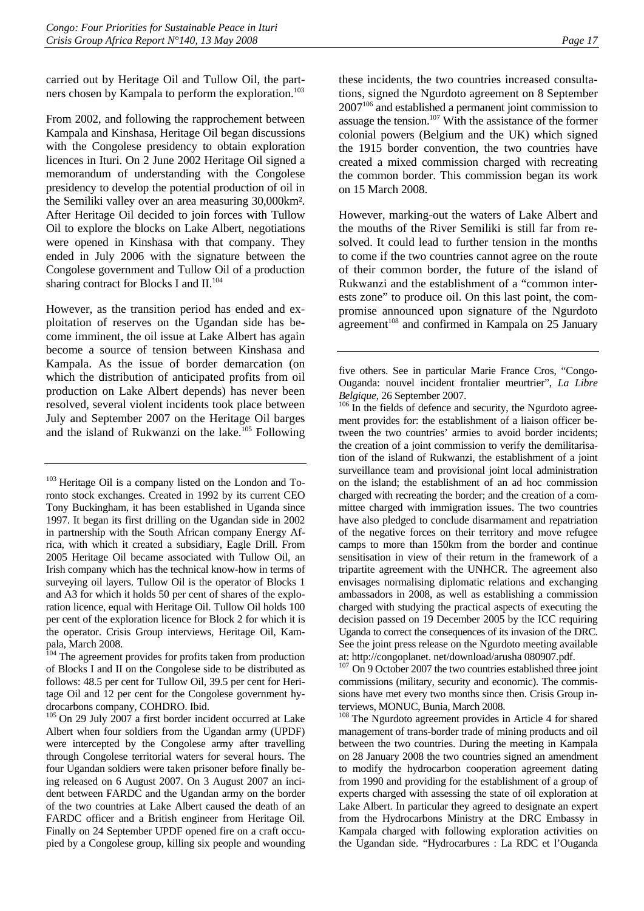carried out by Heritage Oil and Tullow Oil, the partners chosen by Kampala to perform the exploration.<sup>103</sup>

From 2002, and following the rapprochement between Kampala and Kinshasa, Heritage Oil began discussions with the Congolese presidency to obtain exploration licences in Ituri. On 2 June 2002 Heritage Oil signed a memorandum of understanding with the Congolese presidency to develop the potential production of oil in the Semiliki valley over an area measuring 30,000km². After Heritage Oil decided to join forces with Tullow Oil to explore the blocks on Lake Albert, negotiations were opened in Kinshasa with that company. They ended in July 2006 with the signature between the Congolese government and Tullow Oil of a production sharing contract for Blocks I and II.<sup>104</sup>

However, as the transition period has ended and exploitation of reserves on the Ugandan side has become imminent, the oil issue at Lake Albert has again become a source of tension between Kinshasa and Kampala. As the issue of border demarcation (on which the distribution of anticipated profits from oil production on Lake Albert depends) has never been resolved, several violent incidents took place between July and September 2007 on the Heritage Oil barges and the island of Rukwanzi on the lake.<sup>105</sup> Following

these incidents, the two countries increased consultations, signed the Ngurdoto agreement on 8 September 2007106 and established a permanent joint commission to assuage the tension.107 With the assistance of the former colonial powers (Belgium and the UK) which signed the 1915 border convention, the two countries have created a mixed commission charged with recreating the common border. This commission began its work on 15 March 2008.

However, marking-out the waters of Lake Albert and the mouths of the River Semiliki is still far from resolved. It could lead to further tension in the months to come if the two countries cannot agree on the route of their common border, the future of the island of Rukwanzi and the establishment of a "common interests zone" to produce oil. On this last point, the compromise announced upon signature of the Ngurdoto  $a$ greement<sup>108</sup> and confirmed in Kampala on 25 January

ment provides for: the establishment of a liaison officer between the two countries' armies to avoid border incidents; the creation of a joint commission to verify the demilitarisation of the island of Rukwanzi, the establishment of a joint surveillance team and provisional joint local administration on the island; the establishment of an ad hoc commission charged with recreating the border; and the creation of a committee charged with immigration issues. The two countries have also pledged to conclude disarmament and repatriation of the negative forces on their territory and move refugee camps to more than 150km from the border and continue sensitisation in view of their return in the framework of a tripartite agreement with the UNHCR. The agreement also envisages normalising diplomatic relations and exchanging ambassadors in 2008, as well as establishing a commission charged with studying the practical aspects of executing the decision passed on 19 December 2005 by the ICC requiring Uganda to correct the consequences of its invasion of the DRC. See the joint press release on the Ngurdoto meeting available at: http://congoplanet. net/download/arusha 080907.pdf.

 $107$  On 9 October 2007 the two countries established three joint commissions (military, security and economic). The commissions have met every two months since then. Crisis Group interviews, MONUC, Bunia, March 2008.

<sup>108</sup> The Ngurdoto agreement provides in Article 4 for shared management of trans-border trade of mining products and oil between the two countries. During the meeting in Kampala on 28 January 2008 the two countries signed an amendment to modify the hydrocarbon cooperation agreement dating from 1990 and providing for the establishment of a group of experts charged with assessing the state of oil exploration at Lake Albert. In particular they agreed to designate an expert from the Hydrocarbons Ministry at the DRC Embassy in Kampala charged with following exploration activities on the Ugandan side. "Hydrocarbures : La RDC et l'Ouganda

<sup>&</sup>lt;sup>103</sup> Heritage Oil is a company listed on the London and Toronto stock exchanges. Created in 1992 by its current CEO Tony Buckingham, it has been established in Uganda since 1997. It began its first drilling on the Ugandan side in 2002 in partnership with the South African company Energy Africa, with which it created a subsidiary, Eagle Drill. From 2005 Heritage Oil became associated with Tullow Oil, an Irish company which has the technical know-how in terms of surveying oil layers. Tullow Oil is the operator of Blocks 1 and A3 for which it holds 50 per cent of shares of the exploration licence, equal with Heritage Oil. Tullow Oil holds 100 per cent of the exploration licence for Block 2 for which it is the operator. Crisis Group interviews, Heritage Oil, Kampala, March 2008.

<sup>&</sup>lt;sup>104</sup> The agreement provides for profits taken from production of Blocks I and II on the Congolese side to be distributed as follows: 48.5 per cent for Tullow Oil, 39.5 per cent for Heritage Oil and 12 per cent for the Congolese government hydrocarbons company, COHDRO. Ibid.

<sup>&</sup>lt;sup>105</sup> On 29 July 2007 a first border incident occurred at Lake Albert when four soldiers from the Ugandan army (UPDF) were intercepted by the Congolese army after travelling through Congolese territorial waters for several hours. The four Ugandan soldiers were taken prisoner before finally being released on 6 August 2007. On 3 August 2007 an incident between FARDC and the Ugandan army on the border of the two countries at Lake Albert caused the death of an FARDC officer and a British engineer from Heritage Oil. Finally on 24 September UPDF opened fire on a craft occupied by a Congolese group, killing six people and wounding

five others. See in particular Marie France Cros, "Congo-Ouganda: nouvel incident frontalier meurtrier", *La Libre Belgique*, 26 September 2007.<br><sup>106</sup> In the fields of defence and security, the Ngurdoto agree-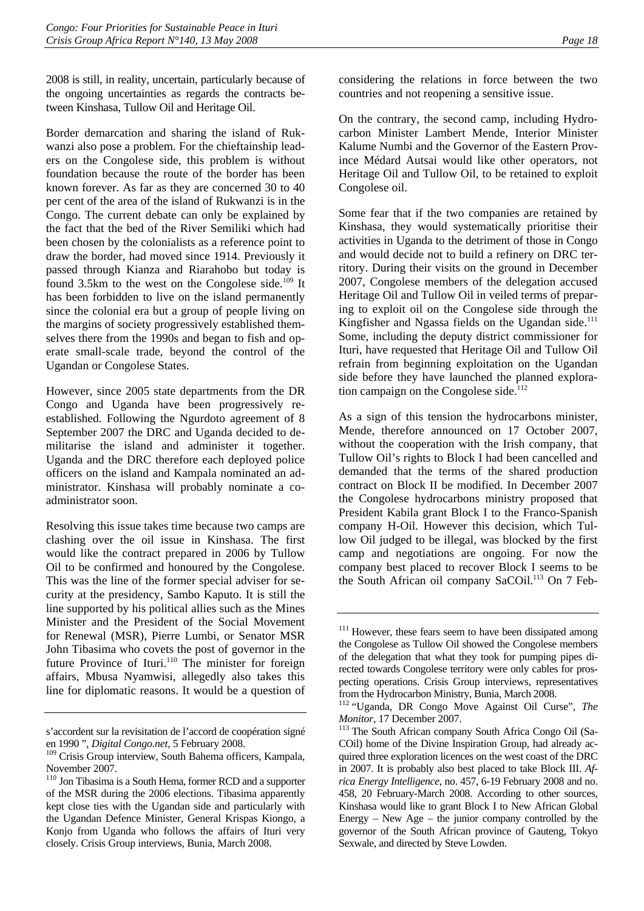2008 is still, in reality, uncertain, particularly because of the ongoing uncertainties as regards the contracts between Kinshasa, Tullow Oil and Heritage Oil.

Border demarcation and sharing the island of Rukwanzi also pose a problem. For the chieftainship leaders on the Congolese side, this problem is without foundation because the route of the border has been known forever. As far as they are concerned 30 to 40 per cent of the area of the island of Rukwanzi is in the Congo. The current debate can only be explained by the fact that the bed of the River Semiliki which had been chosen by the colonialists as a reference point to draw the border, had moved since 1914. Previously it passed through Kianza and Riarahobo but today is found 3.5km to the west on the Congolese side.<sup>109</sup> It has been forbidden to live on the island permanently since the colonial era but a group of people living on the margins of society progressively established themselves there from the 1990s and began to fish and operate small-scale trade, beyond the control of the Ugandan or Congolese States.

However, since 2005 state departments from the DR Congo and Uganda have been progressively reestablished. Following the Ngurdoto agreement of 8 September 2007 the DRC and Uganda decided to demilitarise the island and administer it together. Uganda and the DRC therefore each deployed police officers on the island and Kampala nominated an administrator. Kinshasa will probably nominate a coadministrator soon.

Resolving this issue takes time because two camps are clashing over the oil issue in Kinshasa. The first would like the contract prepared in 2006 by Tullow Oil to be confirmed and honoured by the Congolese. This was the line of the former special adviser for security at the presidency, Sambo Kaputo. It is still the line supported by his political allies such as the Mines Minister and the President of the Social Movement for Renewal (MSR), Pierre Lumbi, or Senator MSR John Tibasima who covets the post of governor in the future Province of Ituri.<sup>110</sup> The minister for foreign affairs, Mbusa Nyamwisi, allegedly also takes this line for diplomatic reasons. It would be a question of considering the relations in force between the two countries and not reopening a sensitive issue.

On the contrary, the second camp, including Hydrocarbon Minister Lambert Mende, Interior Minister Kalume Numbi and the Governor of the Eastern Province Médard Autsai would like other operators, not Heritage Oil and Tullow Oil, to be retained to exploit Congolese oil.

Some fear that if the two companies are retained by Kinshasa, they would systematically prioritise their activities in Uganda to the detriment of those in Congo and would decide not to build a refinery on DRC territory. During their visits on the ground in December 2007, Congolese members of the delegation accused Heritage Oil and Tullow Oil in veiled terms of preparing to exploit oil on the Congolese side through the Kingfisher and Ngassa fields on the Ugandan side. $111$ Some, including the deputy district commissioner for Ituri, have requested that Heritage Oil and Tullow Oil refrain from beginning exploitation on the Ugandan side before they have launched the planned exploration campaign on the Congolese side.<sup>112</sup>

As a sign of this tension the hydrocarbons minister, Mende, therefore announced on 17 October 2007, without the cooperation with the Irish company, that Tullow Oil's rights to Block I had been cancelled and demanded that the terms of the shared production contract on Block II be modified. In December 2007 the Congolese hydrocarbons ministry proposed that President Kabila grant Block I to the Franco-Spanish company H-Oil. However this decision, which Tullow Oil judged to be illegal, was blocked by the first camp and negotiations are ongoing. For now the company best placed to recover Block I seems to be the South African oil company SaCOil.<sup>113</sup> On 7 Feb-

s'accordent sur la revisitation de l'accord de coopération signé en 1990 ", *Digital Congo.net*, 5 February 2008.

<sup>&</sup>lt;sup>109</sup> Crisis Group interview, South Bahema officers, Kampala, November 2007.

<sup>&</sup>lt;sup>110</sup> Jon Tibasima is a South Hema, former RCD and a supporter of the MSR during the 2006 elections. Tibasima apparently kept close ties with the Ugandan side and particularly with the Ugandan Defence Minister, General Krispas Kiongo, a Konjo from Uganda who follows the affairs of Ituri very closely. Crisis Group interviews, Bunia, March 2008.

<sup>&</sup>lt;sup>111</sup> However, these fears seem to have been dissipated among the Congolese as Tullow Oil showed the Congolese members of the delegation that what they took for pumping pipes directed towards Congolese territory were only cables for prospecting operations. Crisis Group interviews, representatives from the Hydrocarbon Ministry, Bunia, March 2008.

<sup>112 &</sup>quot;Uganda, DR Congo Move Against Oil Curse", *The* 

*Monitor*, 17 December 2007.<br><sup>113</sup> The South African company South Africa Congo Oil (Sa-COil) home of the Divine Inspiration Group, had already acquired three exploration licences on the west coast of the DRC in 2007. It is probably also best placed to take Block III. *Africa Energy Intelligence*, no. 457, 6-19 February 2008 and no. 458, 20 February-March 2008. According to other sources, Kinshasa would like to grant Block I to New African Global Energy – New Age – the junior company controlled by the governor of the South African province of Gauteng, Tokyo Sexwale, and directed by Steve Lowden.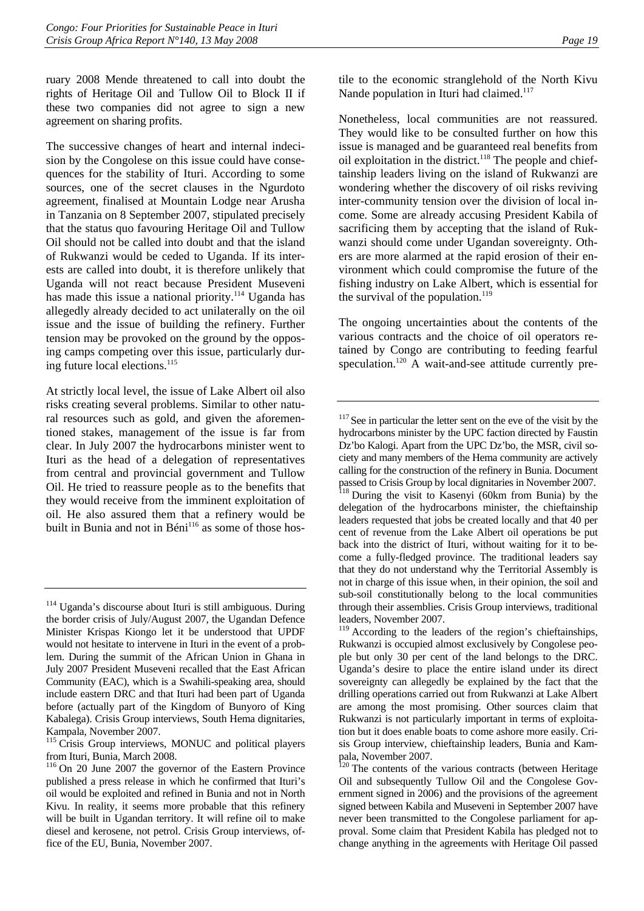ruary 2008 Mende threatened to call into doubt the rights of Heritage Oil and Tullow Oil to Block II if these two companies did not agree to sign a new agreement on sharing profits.

The successive changes of heart and internal indecision by the Congolese on this issue could have consequences for the stability of Ituri. According to some sources, one of the secret clauses in the Ngurdoto agreement, finalised at Mountain Lodge near Arusha in Tanzania on 8 September 2007, stipulated precisely that the status quo favouring Heritage Oil and Tullow Oil should not be called into doubt and that the island of Rukwanzi would be ceded to Uganda. If its interests are called into doubt, it is therefore unlikely that Uganda will not react because President Museveni has made this issue a national priority.<sup>114</sup> Uganda has allegedly already decided to act unilaterally on the oil issue and the issue of building the refinery. Further tension may be provoked on the ground by the opposing camps competing over this issue, particularly during future local elections.<sup>115</sup>

At strictly local level, the issue of Lake Albert oil also risks creating several problems. Similar to other natural resources such as gold, and given the aforementioned stakes, management of the issue is far from clear. In July 2007 the hydrocarbons minister went to Ituri as the head of a delegation of representatives from central and provincial government and Tullow Oil. He tried to reassure people as to the benefits that they would receive from the imminent exploitation of oil. He also assured them that a refinery would be built in Bunia and not in Béni<sup>116</sup> as some of those hostile to the economic stranglehold of the North Kivu Nande population in Ituri had claimed.<sup>117</sup>

Nonetheless, local communities are not reassured. They would like to be consulted further on how this issue is managed and be guaranteed real benefits from oil exploitation in the district.<sup>118</sup> The people and chieftainship leaders living on the island of Rukwanzi are wondering whether the discovery of oil risks reviving inter-community tension over the division of local income. Some are already accusing President Kabila of sacrificing them by accepting that the island of Rukwanzi should come under Ugandan sovereignty. Others are more alarmed at the rapid erosion of their environment which could compromise the future of the fishing industry on Lake Albert, which is essential for the survival of the population. $119$ 

The ongoing uncertainties about the contents of the various contracts and the choice of oil operators retained by Congo are contributing to feeding fearful speculation.<sup>120</sup> A wait-and-see attitude currently pre-

<sup>114</sup> Uganda's discourse about Ituri is still ambiguous. During the border crisis of July/August 2007, the Ugandan Defence Minister Krispas Kiongo let it be understood that UPDF would not hesitate to intervene in Ituri in the event of a problem. During the summit of the African Union in Ghana in July 2007 President Museveni recalled that the East African Community (EAC), which is a Swahili-speaking area, should include eastern DRC and that Ituri had been part of Uganda before (actually part of the Kingdom of Bunyoro of King Kabalega). Crisis Group interviews, South Hema dignitaries, Kampala, November 2007.

<sup>&</sup>lt;sup>115</sup> Crisis Group interviews, MONUC and political players from Ituri, Bunia, March 2008.

<sup>116</sup> On 20 June 2007 the governor of the Eastern Province published a press release in which he confirmed that Ituri's oil would be exploited and refined in Bunia and not in North Kivu. In reality, it seems more probable that this refinery will be built in Ugandan territory. It will refine oil to make diesel and kerosene, not petrol. Crisis Group interviews, office of the EU, Bunia, November 2007.

<sup>&</sup>lt;sup>117</sup> See in particular the letter sent on the eve of the visit by the hydrocarbons minister by the UPC faction directed by Faustin Dz'bo Kalogi. Apart from the UPC Dz'bo, the MSR, civil society and many members of the Hema community are actively calling for the construction of the refinery in Bunia. Document passed to Crisis Group by local dignitaries in November 2007.

<sup>&</sup>lt;sup>118</sup> During the visit to Kasenyi (60km from Bunia) by the delegation of the hydrocarbons minister, the chieftainship leaders requested that jobs be created locally and that 40 per cent of revenue from the Lake Albert oil operations be put back into the district of Ituri, without waiting for it to become a fully-fledged province. The traditional leaders say that they do not understand why the Territorial Assembly is not in charge of this issue when, in their opinion, the soil and sub-soil constitutionally belong to the local communities through their assemblies. Crisis Group interviews, traditional leaders, November 2007.

<sup>&</sup>lt;sup>119</sup> According to the leaders of the region's chieftainships, Rukwanzi is occupied almost exclusively by Congolese people but only 30 per cent of the land belongs to the DRC. Uganda's desire to place the entire island under its direct sovereignty can allegedly be explained by the fact that the drilling operations carried out from Rukwanzi at Lake Albert are among the most promising. Other sources claim that Rukwanzi is not particularly important in terms of exploitation but it does enable boats to come ashore more easily. Crisis Group interview, chieftainship leaders, Bunia and Kampala, November 2007.

<sup>&</sup>lt;sup>120</sup> The contents of the various contracts (between Heritage Oil and subsequently Tullow Oil and the Congolese Government signed in 2006) and the provisions of the agreement signed between Kabila and Museveni in September 2007 have never been transmitted to the Congolese parliament for approval. Some claim that President Kabila has pledged not to change anything in the agreements with Heritage Oil passed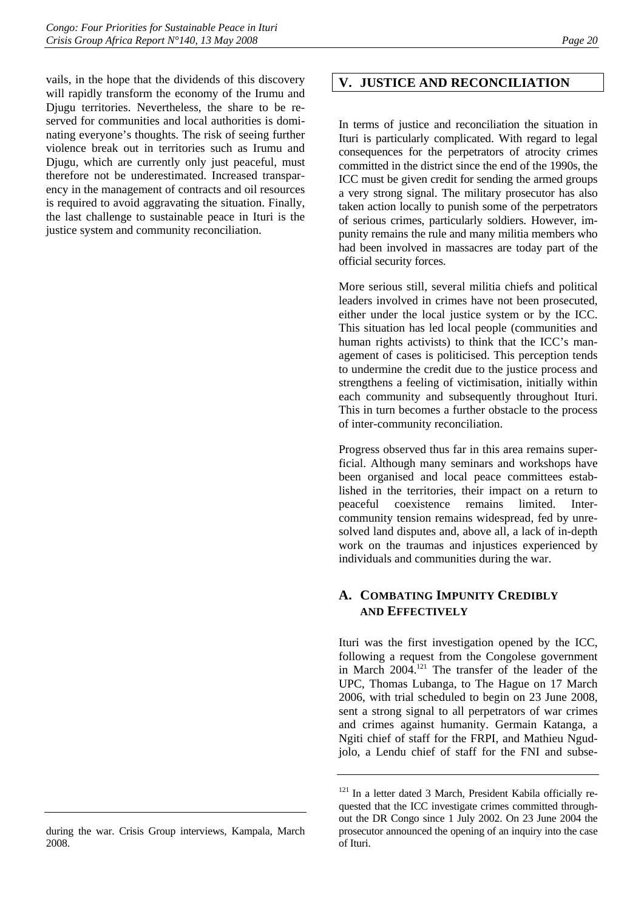vails, in the hope that the dividends of this discovery will rapidly transform the economy of the Irumu and Djugu territories. Nevertheless, the share to be reserved for communities and local authorities is dominating everyone's thoughts. The risk of seeing further violence break out in territories such as Irumu and Djugu, which are currently only just peaceful, must therefore not be underestimated. Increased transparency in the management of contracts and oil resources is required to avoid aggravating the situation. Finally, the last challenge to sustainable peace in Ituri is the justice system and community reconciliation.

## **V. JUSTICE AND RECONCILIATION**

In terms of justice and reconciliation the situation in Ituri is particularly complicated. With regard to legal consequences for the perpetrators of atrocity crimes committed in the district since the end of the 1990s, the ICC must be given credit for sending the armed groups a very strong signal. The military prosecutor has also taken action locally to punish some of the perpetrators of serious crimes, particularly soldiers. However, impunity remains the rule and many militia members who had been involved in massacres are today part of the official security forces.

More serious still, several militia chiefs and political leaders involved in crimes have not been prosecuted, either under the local justice system or by the ICC. This situation has led local people (communities and human rights activists) to think that the ICC's management of cases is politicised. This perception tends to undermine the credit due to the justice process and strengthens a feeling of victimisation, initially within each community and subsequently throughout Ituri. This in turn becomes a further obstacle to the process of inter-community reconciliation.

Progress observed thus far in this area remains superficial. Although many seminars and workshops have been organised and local peace committees established in the territories, their impact on a return to peaceful coexistence remains limited. Intercommunity tension remains widespread, fed by unresolved land disputes and, above all, a lack of in-depth work on the traumas and injustices experienced by individuals and communities during the war.

## **A. COMBATING IMPUNITY CREDIBLY AND EFFECTIVELY**

Ituri was the first investigation opened by the ICC, following a request from the Congolese government in March 2004.121 The transfer of the leader of the UPC, Thomas Lubanga, to The Hague on 17 March 2006, with trial scheduled to begin on 23 June 2008, sent a strong signal to all perpetrators of war crimes and crimes against humanity. Germain Katanga, a Ngiti chief of staff for the FRPI, and Mathieu Ngudjolo, a Lendu chief of staff for the FNI and subse-

during the war. Crisis Group interviews, Kampala, March 2008.

<sup>&</sup>lt;sup>121</sup> In a letter dated 3 March, President Kabila officially requested that the ICC investigate crimes committed throughout the DR Congo since 1 July 2002. On 23 June 2004 the prosecutor announced the opening of an inquiry into the case of Ituri.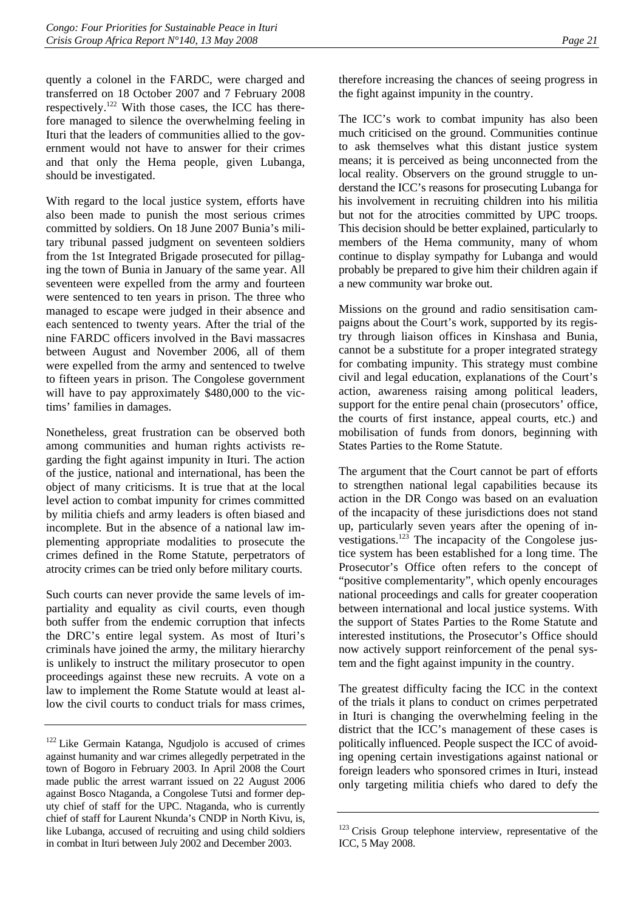quently a colonel in the FARDC, were charged and transferred on 18 October 2007 and 7 February 2008 respectively.122 With those cases, the ICC has therefore managed to silence the overwhelming feeling in Ituri that the leaders of communities allied to the government would not have to answer for their crimes and that only the Hema people, given Lubanga, should be investigated.

With regard to the local justice system, efforts have also been made to punish the most serious crimes committed by soldiers. On 18 June 2007 Bunia's military tribunal passed judgment on seventeen soldiers from the 1st Integrated Brigade prosecuted for pillaging the town of Bunia in January of the same year. All seventeen were expelled from the army and fourteen were sentenced to ten years in prison. The three who managed to escape were judged in their absence and each sentenced to twenty years. After the trial of the nine FARDC officers involved in the Bavi massacres between August and November 2006, all of them were expelled from the army and sentenced to twelve to fifteen years in prison. The Congolese government will have to pay approximately \$480,000 to the victims' families in damages.

Nonetheless, great frustration can be observed both among communities and human rights activists regarding the fight against impunity in Ituri. The action of the justice, national and international, has been the object of many criticisms. It is true that at the local level action to combat impunity for crimes committed by militia chiefs and army leaders is often biased and incomplete. But in the absence of a national law implementing appropriate modalities to prosecute the crimes defined in the Rome Statute, perpetrators of atrocity crimes can be tried only before military courts.

Such courts can never provide the same levels of impartiality and equality as civil courts, even though both suffer from the endemic corruption that infects the DRC's entire legal system. As most of Ituri's criminals have joined the army, the military hierarchy is unlikely to instruct the military prosecutor to open proceedings against these new recruits. A vote on a law to implement the Rome Statute would at least allow the civil courts to conduct trials for mass crimes,

therefore increasing the chances of seeing progress in the fight against impunity in the country.

The ICC's work to combat impunity has also been much criticised on the ground. Communities continue to ask themselves what this distant justice system means; it is perceived as being unconnected from the local reality. Observers on the ground struggle to understand the ICC's reasons for prosecuting Lubanga for his involvement in recruiting children into his militia but not for the atrocities committed by UPC troops. This decision should be better explained, particularly to members of the Hema community, many of whom continue to display sympathy for Lubanga and would probably be prepared to give him their children again if a new community war broke out.

Missions on the ground and radio sensitisation campaigns about the Court's work, supported by its registry through liaison offices in Kinshasa and Bunia, cannot be a substitute for a proper integrated strategy for combating impunity. This strategy must combine civil and legal education, explanations of the Court's action, awareness raising among political leaders, support for the entire penal chain (prosecutors' office, the courts of first instance, appeal courts, etc.) and mobilisation of funds from donors, beginning with States Parties to the Rome Statute.

The argument that the Court cannot be part of efforts to strengthen national legal capabilities because its action in the DR Congo was based on an evaluation of the incapacity of these jurisdictions does not stand up, particularly seven years after the opening of investigations.<sup>123</sup> The incapacity of the Congolese justice system has been established for a long time. The Prosecutor's Office often refers to the concept of "positive complementarity", which openly encourages national proceedings and calls for greater cooperation between international and local justice systems. With the support of States Parties to the Rome Statute and interested institutions, the Prosecutor's Office should now actively support reinforcement of the penal system and the fight against impunity in the country.

The greatest difficulty facing the ICC in the context of the trials it plans to conduct on crimes perpetrated in Ituri is changing the overwhelming feeling in the district that the ICC's management of these cases is politically influenced. People suspect the ICC of avoiding opening certain investigations against national or foreign leaders who sponsored crimes in Ituri, instead only targeting militia chiefs who dared to defy the

<sup>122</sup> Like Germain Katanga, Ngudjolo is accused of crimes against humanity and war crimes allegedly perpetrated in the town of Bogoro in February 2003. In April 2008 the Court made public the arrest warrant issued on 22 August 2006 against Bosco Ntaganda, a Congolese Tutsi and former deputy chief of staff for the UPC. Ntaganda, who is currently chief of staff for Laurent Nkunda's CNDP in North Kivu, is, like Lubanga, accused of recruiting and using child soldiers in combat in Ituri between July 2002 and December 2003.

<sup>&</sup>lt;sup>123</sup> Crisis Group telephone interview, representative of the ICC, 5 May 2008.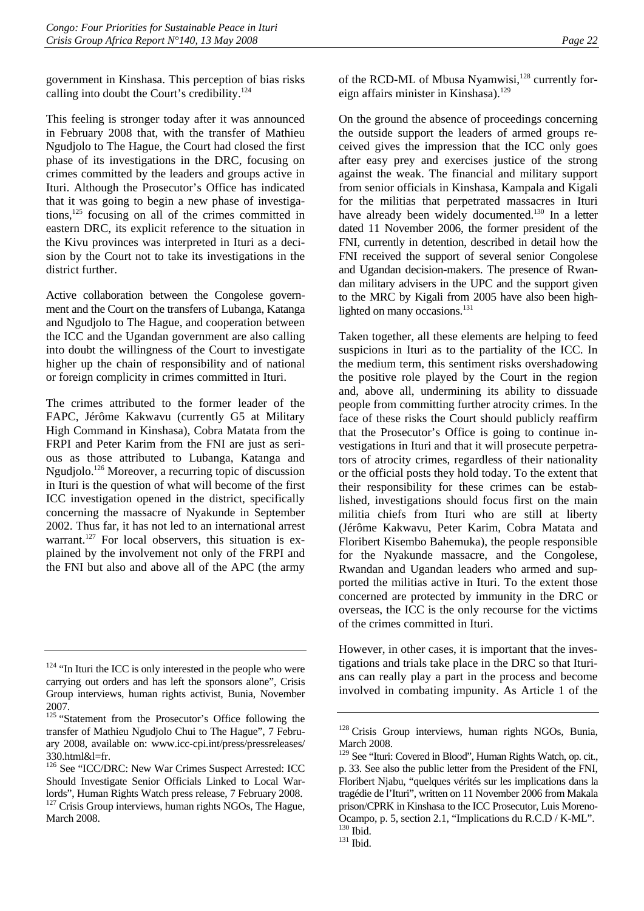government in Kinshasa. This perception of bias risks calling into doubt the Court's credibility.124

This feeling is stronger today after it was announced in February 2008 that, with the transfer of Mathieu Ngudjolo to The Hague, the Court had closed the first phase of its investigations in the DRC, focusing on crimes committed by the leaders and groups active in Ituri. Although the Prosecutor's Office has indicated that it was going to begin a new phase of investigations,125 focusing on all of the crimes committed in eastern DRC, its explicit reference to the situation in the Kivu provinces was interpreted in Ituri as a decision by the Court not to take its investigations in the district further.

Active collaboration between the Congolese government and the Court on the transfers of Lubanga, Katanga and Ngudjolo to The Hague, and cooperation between the ICC and the Ugandan government are also calling into doubt the willingness of the Court to investigate higher up the chain of responsibility and of national or foreign complicity in crimes committed in Ituri.

The crimes attributed to the former leader of the FAPC, Jérôme Kakwavu (currently G5 at Military High Command in Kinshasa), Cobra Matata from the FRPI and Peter Karim from the FNI are just as serious as those attributed to Lubanga, Katanga and Ngudjolo.126 Moreover, a recurring topic of discussion in Ituri is the question of what will become of the first ICC investigation opened in the district, specifically concerning the massacre of Nyakunde in September 2002. Thus far, it has not led to an international arrest warrant.<sup>127</sup> For local observers, this situation is explained by the involvement not only of the FRPI and the FNI but also and above all of the APC (the army

of the RCD-ML of Mbusa Nyamwisi,<sup>128</sup> currently foreign affairs minister in Kinshasa).<sup>129</sup>

On the ground the absence of proceedings concerning the outside support the leaders of armed groups received gives the impression that the ICC only goes after easy prey and exercises justice of the strong against the weak. The financial and military support from senior officials in Kinshasa, Kampala and Kigali for the militias that perpetrated massacres in Ituri have already been widely documented.<sup>130</sup> In a letter dated 11 November 2006, the former president of the FNI, currently in detention, described in detail how the FNI received the support of several senior Congolese and Ugandan decision-makers. The presence of Rwandan military advisers in the UPC and the support given to the MRC by Kigali from 2005 have also been highlighted on many occasions.<sup>131</sup>

Taken together, all these elements are helping to feed suspicions in Ituri as to the partiality of the ICC. In the medium term, this sentiment risks overshadowing the positive role played by the Court in the region and, above all, undermining its ability to dissuade people from committing further atrocity crimes. In the face of these risks the Court should publicly reaffirm that the Prosecutor's Office is going to continue investigations in Ituri and that it will prosecute perpetrators of atrocity crimes, regardless of their nationality or the official posts they hold today. To the extent that their responsibility for these crimes can be established, investigations should focus first on the main militia chiefs from Ituri who are still at liberty (Jérôme Kakwavu, Peter Karim, Cobra Matata and Floribert Kisembo Bahemuka), the people responsible for the Nyakunde massacre, and the Congolese, Rwandan and Ugandan leaders who armed and supported the militias active in Ituri. To the extent those concerned are protected by immunity in the DRC or overseas, the ICC is the only recourse for the victims of the crimes committed in Ituri.

However, in other cases, it is important that the investigations and trials take place in the DRC so that Iturians can really play a part in the process and become involved in combating impunity. As Article 1 of the

 $124$  "In Ituri the ICC is only interested in the people who were carrying out orders and has left the sponsors alone", Crisis Group interviews, human rights activist, Bunia, November 2007.

<sup>&</sup>lt;sup>125</sup> "Statement from the Prosecutor's Office following the transfer of Mathieu Ngudjolo Chui to The Hague", 7 February 2008, available on: www.icc-cpi.int/press/pressreleases/  $330.html&$ =fr.

<sup>&</sup>lt;sup>126</sup> See "ICC/DRC: New War Crimes Suspect Arrested: ICC Should Investigate Senior Officials Linked to Local Warlords", Human Rights Watch press release, 7 February 2008. <sup>127</sup> Crisis Group interviews, human rights NGOs, The Hague, March 2008.

<sup>&</sup>lt;sup>128</sup> Crisis Group interviews, human rights NGOs, Bunia, March 2008.

<sup>&</sup>lt;sup>129</sup> See "Ituri: Covered in Blood", Human Rights Watch, op. cit., p. 33. See also the public letter from the President of the FNI, Floribert Njabu, "quelques vérités sur les implications dans la tragédie de l'Ituri", written on 11 November 2006 from Makala prison/CPRK in Kinshasa to the ICC Prosecutor, Luis Moreno-Ocampo, p. 5, section 2.1, "Implications du R.C.D / K-ML".

 $131$  Ibid.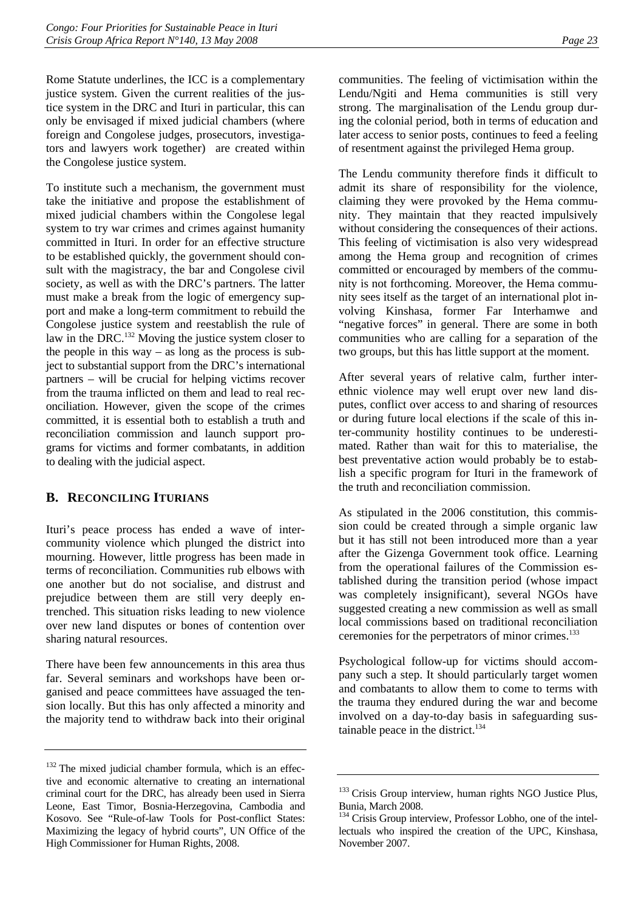Rome Statute underlines, the ICC is a complementary justice system. Given the current realities of the justice system in the DRC and Ituri in particular, this can only be envisaged if mixed judicial chambers (where foreign and Congolese judges, prosecutors, investigators and lawyers work together) are created within the Congolese justice system.

To institute such a mechanism, the government must take the initiative and propose the establishment of mixed judicial chambers within the Congolese legal system to try war crimes and crimes against humanity committed in Ituri. In order for an effective structure to be established quickly, the government should consult with the magistracy, the bar and Congolese civil society, as well as with the DRC's partners. The latter must make a break from the logic of emergency support and make a long-term commitment to rebuild the Congolese justice system and reestablish the rule of law in the DRC.132 Moving the justice system closer to the people in this way – as long as the process is subject to substantial support from the DRC's international partners – will be crucial for helping victims recover from the trauma inflicted on them and lead to real reconciliation. However, given the scope of the crimes committed, it is essential both to establish a truth and reconciliation commission and launch support programs for victims and former combatants, in addition to dealing with the judicial aspect.

## **B. RECONCILING ITURIANS**

Ituri's peace process has ended a wave of intercommunity violence which plunged the district into mourning. However, little progress has been made in terms of reconciliation. Communities rub elbows with one another but do not socialise, and distrust and prejudice between them are still very deeply entrenched. This situation risks leading to new violence over new land disputes or bones of contention over sharing natural resources.

There have been few announcements in this area thus far. Several seminars and workshops have been organised and peace committees have assuaged the tension locally. But this has only affected a minority and the majority tend to withdraw back into their original

communities. The feeling of victimisation within the Lendu/Ngiti and Hema communities is still very strong. The marginalisation of the Lendu group during the colonial period, both in terms of education and later access to senior posts, continues to feed a feeling of resentment against the privileged Hema group.

The Lendu community therefore finds it difficult to admit its share of responsibility for the violence, claiming they were provoked by the Hema community. They maintain that they reacted impulsively without considering the consequences of their actions. This feeling of victimisation is also very widespread among the Hema group and recognition of crimes committed or encouraged by members of the community is not forthcoming. Moreover, the Hema community sees itself as the target of an international plot involving Kinshasa, former Far Interhamwe and "negative forces" in general. There are some in both communities who are calling for a separation of the two groups, but this has little support at the moment.

After several years of relative calm, further interethnic violence may well erupt over new land disputes, conflict over access to and sharing of resources or during future local elections if the scale of this inter-community hostility continues to be underestimated. Rather than wait for this to materialise, the best preventative action would probably be to establish a specific program for Ituri in the framework of the truth and reconciliation commission.

As stipulated in the 2006 constitution, this commission could be created through a simple organic law but it has still not been introduced more than a year after the Gizenga Government took office. Learning from the operational failures of the Commission established during the transition period (whose impact was completely insignificant), several NGOs have suggested creating a new commission as well as small local commissions based on traditional reconciliation ceremonies for the perpetrators of minor crimes.133

Psychological follow-up for victims should accompany such a step. It should particularly target women and combatants to allow them to come to terms with the trauma they endured during the war and become involved on a day-to-day basis in safeguarding sustainable peace in the district. $134$ 

<sup>&</sup>lt;sup>132</sup> The mixed judicial chamber formula, which is an effective and economic alternative to creating an international criminal court for the DRC, has already been used in Sierra Leone, East Timor, Bosnia-Herzegovina, Cambodia and Kosovo. See "Rule-of-law Tools for Post-conflict States: Maximizing the legacy of hybrid courts", UN Office of the High Commissioner for Human Rights, 2008.

<sup>&</sup>lt;sup>133</sup> Crisis Group interview, human rights NGO Justice Plus, Bunia, March 2008.

<sup>&</sup>lt;sup>134</sup> Crisis Group interview, Professor Lobho, one of the intellectuals who inspired the creation of the UPC, Kinshasa, November 2007.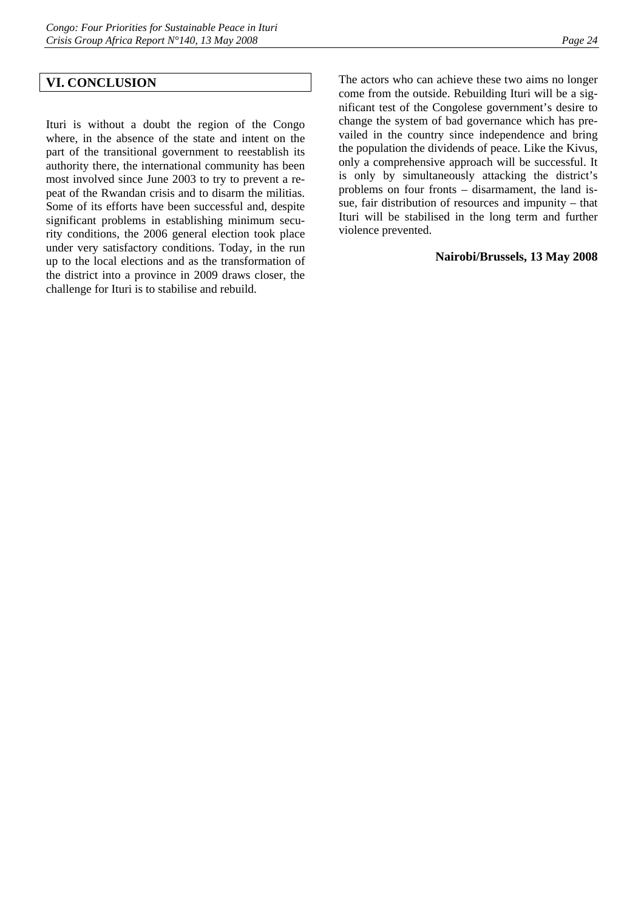#### **VI. CONCLUSION**

Ituri is without a doubt the region of the Congo where, in the absence of the state and intent on the part of the transitional government to reestablish its authority there, the international community has been most involved since June 2003 to try to prevent a repeat of the Rwandan crisis and to disarm the militias. Some of its efforts have been successful and, despite significant problems in establishing minimum security conditions, the 2006 general election took place under very satisfactory conditions. Today, in the run up to the local elections and as the transformation of the district into a province in 2009 draws closer, the challenge for Ituri is to stabilise and rebuild.

The actors who can achieve these two aims no longer come from the outside. Rebuilding Ituri will be a significant test of the Congolese government's desire to change the system of bad governance which has prevailed in the country since independence and bring the population the dividends of peace. Like the Kivus, only a comprehensive approach will be successful. It is only by simultaneously attacking the district's problems on four fronts – disarmament, the land issue, fair distribution of resources and impunity – that Ituri will be stabilised in the long term and further violence prevented.

#### **Nairobi/Brussels, 13 May 2008**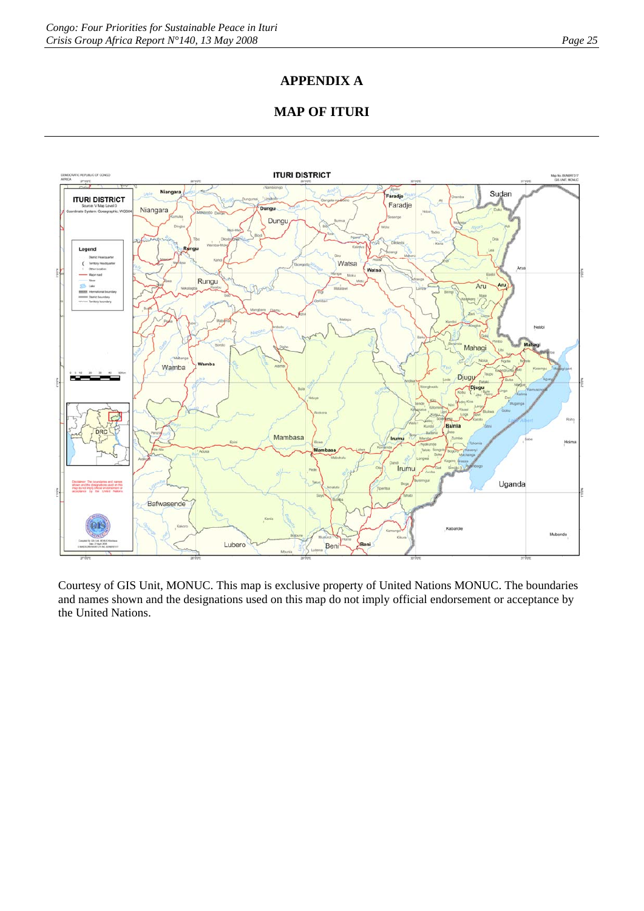## **APPENDIX A**

## **MAP OF ITURI**



Courtesy of GIS Unit, MONUC. This map is exclusive property of United Nations MONUC. The boundaries and names shown and the designations used on this map do not imply official endorsement or acceptance by the United Nations.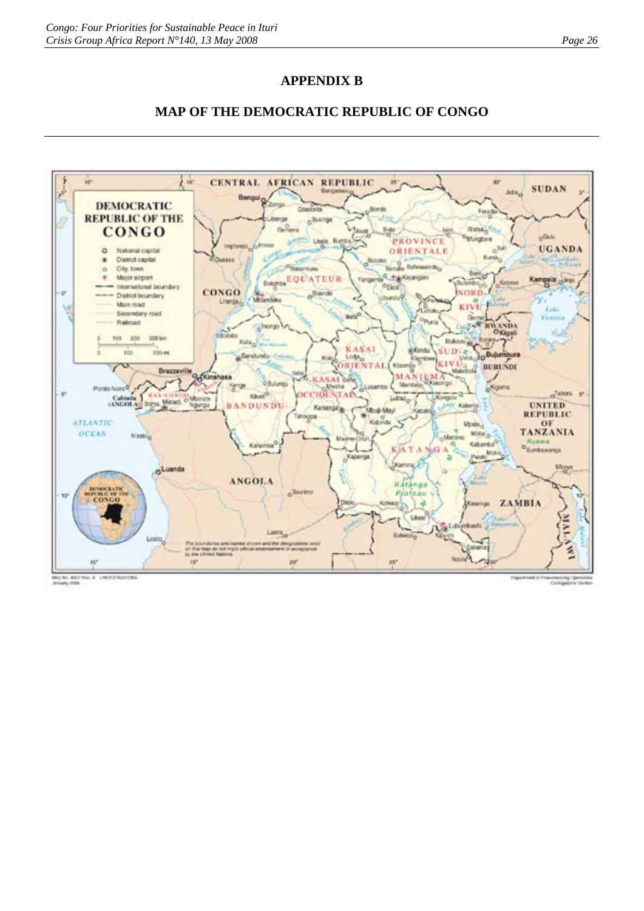## **APPENDIX B**





May No. 4007 Fee: 6 | UNTEEFILATION

ing Ca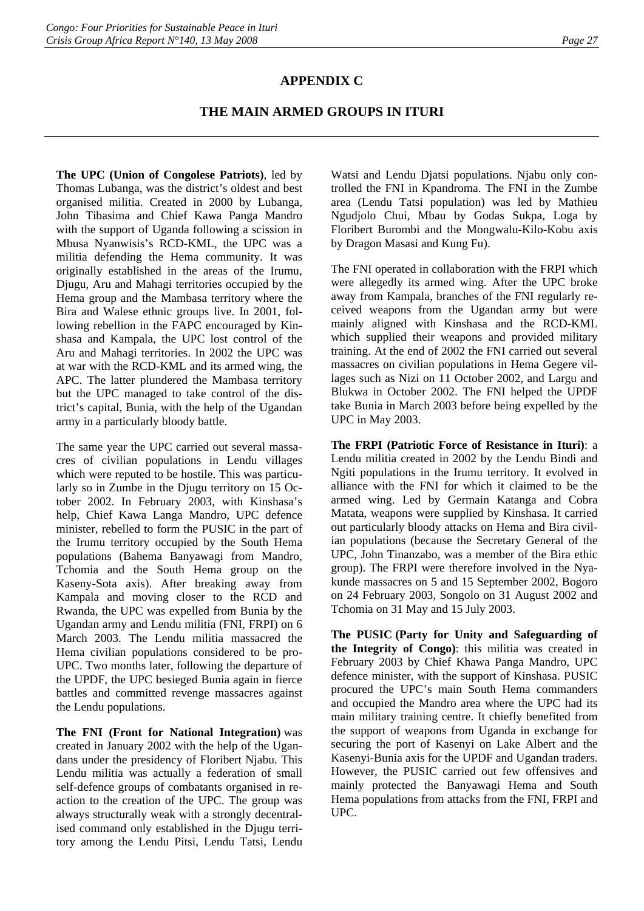## **APPENDIX C**

## **THE MAIN ARMED GROUPS IN ITURI**

**The UPC (Union of Congolese Patriots)**, led by Thomas Lubanga, was the district's oldest and best organised militia. Created in 2000 by Lubanga, John Tibasima and Chief Kawa Panga Mandro with the support of Uganda following a scission in Mbusa Nyanwisis's RCD-KML, the UPC was a militia defending the Hema community. It was originally established in the areas of the Irumu, Djugu, Aru and Mahagi territories occupied by the Hema group and the Mambasa territory where the Bira and Walese ethnic groups live. In 2001, following rebellion in the FAPC encouraged by Kinshasa and Kampala, the UPC lost control of the Aru and Mahagi territories. In 2002 the UPC was at war with the RCD-KML and its armed wing, the APC. The latter plundered the Mambasa territory but the UPC managed to take control of the district's capital, Bunia, with the help of the Ugandan army in a particularly bloody battle.

The same year the UPC carried out several massacres of civilian populations in Lendu villages which were reputed to be hostile. This was particularly so in Zumbe in the Djugu territory on 15 October 2002. In February 2003, with Kinshasa's help, Chief Kawa Langa Mandro, UPC defence minister, rebelled to form the PUSIC in the part of the Irumu territory occupied by the South Hema populations (Bahema Banyawagi from Mandro, Tchomia and the South Hema group on the Kaseny-Sota axis). After breaking away from Kampala and moving closer to the RCD and Rwanda, the UPC was expelled from Bunia by the Ugandan army and Lendu militia (FNI, FRPI) on 6 March 2003. The Lendu militia massacred the Hema civilian populations considered to be pro-UPC. Two months later, following the departure of the UPDF, the UPC besieged Bunia again in fierce battles and committed revenge massacres against the Lendu populations.

**The FNI (Front for National Integration)** was created in January 2002 with the help of the Ugandans under the presidency of Floribert Njabu. This Lendu militia was actually a federation of small self-defence groups of combatants organised in reaction to the creation of the UPC. The group was always structurally weak with a strongly decentralised command only established in the Djugu territory among the Lendu Pitsi, Lendu Tatsi, Lendu

Watsi and Lendu Djatsi populations. Njabu only controlled the FNI in Kpandroma. The FNI in the Zumbe area (Lendu Tatsi population) was led by Mathieu Ngudjolo Chui, Mbau by Godas Sukpa, Loga by Floribert Burombi and the Mongwalu-Kilo-Kobu axis by Dragon Masasi and Kung Fu).

The FNI operated in collaboration with the FRPI which were allegedly its armed wing. After the UPC broke away from Kampala, branches of the FNI regularly received weapons from the Ugandan army but were mainly aligned with Kinshasa and the RCD-KML which supplied their weapons and provided military training. At the end of 2002 the FNI carried out several massacres on civilian populations in Hema Gegere villages such as Nizi on 11 October 2002, and Largu and Blukwa in October 2002. The FNI helped the UPDF take Bunia in March 2003 before being expelled by the UPC in May 2003.

**The FRPI (Patriotic Force of Resistance in Ituri)**: a Lendu militia created in 2002 by the Lendu Bindi and Ngiti populations in the Irumu territory. It evolved in alliance with the FNI for which it claimed to be the armed wing. Led by Germain Katanga and Cobra Matata, weapons were supplied by Kinshasa. It carried out particularly bloody attacks on Hema and Bira civilian populations (because the Secretary General of the UPC, John Tinanzabo, was a member of the Bira ethic group). The FRPI were therefore involved in the Nyakunde massacres on 5 and 15 September 2002, Bogoro on 24 February 2003, Songolo on 31 August 2002 and Tchomia on 31 May and 15 July 2003.

**The PUSIC (Party for Unity and Safeguarding of the Integrity of Congo)**: this militia was created in February 2003 by Chief Khawa Panga Mandro, UPC defence minister, with the support of Kinshasa. PUSIC procured the UPC's main South Hema commanders and occupied the Mandro area where the UPC had its main military training centre. It chiefly benefited from the support of weapons from Uganda in exchange for securing the port of Kasenyi on Lake Albert and the Kasenyi-Bunia axis for the UPDF and Ugandan traders. However, the PUSIC carried out few offensives and mainly protected the Banyawagi Hema and South Hema populations from attacks from the FNI, FRPI and UPC.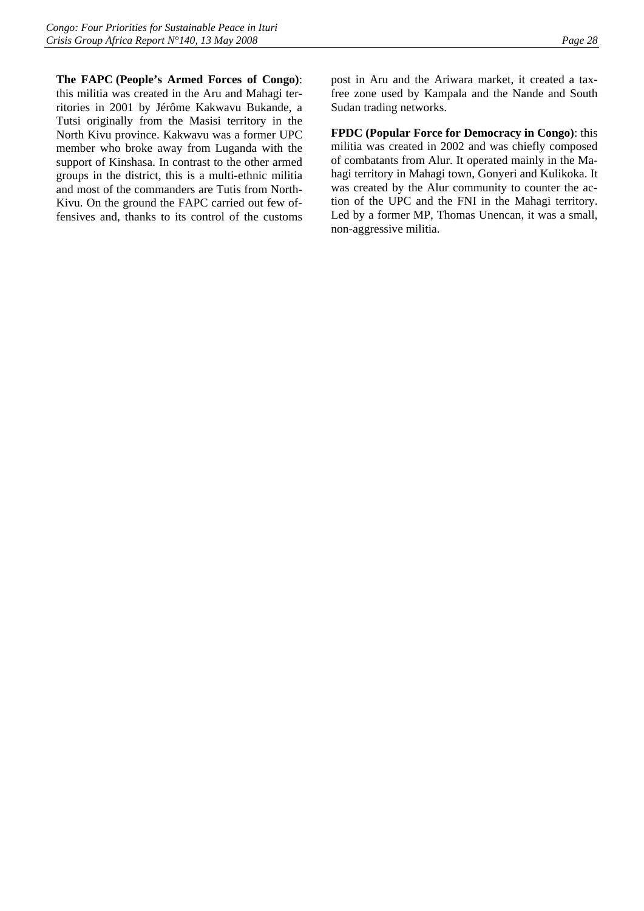**The FAPC (People's Armed Forces of Congo)**: this militia was created in the Aru and Mahagi territories in 2001 by Jérôme Kakwavu Bukande, a Tutsi originally from the Masisi territory in the North Kivu province. Kakwavu was a former UPC member who broke away from Luganda with the support of Kinshasa. In contrast to the other armed groups in the district, this is a multi-ethnic militia and most of the commanders are Tutis from North-Kivu. On the ground the FAPC carried out few offensives and, thanks to its control of the customs

post in Aru and the Ariwara market, it created a taxfree zone used by Kampala and the Nande and South Sudan trading networks.

**FPDC (Popular Force for Democracy in Congo)**: this militia was created in 2002 and was chiefly composed of combatants from Alur. It operated mainly in the Mahagi territory in Mahagi town, Gonyeri and Kulikoka. It was created by the Alur community to counter the action of the UPC and the FNI in the Mahagi territory. Led by a former MP, Thomas Unencan, it was a small, non-aggressive militia.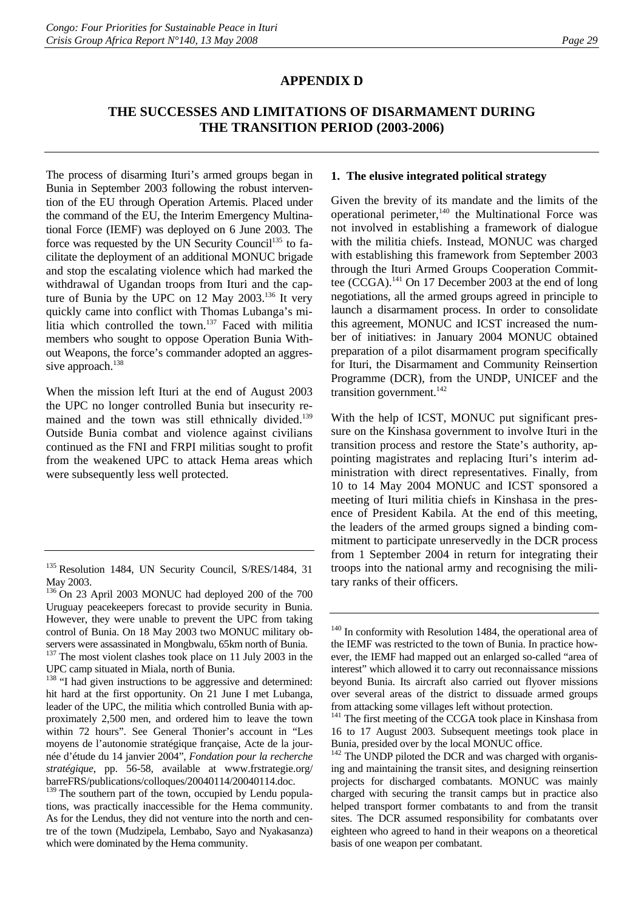#### **APPENDIX D**

## **THE SUCCESSES AND LIMITATIONS OF DISARMAMENT DURING THE TRANSITION PERIOD (2003-2006)**

The process of disarming Ituri's armed groups began in Bunia in September 2003 following the robust intervention of the EU through Operation Artemis. Placed under the command of the EU, the Interim Emergency Multinational Force (IEMF) was deployed on 6 June 2003. The force was requested by the UN Security Council<sup>135</sup> to facilitate the deployment of an additional MONUC brigade and stop the escalating violence which had marked the withdrawal of Ugandan troops from Ituri and the capture of Bunia by the UPC on 12 May 2003.<sup>136</sup> It very quickly came into conflict with Thomas Lubanga's militia which controlled the town.<sup>137</sup> Faced with militia members who sought to oppose Operation Bunia Without Weapons, the force's commander adopted an aggressive approach.<sup>138</sup>

When the mission left Ituri at the end of August 2003 the UPC no longer controlled Bunia but insecurity remained and the town was still ethnically divided.<sup>139</sup> Outside Bunia combat and violence against civilians continued as the FNI and FRPI militias sought to profit from the weakened UPC to attack Hema areas which were subsequently less well protected.

#### **1. The elusive integrated political strategy**

Given the brevity of its mandate and the limits of the operational perimeter, $140$  the Multinational Force was not involved in establishing a framework of dialogue with the militia chiefs. Instead, MONUC was charged with establishing this framework from September 2003 through the Ituri Armed Groups Cooperation Committee (CCGA).<sup>141</sup> On 17 December 2003 at the end of long negotiations, all the armed groups agreed in principle to launch a disarmament process. In order to consolidate this agreement, MONUC and ICST increased the number of initiatives: in January 2004 MONUC obtained preparation of a pilot disarmament program specifically for Ituri, the Disarmament and Community Reinsertion Programme (DCR), from the UNDP, UNICEF and the transition government. $142$ 

With the help of ICST, MONUC put significant pressure on the Kinshasa government to involve Ituri in the transition process and restore the State's authority, appointing magistrates and replacing Ituri's interim administration with direct representatives. Finally, from 10 to 14 May 2004 MONUC and ICST sponsored a meeting of Ituri militia chiefs in Kinshasa in the presence of President Kabila. At the end of this meeting, the leaders of the armed groups signed a binding commitment to participate unreservedly in the DCR process from 1 September 2004 in return for integrating their troops into the national army and recognising the military ranks of their officers.

<sup>&</sup>lt;sup>135</sup> Resolution 1484, UN Security Council, S/RES/1484, 31 May 2003.

<sup>&</sup>lt;sup>136</sup> On 23 April 2003 MONUC had deployed 200 of the 700 Uruguay peacekeepers forecast to provide security in Bunia. However, they were unable to prevent the UPC from taking control of Bunia. On 18 May 2003 two MONUC military observers were assassinated in Mongbwalu, 65km north of Bunia.

<sup>&</sup>lt;sup>137</sup> The most violent clashes took place on 11 July 2003 in the

UPC camp situated in Miala, north of Bunia.<br><sup>138</sup> "I had given instructions to be aggressive and determined: hit hard at the first opportunity. On 21 June I met Lubanga, leader of the UPC, the militia which controlled Bunia with approximately 2,500 men, and ordered him to leave the town within 72 hours". See General Thonier's account in "Les moyens de l'autonomie stratégique française, Acte de la journée d'étude du 14 janvier 2004", *Fondation pour la recherche stratégique*, pp. 56-58, available at www.frstrategie.org/ barreFRS/publications/colloques/20040114/20040114.doc.

<sup>&</sup>lt;sup>139</sup> The southern part of the town, occupied by Lendu populations, was practically inaccessible for the Hema community. As for the Lendus, they did not venture into the north and centre of the town (Mudzipela, Lembabo, Sayo and Nyakasanza) which were dominated by the Hema community.

<sup>&</sup>lt;sup>140</sup> In conformity with Resolution 1484, the operational area of the IEMF was restricted to the town of Bunia. In practice however, the IEMF had mapped out an enlarged so-called "area of interest" which allowed it to carry out reconnaissance missions beyond Bunia. Its aircraft also carried out flyover missions over several areas of the district to dissuade armed groups from attacking some villages left without protection.

<sup>&</sup>lt;sup>141</sup> The first meeting of the CCGA took place in Kinshasa from 16 to 17 August 2003. Subsequent meetings took place in Bunia, presided over by the local MONUC office.

<sup>&</sup>lt;sup>142</sup> The UNDP piloted the DCR and was charged with organising and maintaining the transit sites, and designing reinsertion projects for discharged combatants. MONUC was mainly charged with securing the transit camps but in practice also helped transport former combatants to and from the transit sites. The DCR assumed responsibility for combatants over eighteen who agreed to hand in their weapons on a theoretical basis of one weapon per combatant.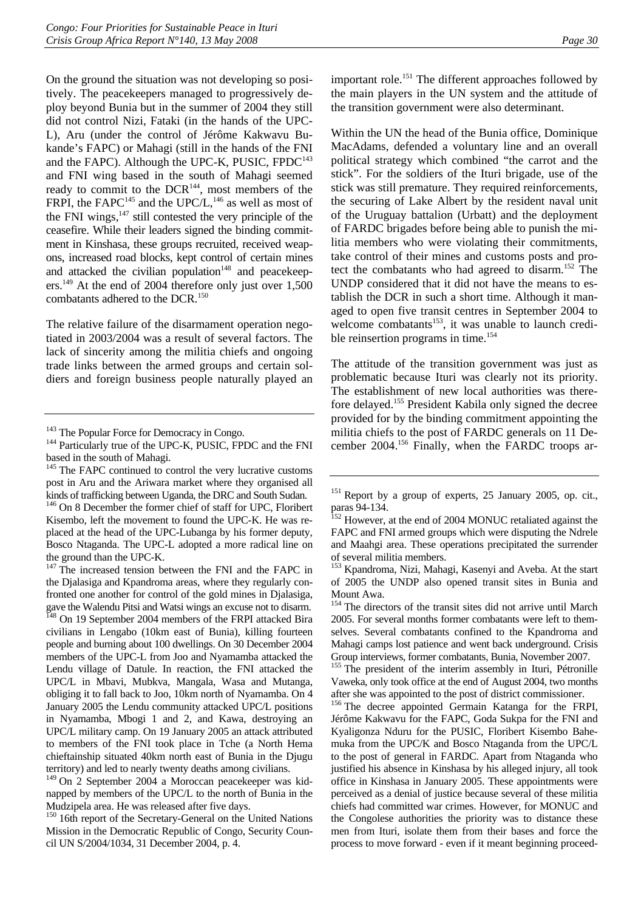On the ground the situation was not developing so positively. The peacekeepers managed to progressively deploy beyond Bunia but in the summer of 2004 they still did not control Nizi, Fataki (in the hands of the UPC-L), Aru (under the control of Jérôme Kakwavu Bukande's FAPC) or Mahagi (still in the hands of the FNI and the FAPC). Although the UPC-K, PUSIC,  $FPDC^{143}$ and FNI wing based in the south of Mahagi seemed ready to commit to the DCR<sup>144</sup>, most members of the FRPI, the FAPC<sup>145</sup> and the UPC/L,<sup>146</sup> as well as most of the FNI wings, $147$  still contested the very principle of the ceasefire. While their leaders signed the binding commitment in Kinshasa, these groups recruited, received weapons, increased road blocks, kept control of certain mines and attacked the civilian population<sup>148</sup> and peacekeepers.<sup>149</sup> At the end of 2004 therefore only just over 1,500 combatants adhered to the DCR.<sup>150</sup>

The relative failure of the disarmament operation negotiated in 2003/2004 was a result of several factors. The lack of sincerity among the militia chiefs and ongoing trade links between the armed groups and certain soldiers and foreign business people naturally played an

important role.<sup>151</sup> The different approaches followed by the main players in the UN system and the attitude of the transition government were also determinant.

Within the UN the head of the Bunia office, Dominique MacAdams, defended a voluntary line and an overall political strategy which combined "the carrot and the stick". For the soldiers of the Ituri brigade, use of the stick was still premature. They required reinforcements, the securing of Lake Albert by the resident naval unit of the Uruguay battalion (Urbatt) and the deployment of FARDC brigades before being able to punish the militia members who were violating their commitments, take control of their mines and customs posts and protect the combatants who had agreed to disarm.<sup>152</sup> The UNDP considered that it did not have the means to establish the DCR in such a short time. Although it managed to open five transit centres in September 2004 to welcome combatants<sup>153</sup>, it was unable to launch credible reinsertion programs in time.<sup>154</sup>

The attitude of the transition government was just as problematic because Ituri was clearly not its priority. The establishment of new local authorities was therefore delayed.155 President Kabila only signed the decree provided for by the binding commitment appointing the militia chiefs to the post of FARDC generals on 11 December 2004.156 Finally, when the FARDC troops ar-

 $143$  The Popular Force for Democracy in Congo.<br> $144$  Particularly true of the UPC-K, PUSIC, FPDC and the FNI based in the south of Mahagi.

<sup>&</sup>lt;sup>145</sup> The FAPC continued to control the very lucrative customs post in Aru and the Ariwara market where they organised all kinds of trafficking between Uganda, the DRC and South Sudan.

<sup>&</sup>lt;sup>146</sup> On 8 December the former chief of staff for UPC, Floribert Kisembo, left the movement to found the UPC-K. He was replaced at the head of the UPC-Lubanga by his former deputy, Bosco Ntaganda. The UPC-L adopted a more radical line on the ground than the UPC-K.

<sup>&</sup>lt;sup>147</sup> The increased tension between the FNI and the FAPC in the Djalasiga and Kpandroma areas, where they regularly confronted one another for control of the gold mines in Djalasiga, gave the Walendu Pitsi and Watsi wings an excuse not to disarm. <sup>148</sup> On 19 September 2004 members of the FRPI attacked Bira

civilians in Lengabo (10km east of Bunia), killing fourteen people and burning about 100 dwellings. On 30 December 2004 members of the UPC-L from Joo and Nyamamba attacked the Lendu village of Datule. In reaction, the FNI attacked the UPC/L in Mbavi, Mubkva, Mangala, Wasa and Mutanga, obliging it to fall back to Joo, 10km north of Nyamamba. On 4 January 2005 the Lendu community attacked UPC/L positions in Nyamamba, Mbogi 1 and 2, and Kawa, destroying an UPC/L military camp. On 19 January 2005 an attack attributed to members of the FNI took place in Tche (a North Hema chieftainship situated 40km north east of Bunia in the Djugu territory) and led to nearly twenty deaths among civilians.

<sup>149</sup> On 2 September 2004 a Moroccan peacekeeper was kidnapped by members of the UPC/L to the north of Bunia in the Mudzipela area. He was released after five days.

<sup>&</sup>lt;sup>150</sup> 16th report of the Secretary-General on the United Nations Mission in the Democratic Republic of Congo, Security Council UN S/2004/1034, 31 December 2004, p. 4.

<sup>&</sup>lt;sup>151</sup> Report by a group of experts, 25 January 2005, op. cit., paras 94-134.

<sup>&</sup>lt;sup>152</sup> However, at the end of 2004 MONUC retaliated against the FAPC and FNI armed groups which were disputing the Ndrele and Maahgi area. These operations precipitated the surrender of several militia members.

<sup>&</sup>lt;sup>153</sup> Kpandroma, Nizi, Mahagi, Kasenyi and Aveba. At the start of 2005 the UNDP also opened transit sites in Bunia and Mount Awa.

<sup>&</sup>lt;sup>154</sup> The directors of the transit sites did not arrive until March 2005. For several months former combatants were left to themselves. Several combatants confined to the Kpandroma and Mahagi camps lost patience and went back underground. Crisis Group interviews, former combatants, Bunia, November 2007.

<sup>&</sup>lt;sup>155</sup> The president of the interim assembly in Ituri, Pétronille Vaweka, only took office at the end of August 2004, two months after she was appointed to the post of district commissioner.

<sup>&</sup>lt;sup>156</sup> The decree appointed Germain Katanga for the FRPI, Jérôme Kakwavu for the FAPC, Goda Sukpa for the FNI and Kyaligonza Nduru for the PUSIC, Floribert Kisembo Bahemuka from the UPC/K and Bosco Ntaganda from the UPC/L to the post of general in FARDC. Apart from Ntaganda who justified his absence in Kinshasa by his alleged injury, all took office in Kinshasa in January 2005. These appointments were perceived as a denial of justice because several of these militia chiefs had committed war crimes. However, for MONUC and the Congolese authorities the priority was to distance these men from Ituri, isolate them from their bases and force the process to move forward - even if it meant beginning proceed-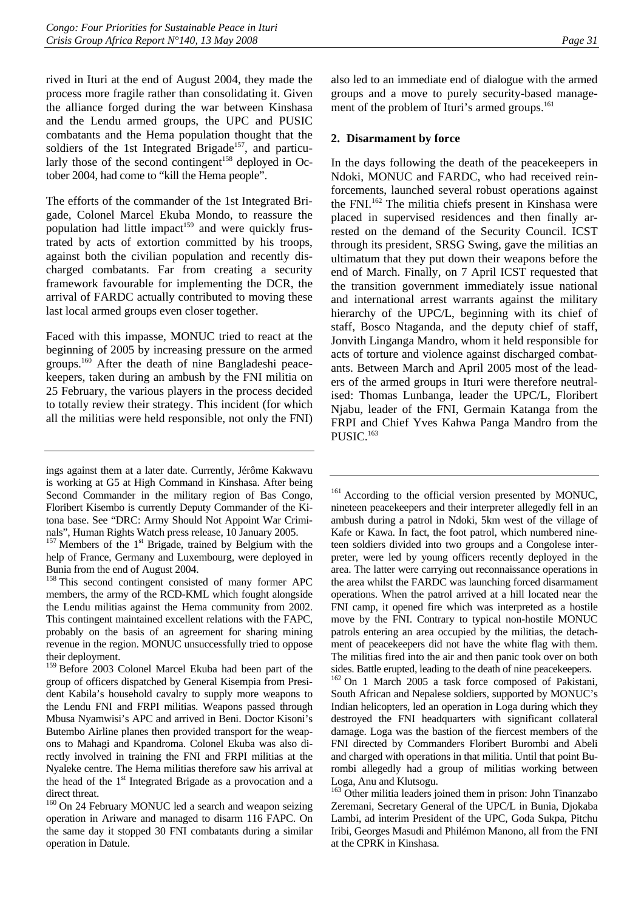rived in Ituri at the end of August 2004, they made the process more fragile rather than consolidating it. Given the alliance forged during the war between Kinshasa and the Lendu armed groups, the UPC and PUSIC combatants and the Hema population thought that the soldiers of the 1st Integrated Brigade<sup>157</sup>, and particularly those of the second contingent<sup>158</sup> deployed in October 2004, had come to "kill the Hema people".

The efforts of the commander of the 1st Integrated Brigade, Colonel Marcel Ekuba Mondo, to reassure the population had little impact<sup>159</sup> and were quickly frustrated by acts of extortion committed by his troops, against both the civilian population and recently discharged combatants. Far from creating a security framework favourable for implementing the DCR, the arrival of FARDC actually contributed to moving these last local armed groups even closer together.

Faced with this impasse, MONUC tried to react at the beginning of 2005 by increasing pressure on the armed groups.160 After the death of nine Bangladeshi peacekeepers, taken during an ambush by the FNI militia on 25 February, the various players in the process decided to totally review their strategy. This incident (for which all the militias were held responsible, not only the FNI) also led to an immediate end of dialogue with the armed groups and a move to purely security-based management of the problem of Ituri's armed groups.<sup>161</sup>

#### **2. Disarmament by force**

In the days following the death of the peacekeepers in Ndoki, MONUC and FARDC, who had received reinforcements, launched several robust operations against the FNI.<sup>162</sup> The militia chiefs present in Kinshasa were placed in supervised residences and then finally arrested on the demand of the Security Council. ICST through its president, SRSG Swing, gave the militias an ultimatum that they put down their weapons before the end of March. Finally, on 7 April ICST requested that the transition government immediately issue national and international arrest warrants against the military hierarchy of the UPC/L, beginning with its chief of staff, Bosco Ntaganda, and the deputy chief of staff, Jonvith Linganga Mandro, whom it held responsible for acts of torture and violence against discharged combatants. Between March and April 2005 most of the leaders of the armed groups in Ituri were therefore neutralised: Thomas Lunbanga, leader the UPC/L, Floribert Njabu, leader of the FNI, Germain Katanga from the FRPI and Chief Yves Kahwa Panga Mandro from the PUSIC.<sup>163</sup>

<sup>161</sup> According to the official version presented by MONUC, nineteen peacekeepers and their interpreter allegedly fell in an ambush during a patrol in Ndoki, 5km west of the village of Kafe or Kawa. In fact, the foot patrol, which numbered nineteen soldiers divided into two groups and a Congolese interpreter, were led by young officers recently deployed in the area. The latter were carrying out reconnaissance operations in the area whilst the FARDC was launching forced disarmament operations. When the patrol arrived at a hill located near the FNI camp, it opened fire which was interpreted as a hostile move by the FNI. Contrary to typical non-hostile MONUC patrols entering an area occupied by the militias, the detachment of peacekeepers did not have the white flag with them. The militias fired into the air and then panic took over on both sides. Battle erupted, leading to the death of nine peacekeepers.

162 On 1 March 2005 a task force composed of Pakistani, South African and Nepalese soldiers, supported by MONUC's Indian helicopters, led an operation in Loga during which they destroyed the FNI headquarters with significant collateral damage. Loga was the bastion of the fiercest members of the FNI directed by Commanders Floribert Burombi and Abeli and charged with operations in that militia. Until that point Burombi allegedly had a group of militias working between Loga, Anu and Klutsogu.

<sup>163</sup> Other militia leaders joined them in prison: John Tinanzabo Zeremani, Secretary General of the UPC/L in Bunia, Djokaba Lambi, ad interim President of the UPC, Goda Sukpa, Pitchu Iribi, Georges Masudi and Philémon Manono, all from the FNI at the CPRK in Kinshasa.

ings against them at a later date. Currently, Jérôme Kakwavu is working at G5 at High Command in Kinshasa. After being Second Commander in the military region of Bas Congo, Floribert Kisembo is currently Deputy Commander of the Kitona base. See "DRC: Army Should Not Appoint War Criminals", Human Rights Watch press release, 10 January 2005.

 $157$  Members of the  $1<sup>st</sup>$  Brigade, trained by Belgium with the help of France, Germany and Luxembourg, were deployed in Bunia from the end of August 2004.

<sup>&</sup>lt;sup>158</sup> This second contingent consisted of many former APC members, the army of the RCD-KML which fought alongside the Lendu militias against the Hema community from 2002. This contingent maintained excellent relations with the FAPC, probably on the basis of an agreement for sharing mining revenue in the region. MONUC unsuccessfully tried to oppose their deployment.

<sup>159</sup> Before 2003 Colonel Marcel Ekuba had been part of the group of officers dispatched by General Kisempia from President Kabila's household cavalry to supply more weapons to the Lendu FNI and FRPI militias. Weapons passed through Mbusa Nyamwisi's APC and arrived in Beni. Doctor Kisoni's Butembo Airline planes then provided transport for the weapons to Mahagi and Kpandroma. Colonel Ekuba was also directly involved in training the FNI and FRPI militias at the Nyaleke centre. The Hema militias therefore saw his arrival at the head of the  $1<sup>st</sup>$  Integrated Brigade as a provocation and a direct threat.

<sup>&</sup>lt;sup>160</sup> On 24 February MONUC led a search and weapon seizing operation in Ariware and managed to disarm 116 FAPC. On the same day it stopped 30 FNI combatants during a similar operation in Datule.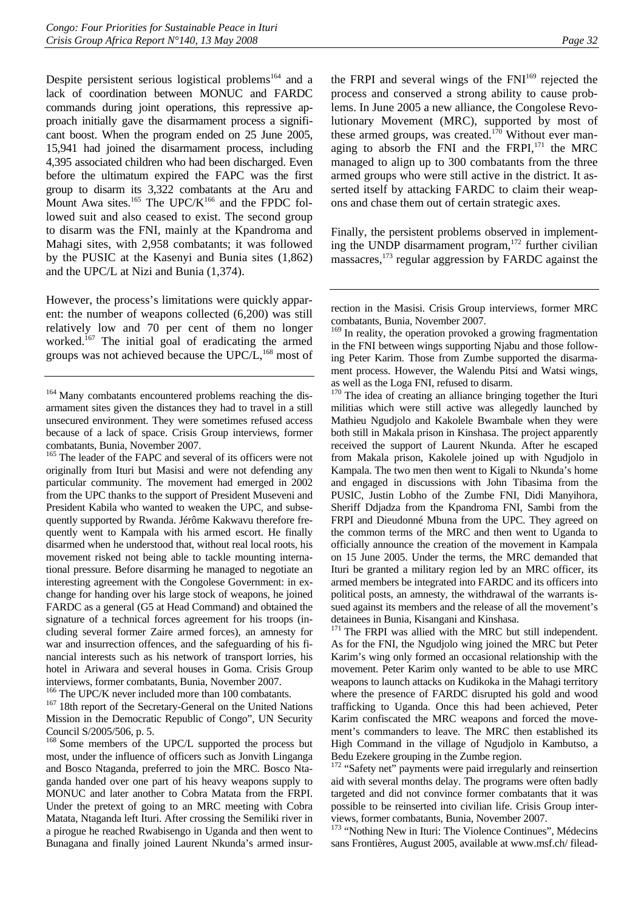Despite persistent serious logistical problems<sup>164</sup> and a lack of coordination between MONUC and FARDC commands during joint operations, this repressive approach initially gave the disarmament process a significant boost. When the program ended on 25 June 2005, 15,941 had joined the disarmament process, including 4,395 associated children who had been discharged. Even before the ultimatum expired the FAPC was the first group to disarm its 3,322 combatants at the Aru and Mount Awa sites. $165$  The UPC/K $166$  and the FPDC followed suit and also ceased to exist. The second group to disarm was the FNI, mainly at the Kpandroma and Mahagi sites, with 2,958 combatants; it was followed by the PUSIC at the Kasenyi and Bunia sites (1,862) and the UPC/L at Nizi and Bunia (1,374).

However, the process's limitations were quickly apparent: the number of weapons collected (6,200) was still relatively low and 70 per cent of them no longer worked.<sup>167</sup> The initial goal of eradicating the armed groups was not achieved because the  $UPC/L$ ,<sup>168</sup> most of

<sup>165</sup> The leader of the FAPC and several of its officers were not originally from Ituri but Masisi and were not defending any particular community. The movement had emerged in 2002 from the UPC thanks to the support of President Museveni and President Kabila who wanted to weaken the UPC, and subsequently supported by Rwanda. Jérôme Kakwavu therefore frequently went to Kampala with his armed escort. He finally disarmed when he understood that, without real local roots, his movement risked not being able to tackle mounting international pressure. Before disarming he managed to negotiate an interesting agreement with the Congolese Government: in exchange for handing over his large stock of weapons, he joined FARDC as a general (G5 at Head Command) and obtained the signature of a technical forces agreement for his troops (including several former Zaire armed forces), an amnesty for war and insurrection offences, and the safeguarding of his financial interests such as his network of transport lorries, his hotel in Ariwara and several houses in Goma. Crisis Group interviews, former combatants, Bunia, November 2007.<br><sup>166</sup> The UPC/K never included more than 100 combatants.

 $167$  18th report of the Secretary-General on the United Nations. Mission in the Democratic Republic of Congo", UN Security Council S/2005/506, p. 5.

<sup>168</sup> Some members of the UPC/L supported the process but most, under the influence of officers such as Jonvith Linganga and Bosco Ntaganda, preferred to join the MRC. Bosco Ntaganda handed over one part of his heavy weapons supply to MONUC and later another to Cobra Matata from the FRPI. Under the pretext of going to an MRC meeting with Cobra Matata, Ntaganda left Ituri. After crossing the Semiliki river in a pirogue he reached Rwabisengo in Uganda and then went to Bunagana and finally joined Laurent Nkunda's armed insurthe FRPI and several wings of the FNI<sup>169</sup> rejected the process and conserved a strong ability to cause problems. In June 2005 a new alliance, the Congolese Revolutionary Movement (MRC), supported by most of these armed groups, was created.<sup>170</sup> Without ever managing to absorb the FNI and the FRPI,<sup>171</sup> the MRC managed to align up to 300 combatants from the three armed groups who were still active in the district. It asserted itself by attacking FARDC to claim their weapons and chase them out of certain strategic axes.

Finally, the persistent problems observed in implementing the UNDP disarmament program, $172$  further civilian massacres,173 regular aggression by FARDC against the

<sup>169</sup> In reality, the operation provoked a growing fragmentation in the FNI between wings supporting Njabu and those following Peter Karim. Those from Zumbe supported the disarmament process. However, the Walendu Pitsi and Watsi wings, as well as the Loga FNI, refused to disarm.

<sup>170</sup> The idea of creating an alliance bringing together the Ituri militias which were still active was allegedly launched by Mathieu Ngudjolo and Kakolele Bwambale when they were both still in Makala prison in Kinshasa. The project apparently received the support of Laurent Nkunda. After he escaped from Makala prison, Kakolele joined up with Ngudjolo in Kampala. The two men then went to Kigali to Nkunda's home and engaged in discussions with John Tibasima from the PUSIC, Justin Lobho of the Zumbe FNI, Didi Manyihora, Sheriff Ddjadza from the Kpandroma FNI, Sambi from the FRPI and Dieudonné Mbuna from the UPC. They agreed on the common terms of the MRC and then went to Uganda to officially announce the creation of the movement in Kampala on 15 June 2005. Under the terms, the MRC demanded that Ituri be granted a military region led by an MRC officer, its armed members be integrated into FARDC and its officers into political posts, an amnesty, the withdrawal of the warrants issued against its members and the release of all the movement's detainees in Bunia, Kisangani and Kinshasa.

<sup>171</sup> The FRPI was allied with the MRC but still independent. As for the FNI, the Ngudjolo wing joined the MRC but Peter Karim's wing only formed an occasional relationship with the movement. Peter Karim only wanted to be able to use MRC weapons to launch attacks on Kudikoka in the Mahagi territory where the presence of FARDC disrupted his gold and wood trafficking to Uganda. Once this had been achieved, Peter Karim confiscated the MRC weapons and forced the movement's commanders to leave. The MRC then established its High Command in the village of Ngudjolo in Kambutso, a Bedu Ezekere grouping in the Zumbe region.

<sup>172</sup> "Safety net" payments were paid irregularly and reinsertion aid with several months delay. The programs were often badly targeted and did not convince former combatants that it was possible to be reinserted into civilian life. Crisis Group interviews, former combatants, Bunia, November 2007.

<sup>173</sup> "Nothing New in Ituri: The Violence Continues", Médecins sans Frontières, August 2005, available at www.msf.ch/ filead-

<sup>&</sup>lt;sup>164</sup> Many combatants encountered problems reaching the disarmament sites given the distances they had to travel in a still unsecured environment. They were sometimes refused access because of a lack of space. Crisis Group interviews, former combatants, Bunia, November 2007.

rection in the Masisi. Crisis Group interviews, former MRC combatants, Bunia, November 2007.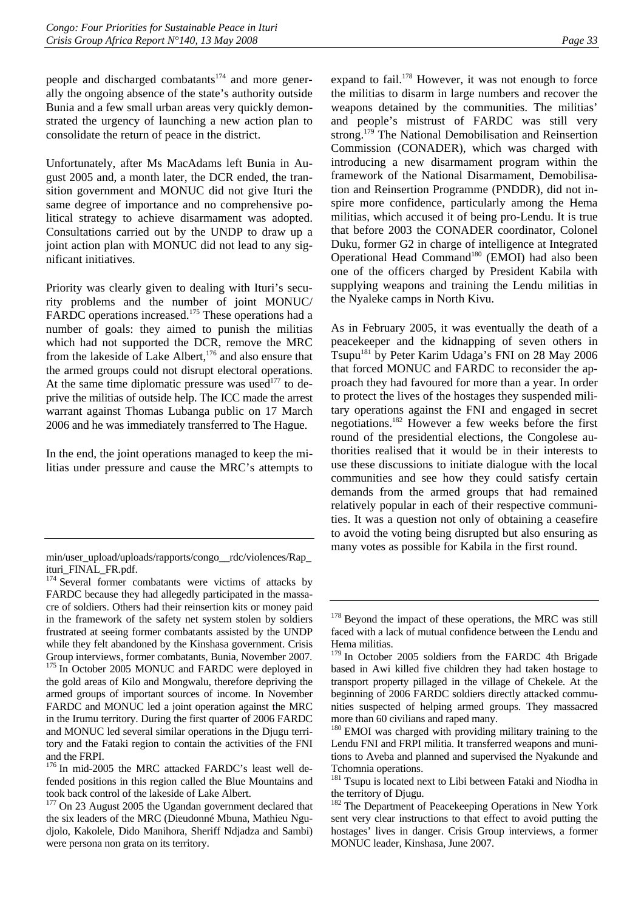people and discharged combatants $174$  and more generally the ongoing absence of the state's authority outside Bunia and a few small urban areas very quickly demonstrated the urgency of launching a new action plan to consolidate the return of peace in the district.

Unfortunately, after Ms MacAdams left Bunia in August 2005 and, a month later, the DCR ended, the transition government and MONUC did not give Ituri the same degree of importance and no comprehensive political strategy to achieve disarmament was adopted. Consultations carried out by the UNDP to draw up a joint action plan with MONUC did not lead to any significant initiatives.

Priority was clearly given to dealing with Ituri's security problems and the number of joint MONUC/ FARDC operations increased.<sup>175</sup> These operations had a number of goals: they aimed to punish the militias which had not supported the DCR, remove the MRC from the lakeside of Lake Albert,<sup>176</sup> and also ensure that the armed groups could not disrupt electoral operations. At the same time diplomatic pressure was used $177$  to deprive the militias of outside help. The ICC made the arrest warrant against Thomas Lubanga public on 17 March 2006 and he was immediately transferred to The Hague.

In the end, the joint operations managed to keep the militias under pressure and cause the MRC's attempts to expand to fail.<sup>178</sup> However, it was not enough to force the militias to disarm in large numbers and recover the weapons detained by the communities. The militias' and people's mistrust of FARDC was still very strong.<sup>179</sup> The National Demobilisation and Reinsertion Commission (CONADER), which was charged with introducing a new disarmament program within the framework of the National Disarmament, Demobilisation and Reinsertion Programme (PNDDR), did not inspire more confidence, particularly among the Hema militias, which accused it of being pro-Lendu. It is true that before 2003 the CONADER coordinator, Colonel Duku, former G2 in charge of intelligence at Integrated Operational Head Command<sup>180</sup> (EMOI) had also been one of the officers charged by President Kabila with supplying weapons and training the Lendu militias in the Nyaleke camps in North Kivu.

As in February 2005, it was eventually the death of a peacekeeper and the kidnapping of seven others in Tsupu181 by Peter Karim Udaga's FNI on 28 May 2006 that forced MONUC and FARDC to reconsider the approach they had favoured for more than a year. In order to protect the lives of the hostages they suspended military operations against the FNI and engaged in secret negotiations.182 However a few weeks before the first round of the presidential elections, the Congolese authorities realised that it would be in their interests to use these discussions to initiate dialogue with the local communities and see how they could satisfy certain demands from the armed groups that had remained relatively popular in each of their respective communities. It was a question not only of obtaining a ceasefire to avoid the voting being disrupted but also ensuring as many votes as possible for Kabila in the first round.

min/user\_upload/uploads/rapports/congo\_\_rdc/violences/Rap ituri\_FINAL\_FR.pdf.

<sup>&</sup>lt;sup>174</sup> Several former combatants were victims of attacks by FARDC because they had allegedly participated in the massacre of soldiers. Others had their reinsertion kits or money paid in the framework of the safety net system stolen by soldiers frustrated at seeing former combatants assisted by the UNDP while they felt abandoned by the Kinshasa government. Crisis Group interviews, former combatants, Bunia, November 2007. <sup>175</sup> In October 2005 MONUC and FARDC were deployed in the gold areas of Kilo and Mongwalu, therefore depriving the armed groups of important sources of income. In November FARDC and MONUC led a joint operation against the MRC in the Irumu territory. During the first quarter of 2006 FARDC and MONUC led several similar operations in the Djugu territory and the Fataki region to contain the activities of the FNI and the FRPI.

<sup>176</sup> In mid-2005 the MRC attacked FARDC's least well defended positions in this region called the Blue Mountains and took back control of the lakeside of Lake Albert.

<sup>&</sup>lt;sup>177</sup> On 23 August 2005 the Ugandan government declared that the six leaders of the MRC (Dieudonné Mbuna, Mathieu Ngudjolo, Kakolele, Dido Manihora, Sheriff Ndjadza and Sambi) were persona non grata on its territory.

<sup>&</sup>lt;sup>178</sup> Beyond the impact of these operations, the MRC was still faced with a lack of mutual confidence between the Lendu and Hema militias.

<sup>&</sup>lt;sup>179</sup> In October 2005 soldiers from the FARDC 4th Brigade based in Awi killed five children they had taken hostage to transport property pillaged in the village of Chekele. At the beginning of 2006 FARDC soldiers directly attacked communities suspected of helping armed groups. They massacred more than 60 civilians and raped many.

<sup>&</sup>lt;sup>180</sup> EMOI was charged with providing military training to the Lendu FNI and FRPI militia. It transferred weapons and munitions to Aveba and planned and supervised the Nyakunde and Tchomnia operations.

<sup>&</sup>lt;sup>181</sup> Tsupu is located next to Libi between Fataki and Niodha in the territory of Djugu.

<sup>&</sup>lt;sup>182</sup> The Department of Peacekeeping Operations in New York sent very clear instructions to that effect to avoid putting the hostages' lives in danger. Crisis Group interviews, a former MONUC leader, Kinshasa, June 2007.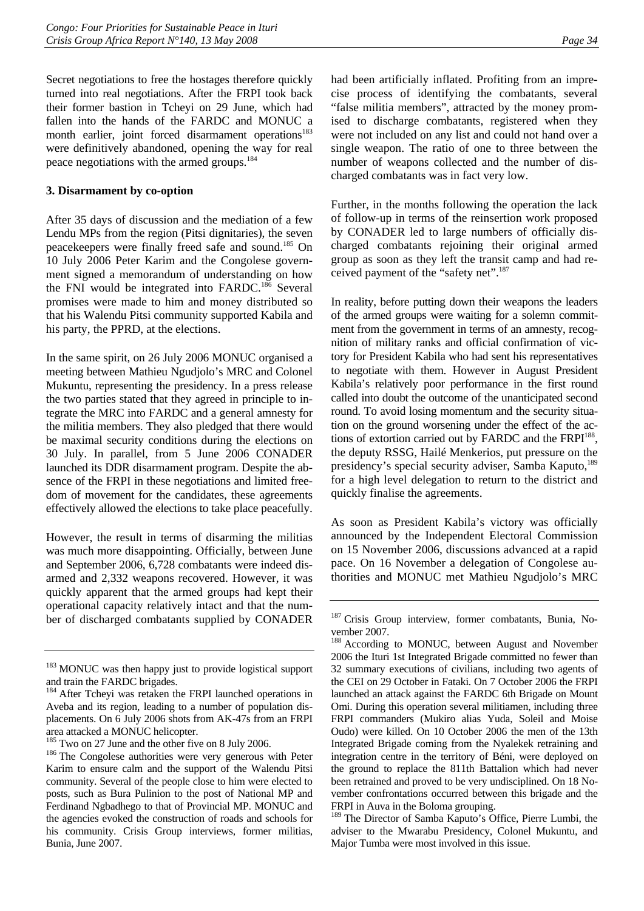Secret negotiations to free the hostages therefore quickly turned into real negotiations. After the FRPI took back their former bastion in Tcheyi on 29 June, which had fallen into the hands of the FARDC and MONUC a month earlier, joint forced disarmament operations<sup>183</sup> were definitively abandoned, opening the way for real peace negotiations with the armed groups.184

#### **3. Disarmament by co-option**

After 35 days of discussion and the mediation of a few Lendu MPs from the region (Pitsi dignitaries), the seven peacekeepers were finally freed safe and sound.185 On 10 July 2006 Peter Karim and the Congolese government signed a memorandum of understanding on how the FNI would be integrated into FARDC.<sup>186</sup> Several promises were made to him and money distributed so that his Walendu Pitsi community supported Kabila and his party, the PPRD, at the elections.

In the same spirit, on 26 July 2006 MONUC organised a meeting between Mathieu Ngudjolo's MRC and Colonel Mukuntu, representing the presidency. In a press release the two parties stated that they agreed in principle to integrate the MRC into FARDC and a general amnesty for the militia members. They also pledged that there would be maximal security conditions during the elections on 30 July. In parallel, from 5 June 2006 CONADER launched its DDR disarmament program. Despite the absence of the FRPI in these negotiations and limited freedom of movement for the candidates, these agreements effectively allowed the elections to take place peacefully.

However, the result in terms of disarming the militias was much more disappointing. Officially, between June and September 2006, 6,728 combatants were indeed disarmed and 2,332 weapons recovered. However, it was quickly apparent that the armed groups had kept their operational capacity relatively intact and that the number of discharged combatants supplied by CONADER had been artificially inflated. Profiting from an imprecise process of identifying the combatants, several "false militia members", attracted by the money promised to discharge combatants, registered when they were not included on any list and could not hand over a single weapon. The ratio of one to three between the number of weapons collected and the number of discharged combatants was in fact very low.

Further, in the months following the operation the lack of follow-up in terms of the reinsertion work proposed by CONADER led to large numbers of officially discharged combatants rejoining their original armed group as soon as they left the transit camp and had received payment of the "safety net".<sup>187</sup>

In reality, before putting down their weapons the leaders of the armed groups were waiting for a solemn commitment from the government in terms of an amnesty, recognition of military ranks and official confirmation of victory for President Kabila who had sent his representatives to negotiate with them. However in August President Kabila's relatively poor performance in the first round called into doubt the outcome of the unanticipated second round. To avoid losing momentum and the security situation on the ground worsening under the effect of the actions of extortion carried out by FARDC and the FRPI<sup>188</sup>, the deputy RSSG, Hailé Menkerios, put pressure on the presidency's special security adviser, Samba Kaputo,<sup>189</sup> for a high level delegation to return to the district and quickly finalise the agreements.

As soon as President Kabila's victory was officially announced by the Independent Electoral Commission on 15 November 2006, discussions advanced at a rapid pace. On 16 November a delegation of Congolese authorities and MONUC met Mathieu Ngudjolo's MRC

<sup>&</sup>lt;sup>183</sup> MONUC was then happy just to provide logistical support and train the FARDC brigades.

<sup>&</sup>lt;sup>184</sup> After Tcheyi was retaken the FRPI launched operations in Aveba and its region, leading to a number of population displacements. On 6 July 2006 shots from AK-47s from an FRPI

area attacked a MONUC helicopter.<br><sup>185</sup> Two on 27 June and the other five on 8 July 2006.

 $186$  The Congolese authorities were very generous with Peter Karim to ensure calm and the support of the Walendu Pitsi community. Several of the people close to him were elected to posts, such as Bura Pulinion to the post of National MP and Ferdinand Ngbadhego to that of Provincial MP. MONUC and the agencies evoked the construction of roads and schools for his community. Crisis Group interviews, former militias, Bunia, June 2007.

<sup>&</sup>lt;sup>187</sup> Crisis Group interview, former combatants, Bunia, November 2007.

<sup>&</sup>lt;sup>188</sup> According to MONUC, between August and November 2006 the Ituri 1st Integrated Brigade committed no fewer than 32 summary executions of civilians, including two agents of the CEI on 29 October in Fataki. On 7 October 2006 the FRPI launched an attack against the FARDC 6th Brigade on Mount Omi. During this operation several militiamen, including three FRPI commanders (Mukiro alias Yuda, Soleil and Moise Oudo) were killed. On 10 October 2006 the men of the 13th Integrated Brigade coming from the Nyalekek retraining and integration centre in the territory of Béni, were deployed on the ground to replace the 811th Battalion which had never been retrained and proved to be very undisciplined. On 18 November confrontations occurred between this brigade and the FRPI in Auva in the Boloma grouping.

<sup>&</sup>lt;sup>189</sup> The Director of Samba Kaputo's Office, Pierre Lumbi, the adviser to the Mwarabu Presidency, Colonel Mukuntu, and Major Tumba were most involved in this issue.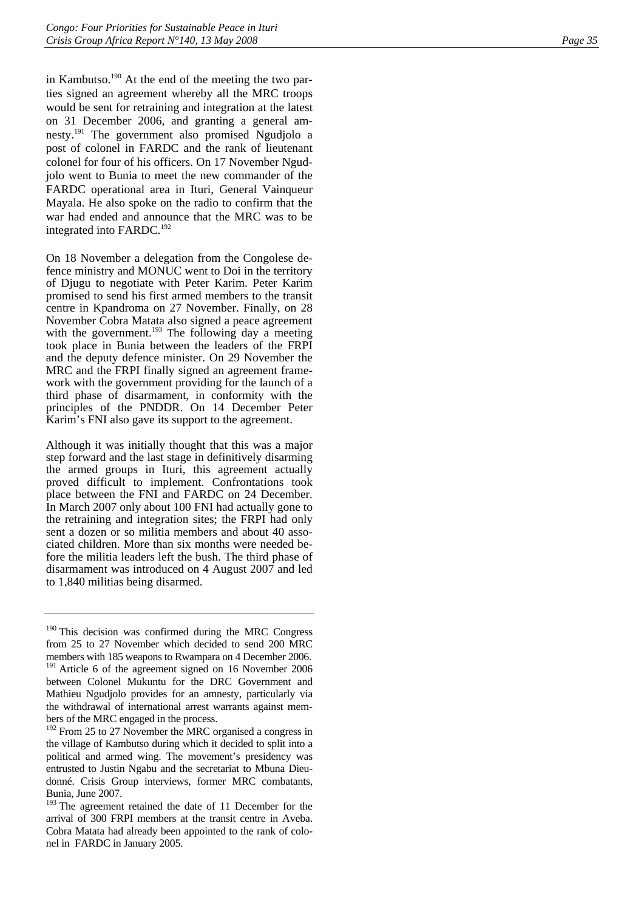in Kambutso.<sup>190</sup> At the end of the meeting the two parties signed an agreement whereby all the MRC troops would be sent for retraining and integration at the latest on 31 December 2006, and granting a general amnesty.191 The government also promised Ngudjolo a post of colonel in FARDC and the rank of lieutenant colonel for four of his officers. On 17 November Ngudjolo went to Bunia to meet the new commander of the FARDC operational area in Ituri, General Vainqueur Mayala. He also spoke on the radio to confirm that the war had ended and announce that the MRC was to be integrated into FARDC.<sup>192</sup>

On 18 November a delegation from the Congolese defence ministry and MONUC went to Doi in the territory of Djugu to negotiate with Peter Karim. Peter Karim promised to send his first armed members to the transit centre in Kpandroma on 27 November. Finally, on 28 November Cobra Matata also signed a peace agreement with the government.<sup>193</sup> The following day a meeting took place in Bunia between the leaders of the FRPI and the deputy defence minister. On 29 November the MRC and the FRPI finally signed an agreement framework with the government providing for the launch of a third phase of disarmament, in conformity with the principles of the PNDDR. On 14 December Peter Karim's FNI also gave its support to the agreement.

Although it was initially thought that this was a major step forward and the last stage in definitively disarming the armed groups in Ituri, this agreement actually proved difficult to implement. Confrontations took place between the FNI and FARDC on 24 December. In March 2007 only about 100 FNI had actually gone to the retraining and integration sites; the FRPI had only sent a dozen or so militia members and about 40 associated children. More than six months were needed before the militia leaders left the bush. The third phase of disarmament was introduced on 4 August 2007 and led to 1,840 militias being disarmed.

<sup>190</sup> This decision was confirmed during the MRC Congress from 25 to 27 November which decided to send 200 MRC members with 185 weapons to Rwampara on 4 December 2006. <sup>191</sup> Article 6 of the agreement signed on 16 November 2006 between Colonel Mukuntu for the DRC Government and Mathieu Ngudjolo provides for an amnesty, particularly via the withdrawal of international arrest warrants against members of the MRC engaged in the process.

<sup>&</sup>lt;sup>192</sup> From 25 to 27 November the MRC organised a congress in the village of Kambutso during which it decided to split into a political and armed wing. The movement's presidency was entrusted to Justin Ngabu and the secretariat to Mbuna Dieudonné. Crisis Group interviews, former MRC combatants, Bunia, June 2007.

<sup>&</sup>lt;sup>193</sup> The agreement retained the date of 11 December for the arrival of 300 FRPI members at the transit centre in Aveba. Cobra Matata had already been appointed to the rank of colonel in FARDC in January 2005.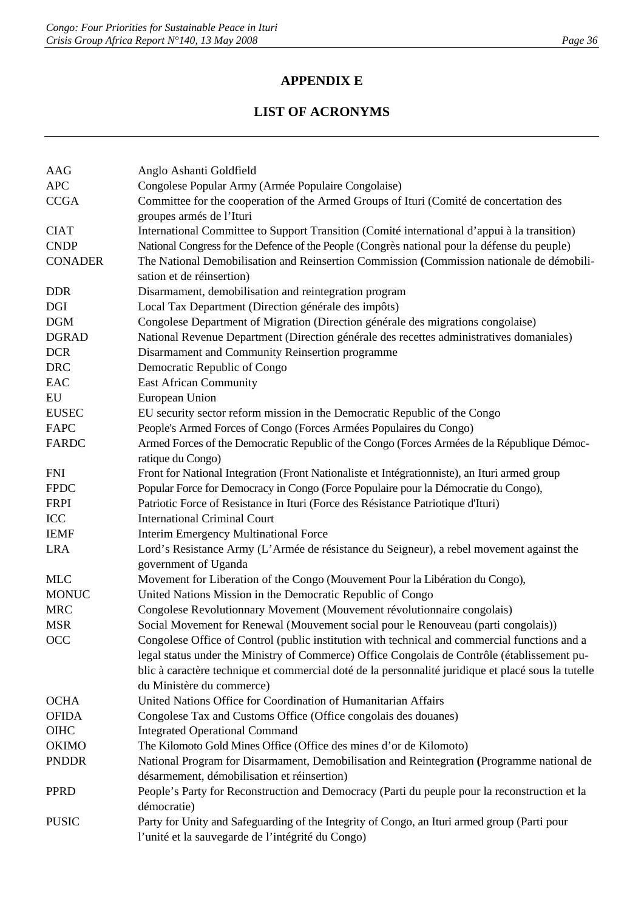# **APPENDIX E**

# **LIST OF ACRONYMS**

| AAG            | Anglo Ashanti Goldfield                                                                                            |
|----------------|--------------------------------------------------------------------------------------------------------------------|
| <b>APC</b>     | Congolese Popular Army (Armée Populaire Congolaise)                                                                |
| <b>CCGA</b>    | Committee for the cooperation of the Armed Groups of Ituri (Comité de concertation des<br>groupes armés de l'Ituri |
| <b>CIAT</b>    | International Committee to Support Transition (Comité international d'appui à la transition)                       |
| <b>CNDP</b>    | National Congress for the Defence of the People (Congrès national pour la défense du peuple)                       |
| <b>CONADER</b> | The National Demobilisation and Reinsertion Commission (Commission nationale de démobili-                          |
|                | sation et de réinsertion)                                                                                          |
| <b>DDR</b>     | Disarmament, demobilisation and reintegration program                                                              |
| <b>DGI</b>     | Local Tax Department (Direction générale des impôts)                                                               |
| <b>DGM</b>     | Congolese Department of Migration (Direction générale des migrations congolaise)                                   |
| <b>DGRAD</b>   | National Revenue Department (Direction générale des recettes administratives domaniales)                           |
| <b>DCR</b>     | Disarmament and Community Reinsertion programme                                                                    |
| <b>DRC</b>     | Democratic Republic of Congo                                                                                       |
| EAC            | <b>East African Community</b>                                                                                      |
| EU             | European Union                                                                                                     |
| <b>EUSEC</b>   | EU security sector reform mission in the Democratic Republic of the Congo                                          |
| <b>FAPC</b>    | People's Armed Forces of Congo (Forces Armées Populaires du Congo)                                                 |
| <b>FARDC</b>   | Armed Forces of the Democratic Republic of the Congo (Forces Armées de la République Démoc-                        |
|                | ratique du Congo)                                                                                                  |
| <b>FNI</b>     | Front for National Integration (Front Nationaliste et Intégrationniste), an Ituri armed group                      |
| <b>FPDC</b>    | Popular Force for Democracy in Congo (Force Populaire pour la Démocratie du Congo),                                |
| <b>FRPI</b>    | Patriotic Force of Resistance in Ituri (Force des Résistance Patriotique d'Ituri)                                  |
| ICC            | <b>International Criminal Court</b>                                                                                |
| <b>IEMF</b>    | <b>Interim Emergency Multinational Force</b>                                                                       |
| <b>LRA</b>     | Lord's Resistance Army (L'Armée de résistance du Seigneur), a rebel movement against the<br>government of Uganda   |
| <b>MLC</b>     | Movement for Liberation of the Congo (Mouvement Pour la Libération du Congo),                                      |
| <b>MONUC</b>   | United Nations Mission in the Democratic Republic of Congo                                                         |
| <b>MRC</b>     | Congolese Revolutionnary Movement (Mouvement révolutionnaire congolais)                                            |
| <b>MSR</b>     | Social Movement for Renewal (Mouvement social pour le Renouveau (parti congolais))                                 |
| OCC            | Congolese Office of Control (public institution with technical and commercial functions and a                      |
|                | legal status under the Ministry of Commerce) Office Congolais de Contrôle (établissement pu-                       |
|                | blic à caractère technique et commercial doté de la personnalité juridique et placé sous la tutelle                |
|                | du Ministère du commerce)                                                                                          |
| <b>OCHA</b>    | United Nations Office for Coordination of Humanitarian Affairs                                                     |
| <b>OFIDA</b>   | Congolese Tax and Customs Office (Office congolais des douanes)                                                    |
| <b>OIHC</b>    | <b>Integrated Operational Command</b>                                                                              |
| <b>OKIMO</b>   | The Kilomoto Gold Mines Office (Office des mines d'or de Kilomoto)                                                 |
| <b>PNDDR</b>   | National Program for Disarmament, Demobilisation and Reintegration (Programme national de                          |
|                | désarmement, démobilisation et réinsertion)                                                                        |
| <b>PPRD</b>    | People's Party for Reconstruction and Democracy (Parti du peuple pour la reconstruction et la                      |
|                | démocratie)                                                                                                        |
| <b>PUSIC</b>   | Party for Unity and Safeguarding of the Integrity of Congo, an Ituri armed group (Parti pour                       |
|                | l'unité et la sauvegarde de l'intégrité du Congo)                                                                  |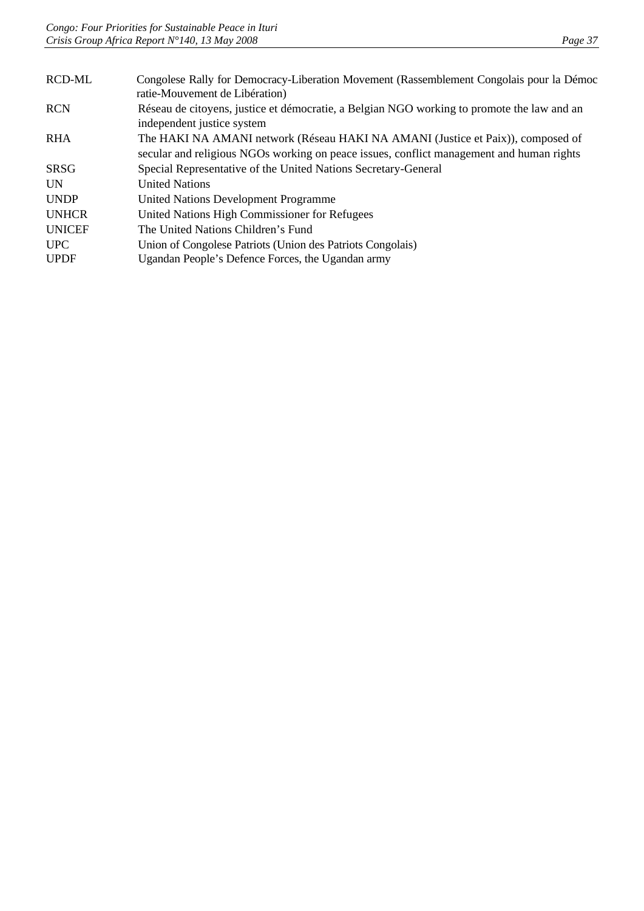| <b>RCD-ML</b> | Congolese Rally for Democracy-Liberation Movement (Rassemblement Congolais pour la Démoc<br>ratie-Mouvement de Libération)                                                  |
|---------------|-----------------------------------------------------------------------------------------------------------------------------------------------------------------------------|
| <b>RCN</b>    | Réseau de citoyens, justice et démocratie, a Belgian NGO working to promote the law and an<br>independent justice system                                                    |
| <b>RHA</b>    | The HAKI NA AMANI network (Réseau HAKI NA AMANI (Justice et Paix)), composed of<br>secular and religious NGOs working on peace issues, conflict management and human rights |
| <b>SRSG</b>   | Special Representative of the United Nations Secretary-General                                                                                                              |
| <b>UN</b>     | <b>United Nations</b>                                                                                                                                                       |
| <b>UNDP</b>   | United Nations Development Programme                                                                                                                                        |
| <b>UNHCR</b>  | United Nations High Commissioner for Refugees                                                                                                                               |
| <b>UNICEF</b> | The United Nations Children's Fund                                                                                                                                          |
| <b>UPC</b>    | Union of Congolese Patriots (Union des Patriots Congolais)                                                                                                                  |
| <b>UPDF</b>   | Ugandan People's Defence Forces, the Ugandan army                                                                                                                           |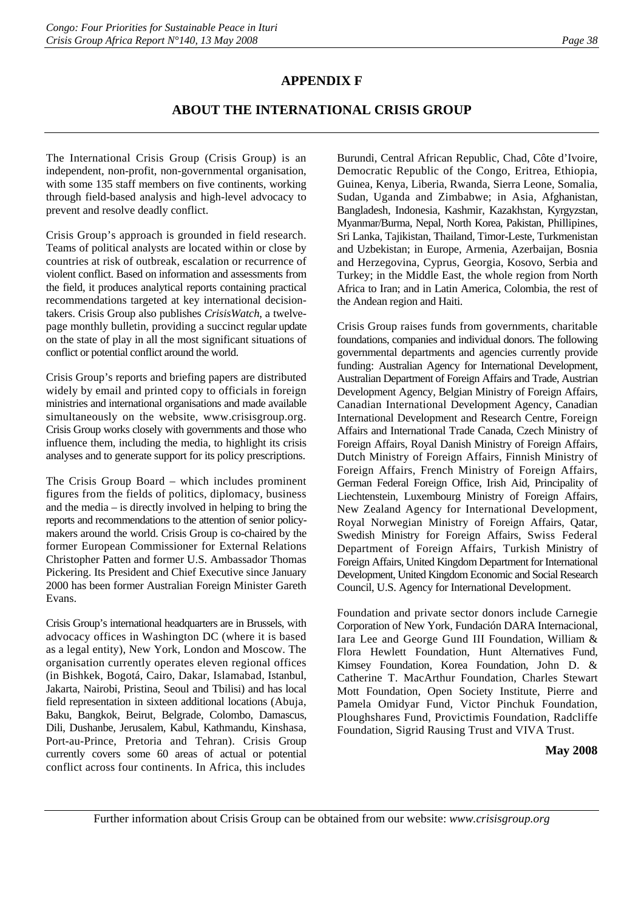## **APPENDIX F**

## **ABOUT THE INTERNATIONAL CRISIS GROUP**

The International Crisis Group (Crisis Group) is an independent, non-profit, non-governmental organisation, with some 135 staff members on five continents, working through field-based analysis and high-level advocacy to prevent and resolve deadly conflict.

Crisis Group's approach is grounded in field research. Teams of political analysts are located within or close by countries at risk of outbreak, escalation or recurrence of violent conflict. Based on information and assessments from the field, it produces analytical reports containing practical recommendations targeted at key international decisiontakers. Crisis Group also publishes *CrisisWatch*, a twelvepage monthly bulletin, providing a succinct regular update on the state of play in all the most significant situations of conflict or potential conflict around the world.

Crisis Group's reports and briefing papers are distributed widely by email and printed copy to officials in foreign ministries and international organisations and made available simultaneously on the website, www.crisisgroup.org. Crisis Group works closely with governments and those who influence them, including the media, to highlight its crisis analyses and to generate support for its policy prescriptions.

The Crisis Group Board – which includes prominent figures from the fields of politics, diplomacy, business and the media – is directly involved in helping to bring the reports and recommendations to the attention of senior policymakers around the world. Crisis Group is co-chaired by the former European Commissioner for External Relations Christopher Patten and former U.S. Ambassador Thomas Pickering. Its President and Chief Executive since January 2000 has been former Australian Foreign Minister Gareth Evans.

Crisis Group's international headquarters are in Brussels, with advocacy offices in Washington DC (where it is based as a legal entity), New York, London and Moscow. The organisation currently operates eleven regional offices (in Bishkek, Bogotá, Cairo, Dakar, Islamabad, Istanbul, Jakarta, Nairobi, Pristina, Seoul and Tbilisi) and has local field representation in sixteen additional locations (Abuja, Baku, Bangkok, Beirut, Belgrade, Colombo, Damascus, Dili, Dushanbe, Jerusalem, Kabul, Kathmandu, Kinshasa, Port-au-Prince, Pretoria and Tehran). Crisis Group currently covers some 60 areas of actual or potential conflict across four continents. In Africa, this includes

Burundi, Central African Republic, Chad, Côte d'Ivoire, Democratic Republic of the Congo, Eritrea, Ethiopia, Guinea, Kenya, Liberia, Rwanda, Sierra Leone, Somalia, Sudan, Uganda and Zimbabwe; in Asia, Afghanistan, Bangladesh, Indonesia, Kashmir, Kazakhstan, Kyrgyzstan, Myanmar/Burma, Nepal, North Korea, Pakistan, Phillipines, Sri Lanka, Tajikistan, Thailand, Timor-Leste, Turkmenistan and Uzbekistan; in Europe, Armenia, Azerbaijan, Bosnia and Herzegovina, Cyprus, Georgia, Kosovo, Serbia and Turkey; in the Middle East, the whole region from North Africa to Iran; and in Latin America, Colombia, the rest of the Andean region and Haiti.

Crisis Group raises funds from governments, charitable foundations, companies and individual donors. The following governmental departments and agencies currently provide funding: Australian Agency for International Development, Australian Department of Foreign Affairs and Trade, Austrian Development Agency, Belgian Ministry of Foreign Affairs, Canadian International Development Agency, Canadian International Development and Research Centre, Foreign Affairs and International Trade Canada, Czech Ministry of Foreign Affairs, Royal Danish Ministry of Foreign Affairs, Dutch Ministry of Foreign Affairs, Finnish Ministry of Foreign Affairs, French Ministry of Foreign Affairs, German Federal Foreign Office, Irish Aid, Principality of Liechtenstein, Luxembourg Ministry of Foreign Affairs, New Zealand Agency for International Development, Royal Norwegian Ministry of Foreign Affairs, Qatar, Swedish Ministry for Foreign Affairs, Swiss Federal Department of Foreign Affairs, Turkish Ministry of Foreign Affairs, United Kingdom Department for International Development, United Kingdom Economic and Social Research Council, U.S. Agency for International Development.

Foundation and private sector donors include Carnegie Corporation of New York, Fundación DARA Internacional, Iara Lee and George Gund III Foundation, William & Flora Hewlett Foundation, Hunt Alternatives Fund, Kimsey Foundation, Korea Foundation, John D. & Catherine T. MacArthur Foundation, Charles Stewart Mott Foundation, Open Society Institute, Pierre and Pamela Omidyar Fund, Victor Pinchuk Foundation, Ploughshares Fund, Provictimis Foundation, Radcliffe Foundation, Sigrid Rausing Trust and VIVA Trust.

#### **May 2008**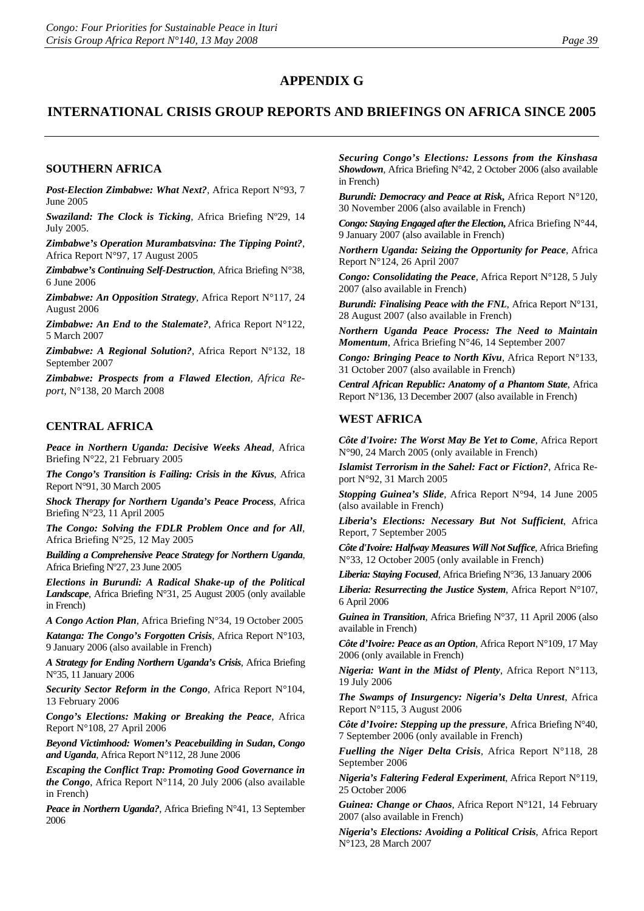## **APPENDIX G**

## **INTERNATIONAL CRISIS GROUP REPORTS AND BRIEFINGS ON AFRICA SINCE 2005**

#### **SOUTHERN AFRICA**

*Post-Election Zimbabwe: What Next?*, Africa Report N°93, 7 June 2005

*Swaziland: The Clock is Ticking*, Africa Briefing Nº29, 14 July 2005.

*Zimbabwe's Operation Murambatsvina: The Tipping Point?*, Africa Report N°97, 17 August 2005

*Zimbabwe's Continuing Self-Destruction*, Africa Briefing N°38, 6 June 2006

*Zimbabwe: An Opposition Strategy*, Africa Report N°117, 24 August 2006

*Zimbabwe: An End to the Stalemate?*, Africa Report N°122, 5 March 2007

*Zimbabwe: A Regional Solution?*, Africa Report N°132, 18 September 2007

*Zimbabwe: Prospects from a Flawed Election, Africa Report,* N°138, 20 March 2008

#### **CENTRAL AFRICA**

*Peace in Northern Uganda: Decisive Weeks Ahead*, Africa Briefing N°22, 21 February 2005

*The Congo's Transition is Failing: Crisis in the Kivus*, Africa Report N°91, 30 March 2005

*Shock Therapy for Northern Uganda's Peace Process*, Africa Briefing N°23, 11 April 2005

*The Congo: Solving the FDLR Problem Once and for All*, Africa Briefing N°25, 12 May 2005

*Building a Comprehensive Peace Strategy for Northern Uganda*, Africa Briefing Nº27, 23 June 2005

*Elections in Burundi: A Radical Shake-up of the Political Landscape*, Africa Briefing N°31, 25 August 2005 (only available in French)

*A Congo Action Plan*, Africa Briefing N°34, 19 October 2005

*Katanga: The Congo's Forgotten Crisis*, Africa Report N°103, 9 January 2006 (also available in French)

*A Strategy for Ending Northern Uganda's Crisis*, Africa Briefing N°35, 11 January 2006

*Security Sector Reform in the Congo*, Africa Report N°104, 13 February 2006

*Congo's Elections: Making or Breaking the Peace*, Africa Report N°108, 27 April 2006

*Beyond Victimhood: Women's Peacebuilding in Sudan***,** *Congo and Uganda*, Africa Report N°112, 28 June 2006

*Escaping the Conflict Trap: Promoting Good Governance in the Congo*, Africa Report N°114, 20 July 2006 (also available in French)

*Peace in Northern Uganda?*, Africa Briefing N°41, 13 September 2006

*Securing Congo's Elections: Lessons from the Kinshasa Showdown*, Africa Briefing N°42, 2 October 2006 (also available in French)

*Burundi: Democracy and Peace at Risk***,** Africa Report N°120, 30 November 2006 (also available in French)

*Congo: Staying Engaged after the Election, Africa Briefing N°44,* 9 January 2007 (also available in French)

*Northern Uganda: Seizing the Opportunity for Peace*, Africa Report N°124, 26 April 2007

*Congo: Consolidating the Peace*, Africa Report N°128, 5 July 2007 (also available in French)

*Burundi: Finalising Peace with the FNL*, Africa Report N°131, 28 August 2007 (also available in French)

*Northern Uganda Peace Process: The Need to Maintain Momentum*, Africa Briefing N°46, 14 September 2007

*Congo: Bringing Peace to North Kivu*, Africa Report N°133, 31 October 2007 (also available in French)

*Central African Republic: Anatomy of a Phantom State*, Africa Report N°136, 13 December 2007 (also available in French)

#### **WEST AFRICA**

*Côte d'Ivoire: The Worst May Be Yet to Come*, Africa Report N°90, 24 March 2005 (only available in French)

*Islamist Terrorism in the Sahel: Fact or Fiction?*, Africa Report N°92, 31 March 2005

*Stopping Guinea's Slide*, Africa Report N°94, 14 June 2005 (also available in French)

*Liberia's Elections: Necessary But Not Sufficient*, Africa Report, 7 September 2005

*Côte d'Ivoire: Halfway Measures Will Not Suffice*, Africa Briefing N°33, 12 October 2005 (only available in French)

*Liberia: Staying Focused*, Africa Briefing N°36, 13 January 2006

*Liberia: Resurrecting the Justice System*, Africa Report N°107, 6 April 2006

*Guinea in Transition*, Africa Briefing N°37, 11 April 2006 (also available in French)

*Côte d'Ivoire: Peace as an Option*, Africa Report N°109, 17 May 2006 (only available in French)

*Nigeria: Want in the Midst of Plenty*, Africa Report N°113, 19 July 2006

*The Swamps of Insurgency: Nigeria's Delta Unrest*, Africa Report N°115, 3 August 2006

*Côte d'Ivoire: Stepping up the pressure*, Africa Briefing N°40, 7 September 2006 (only available in French)

*Fuelling the Niger Delta Crisis*, Africa Report N°118, 28 September 2006

*Nigeria's Faltering Federal Experiment*, Africa Report N°119, 25 October 2006

*Guinea: Change or Chaos*, Africa Report N°121, 14 February 2007 (also available in French)

*Nigeria's Elections: Avoiding a Political Crisis*, Africa Report N°123, 28 March 2007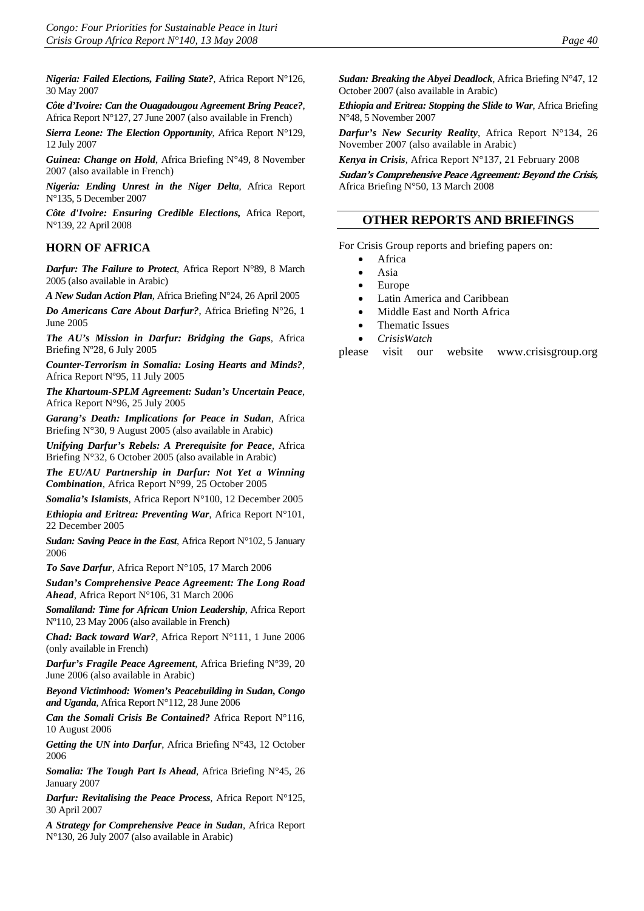*Nigeria: Failed Elections, Failing State?*, Africa Report N°126, 30 May 2007

*Côte d'Ivoire: Can the Ouagadougou Agreement Bring Peace?*, Africa Report N°127, 27 June 2007 (also available in French)

*Sierra Leone: The Election Opportunity*, Africa Report N°129, 12 July 2007

*Guinea: Change on Hold*, Africa Briefing N°49, 8 November 2007 (also available in French)

*Nigeria: Ending Unrest in the Niger Delta*, Africa Report N°135, 5 December 2007

*Côte d'Ivoire: Ensuring Credible Elections,* Africa Report, N°139, 22 April 2008

#### **HORN OF AFRICA**

*Darfur: The Failure to Protect*, Africa Report N°89, 8 March 2005 (also available in Arabic)

*A New Sudan Action Plan*, Africa Briefing N°24, 26 April 2005

*Do Americans Care About Darfur?*, Africa Briefing N°26, 1 June 2005

*The AU's Mission in Darfur: Bridging the Gaps*, Africa Briefing Nº28, 6 July 2005

*Counter-Terrorism in Somalia: Losing Hearts and Minds?*, Africa Report Nº95, 11 July 2005

*The Khartoum-SPLM Agreement: Sudan's Uncertain Peace*, Africa Report N°96, 25 July 2005

*Garang's Death: Implications for Peace in Sudan*, Africa Briefing N°30, 9 August 2005 (also available in Arabic)

*Unifying Darfur's Rebels: A Prerequisite for Peace*, Africa Briefing N°32, 6 October 2005 (also available in Arabic)

*The EU/AU Partnership in Darfur: Not Yet a Winning Combination*, Africa Report N°99, 25 October 2005

*Somalia's Islamists*, Africa Report N°100, 12 December 2005

*Ethiopia and Eritrea: Preventing War*, Africa Report N°101, 22 December 2005

*Sudan: Saving Peace in the East*, Africa Report N°102, 5 January 2006

*To Save Darfur*, Africa Report N°105, 17 March 2006

*Sudan's Comprehensive Peace Agreement: The Long Road Ahead*, Africa Report N°106, 31 March 2006

*Somaliland: Time for African Union Leadership*, Africa Report Nº110, 23 May 2006 (also available in French)

*Chad: Back toward War?*, Africa Report N°111, 1 June 2006 (only available in French)

*Darfur's Fragile Peace Agreement*, Africa Briefing N°39, 20 June 2006 (also available in Arabic)

*Beyond Victimhood: Women's Peacebuilding in Sudan***,** *Congo and Uganda*, Africa Report N°112, 28 June 2006

*Can the Somali Crisis Be Contained?* Africa Report N°116, 10 August 2006

*Getting the UN into Darfur*, Africa Briefing N°43, 12 October 2006

*Somalia: The Tough Part Is Ahead*, Africa Briefing N°45, 26 January 2007

*Darfur: Revitalising the Peace Process*, Africa Report N°125, 30 April 2007

*A Strategy for Comprehensive Peace in Sudan*, Africa Report N°130, 26 July 2007 (also available in Arabic)

*Sudan: Breaking the Abyei Deadlock*, Africa Briefing N°47, 12 October 2007 (also available in Arabic)

*Ethiopia and Eritrea: Stopping the Slide to War*, Africa Briefing N°48, 5 November 2007

*Darfur's New Security Reality*, Africa Report N°134, 26 November 2007 (also available in Arabic)

*Kenya in Crisis*, Africa Report N°137, 21 February 2008

**Sudan's Comprehensive Peace Agreement: Beyond the Crisis,**  Africa Briefing N°50, 13 March 2008

#### **OTHER REPORTS AND BRIEFINGS**

For Crisis Group reports and briefing papers on:

- **Africa**
- Asia
- Europe
- Latin America and Caribbean
- Middle East and North Africa
- Thematic Issues
- *CrisisWatch*

please visit our website www.crisisgroup.org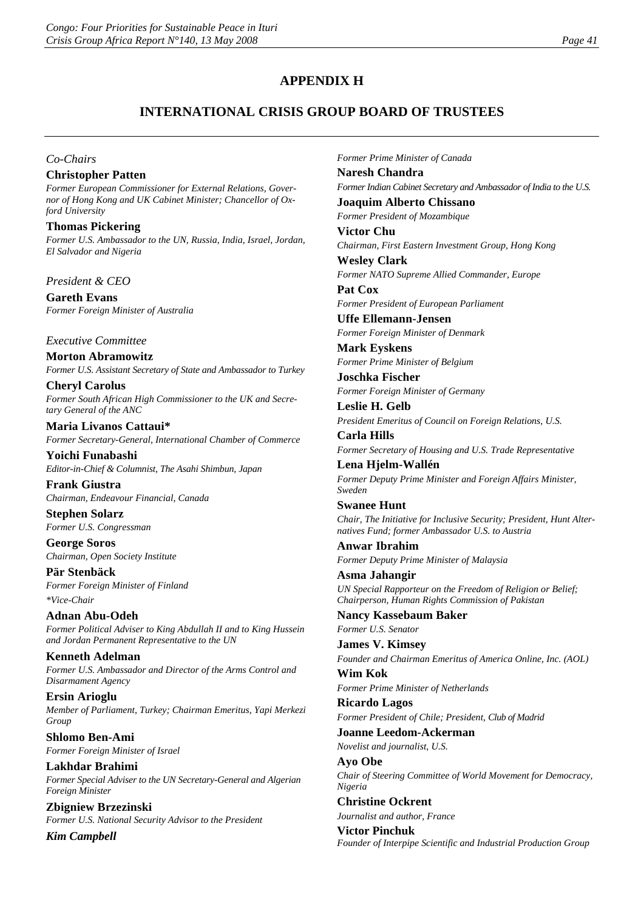## **APPENDIX H**

## **INTERNATIONAL CRISIS GROUP BOARD OF TRUSTEES**

#### *Co-Chairs*

#### **Christopher Patten**

*Former European Commissioner for External Relations, Governor of Hong Kong and UK Cabinet Minister; Chancellor of Oxford University*

**Thomas Pickering**  *Former U.S. Ambassador to the UN, Russia, India, Israel, Jordan, El Salvador and Nigeria*

*President & CEO*

**Gareth Evans** *Former Foreign Minister of Australia*

*Executive Committee*

**Morton Abramowitz** *Former U.S. Assistant Secretary of State and Ambassador to Turkey*

**Cheryl Carolus** *Former South African High Commissioner to the UK and Secretary General of the ANC*

**Maria Livanos Cattaui\*** *Former Secretary-General, International Chamber of Commerce*

**Yoichi Funabashi** *Editor-in-Chief & Columnist, The Asahi Shimbun, Japan* 

**Frank Giustra** *Chairman, Endeavour Financial, Canada*

**Stephen Solarz** *Former U.S. Congressman*

**George Soros** *Chairman, Open Society Institute*

**Pär Stenbäck** *Former Foreign Minister of Finland \*Vice-Chair*

**Adnan Abu-Odeh** *Former Political Adviser to King Abdullah II and to King Hussein and Jordan Permanent Representative to the UN*

**Kenneth Adelman** *Former U.S. Ambassador and Director of the Arms Control and Disarmament Agency*

**Ersin Arioglu** *Member of Parliament, Turkey; Chairman Emeritus, Yapi Merkezi Group*

**Shlomo Ben-Ami** *Former Foreign Minister of Israel*

**Lakhdar Brahimi** *Former Special Adviser to the UN Secretary-General and Algerian Foreign Minister*

**Zbigniew Brzezinski** *Former U.S. National Security Advisor to the President* 

*Kim Campbell*

*Former Prime Minister of Canada* **Naresh Chandra** *Former Indian Cabinet Secretary and Ambassador of India to the U.S.* **Joaquim Alberto Chissano** *Former President of Mozambique* **Victor Chu** *Chairman, First Eastern Investment Group, Hong Kong* **Wesley Clark** *Former NATO Supreme Allied Commander, Europe* **Pat Cox** *Former President of European Parliament* **Uffe Ellemann-Jensen** *Former Foreign Minister of Denmark* **Mark Eyskens** *Former Prime Minister of Belgium* **Joschka Fischer** *Former Foreign Minister of Germany* **Leslie H. Gelb** *President Emeritus of Council on Foreign Relations, U.S.*  **Carla Hills** *Former Secretary of Housing and U.S. Trade Representative* **Lena Hjelm-Wallén** *Former Deputy Prime Minister and Foreign Affairs Minister, Sweden* **Swanee Hunt** *Chair, The Initiative for Inclusive Security; President, Hunt Alternatives Fund; former Ambassador U.S. to Austria*  **Anwar Ibrahim** *Former Deputy Prime Minister of Malaysia* **Asma Jahangir** *UN Special Rapporteur on the Freedom of Religion or Belief; Chairperson, Human Rights Commission of Pakistan* **Nancy Kassebaum Baker** *Former U.S. Senator*  **James V. Kimsey** *Founder and Chairman Emeritus of America Online, Inc. (AOL)* **Wim Kok** *Former Prime Minister of Netherlands* **Ricardo Lagos** *Former President of Chile; President, Club of Madrid* **Joanne Leedom-Ackerman** *Novelist and journalist, U.S.* **Ayo Obe** *Chair of Steering Committee of World Movement for Democracy, Nigeria* **Christine Ockrent** *Journalist and author, France*  **Victor Pinchuk** *Founder of Interpipe Scientific and Industrial Production Group*